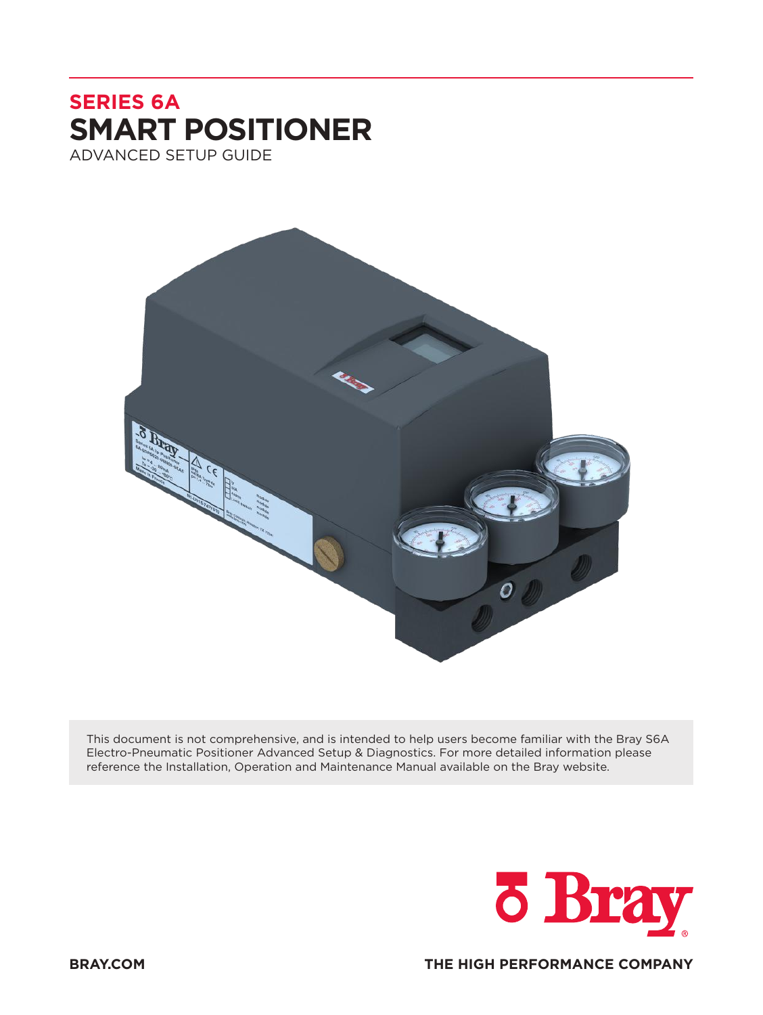# **SERIES 6A SMART POSITIONER** ADVANCED SETUP GUIDE



This document is not comprehensive, and is intended to help users become familiar with the Bray S6A Electro-Pneumatic Positioner Advanced Setup & Diagnostics. For more detailed information please reference the Installation, Operation and Maintenance Manual available on the Bray website.



**BRAY.COM THE HIGH PERFORMANCE COMPANY**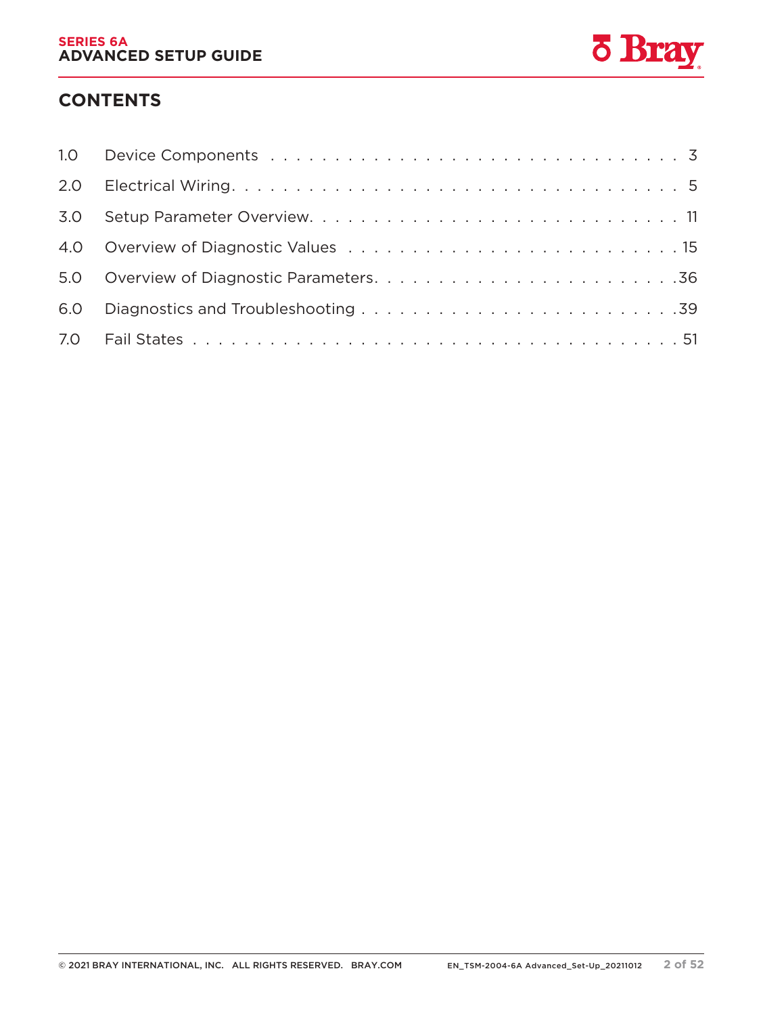

# **CONTENTS**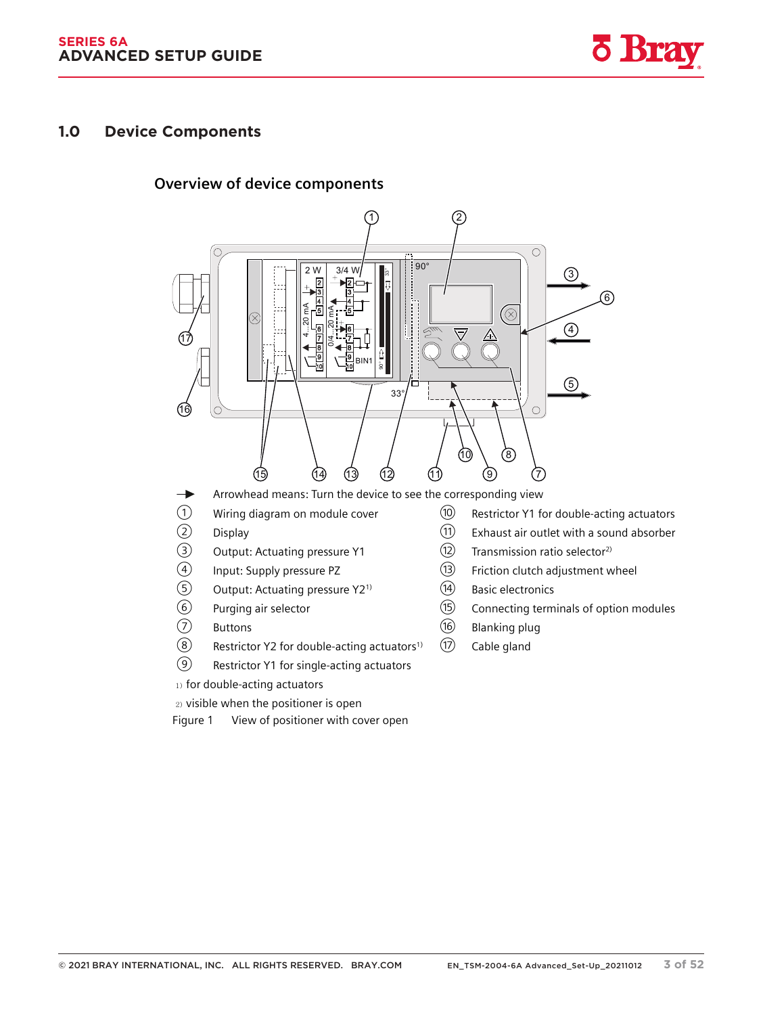*3.3 Device components*



# **3.3 Device components 1.0 Device Components**

#### **3.3.1 Overview of device components**



Arrowhead means: Turn the device to see the corresponding view  $\rightarrow$ 

- 
- 
- 
- 
- (5) Output: Actuating pressure Y2<sup>1)</sup> (4) Basic electronics<br>
(6) Purging air selector (15) Connecting term
- 
- 
- $\overline{O}$  Buttons Buttons (16 Blanking plug<br>
(8) Restrictor Y2 for double-acting actuators<sup>1)</sup> (17) Cable gland Restrictor Y2 for double-acting actuators<sup>1)</sup>  $(1)$  Cable gland
- ⑨ Restrictor Y1 for single-acting actuators
- 1) for double-acting actuators
- 2) visible when the positioner is open
- Figure 1 View of positioner with cover open
- (1) Wiring diagram on module cover (1) Restrictor Y1 for double-acting actuators<br>(2) Display (1) Exhaust air outlet with a sound absorber
- (2) Display Display Display  $\textcircled{1}$  Exhaust air outlet with a sound absorber <br>  $\textcircled{2}$  Output: Actuating pressure Y1  $\textcircled{2}$  Transmission ratio selector<sup>2)</sup>
	- Output: Actuating pressure Y1 (12) Transmission ratio selector<sup>2)</sup>
- (4) Input: Supply pressure PZ (3) Friction clutch adjustment wheel<br>  $\circled{5}$  Output: Actuating pressure Y2<sup>1)</sup> (4) Basic electronics
	-
- ⑥ Purging air selector ⑮ Connecting terminals of option modules
	-
	-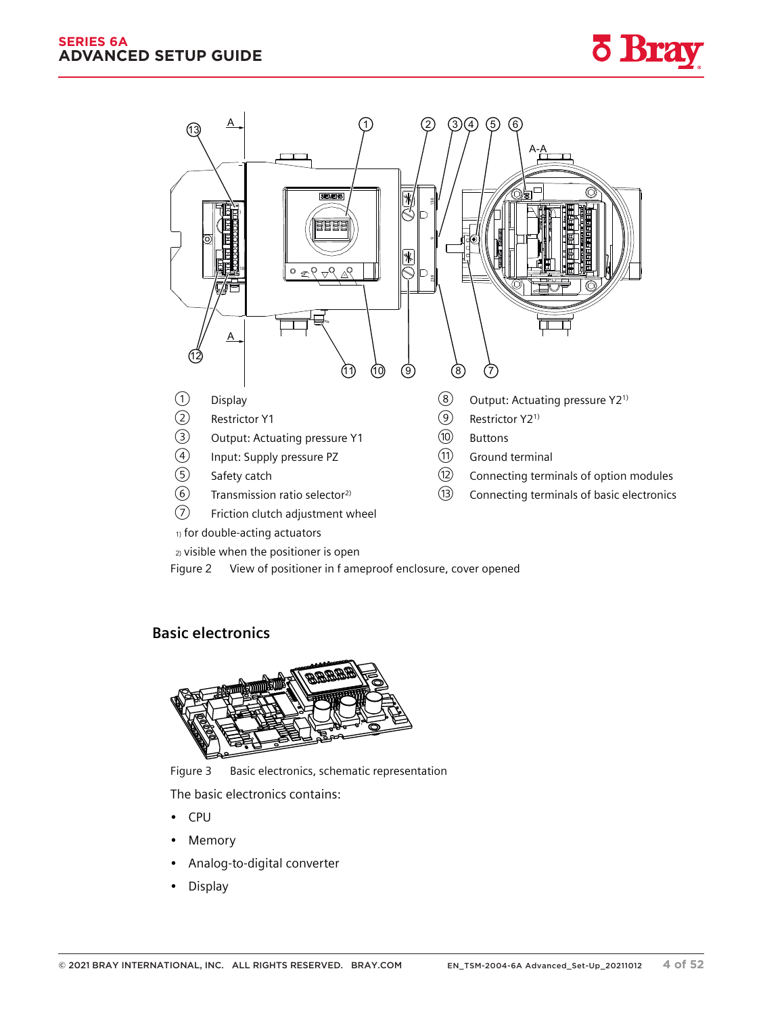

1) for double-acting actuators

2) visible when the positioner is open

Figure 2 View of positioner in f ameproof enclosure, cover opened

### **3.3.2 Basic electronics**



Figure 3 Basic electronics, schematic representation

The basic electronics contains:

- CPU
- **Memory**
- Analog-to-digital converter
- Display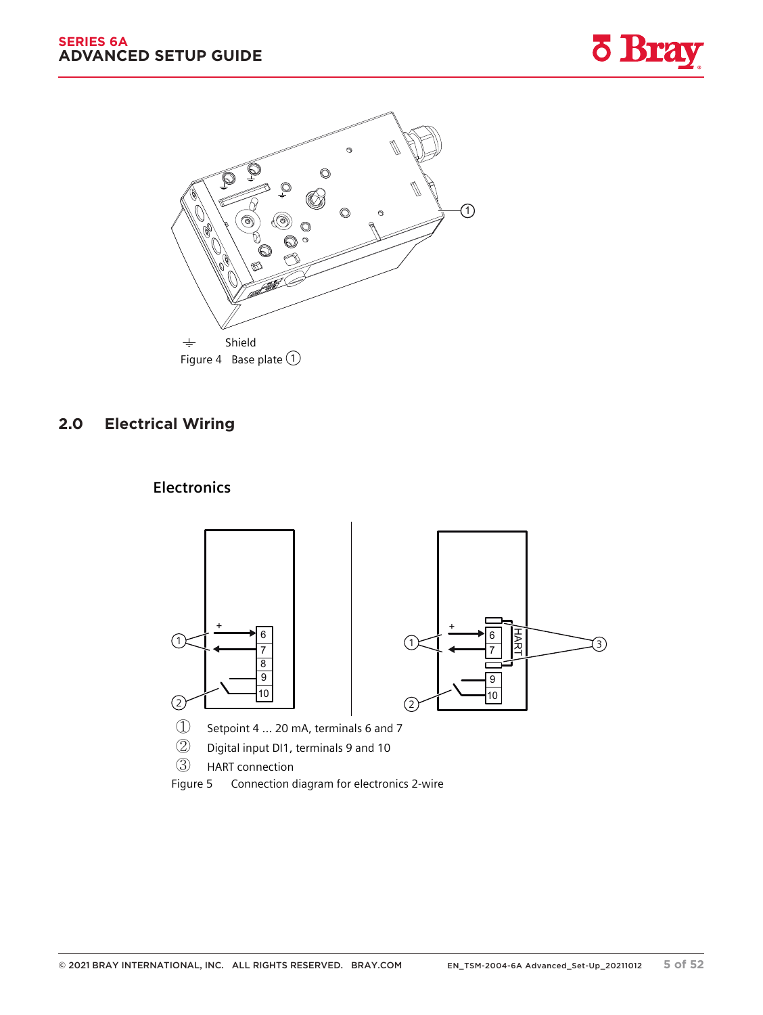



## **5.2 Electrical wiring 2.0 Electrical Wiring**



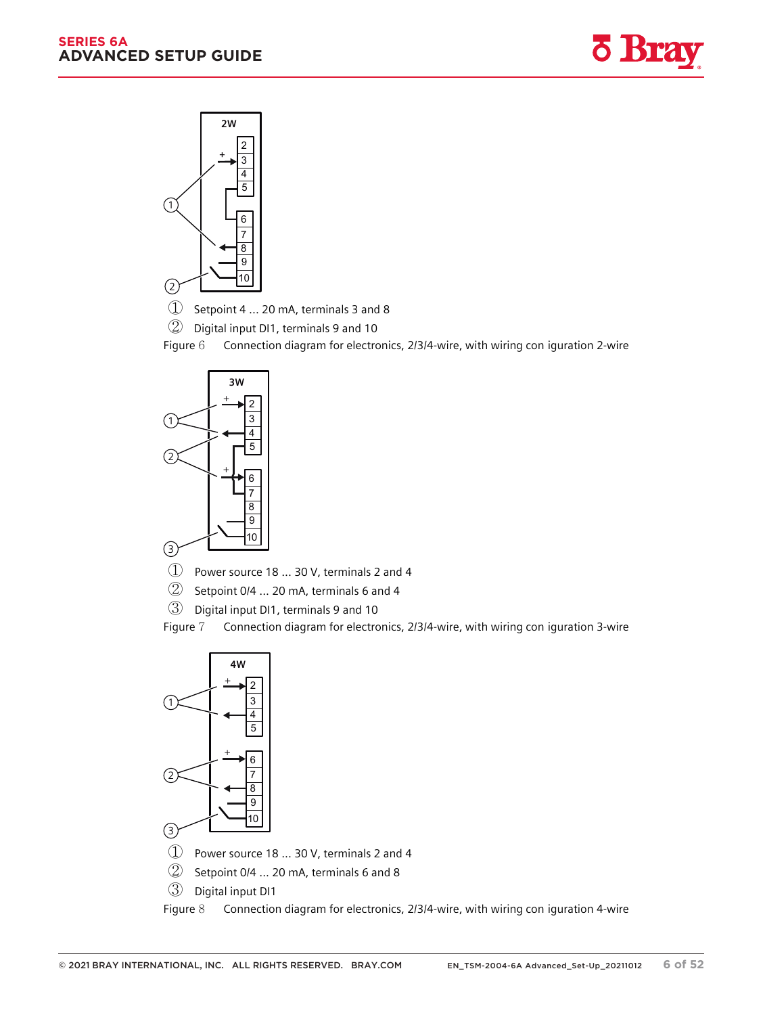*5.2 Electrical wiring*









Figure 6 Connection diagram for electronics, 2/3/4-wire, with wiring con iguration 2-wire



① Power source 18 ... 30 V, terminals 2 and 4

② Setpoint 0/4 ... 20 mA, terminals 6 and 4

③ Digital input DI1, terminals 9 and 10

Figure 7 Connection diagram for electronics, 2/3/4-wire, with wiring con iguration 3-wire

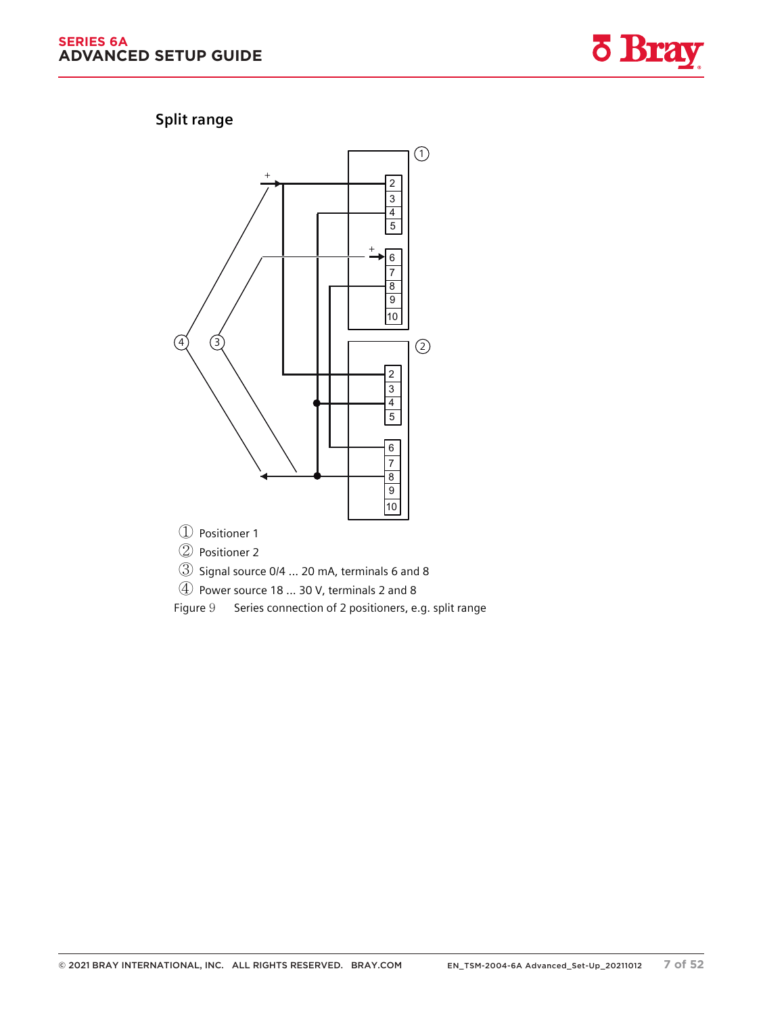#### **SERIES 6A ADVANCED SETUP GUIDE**



### **5.2.2 Split range**



② Positioner 2

③ Signal source 0/4 ... 20 mA, terminals 6 and 8

④ Power source 18 ... 30 V, terminals 2 and 8

Figure 9 Series connection of 2 positioners, e.g. split range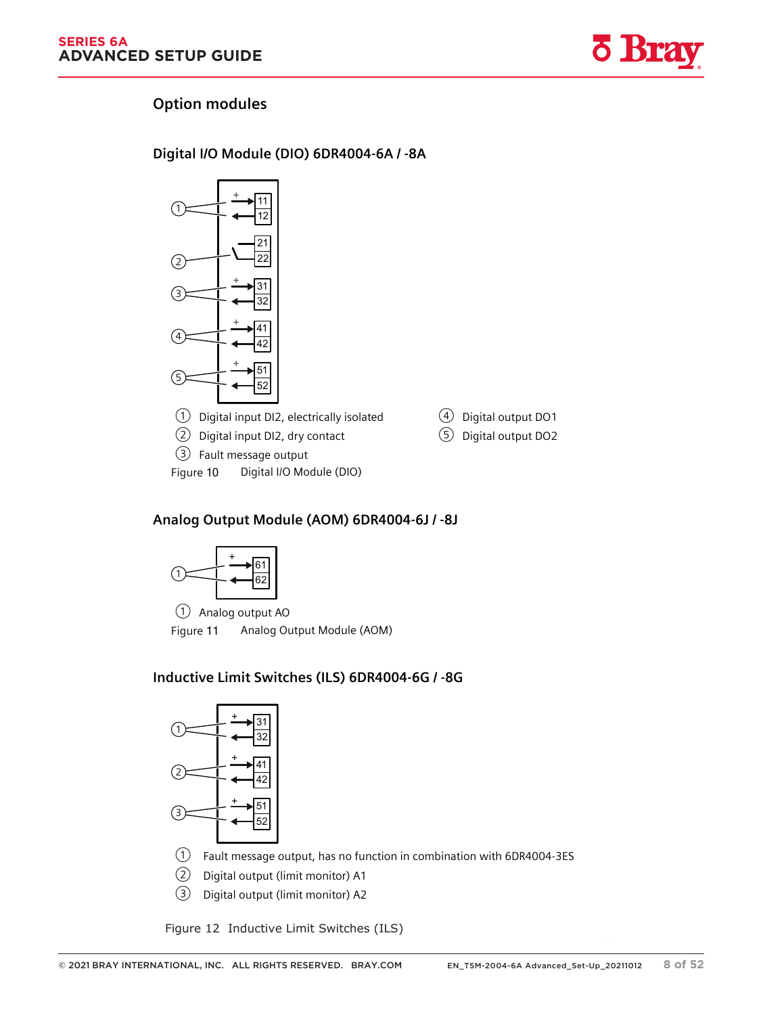

### **5.2.3 Option modules**

#### **5.2.3.1 Digital I/O Module (DIO) 6DR4004-6A / -8A**



#### **5.2.3.2 Analog Output Module (AOM) 6DR4004-6J / -8J**



① Analog output AO Figure 11 Analog Output Module (AOM)

### **5.2.3.3 Inductive Limit Switches (ILS) 6DR4004-6G / -8G**



① Fault message output, has no function in combination with 6DR4004-3ES

- ② Digital output (limit monitor) A1
- ③ Digital output (limit monitor) A2

Figure 12 Inductive Limit Switches (ILS)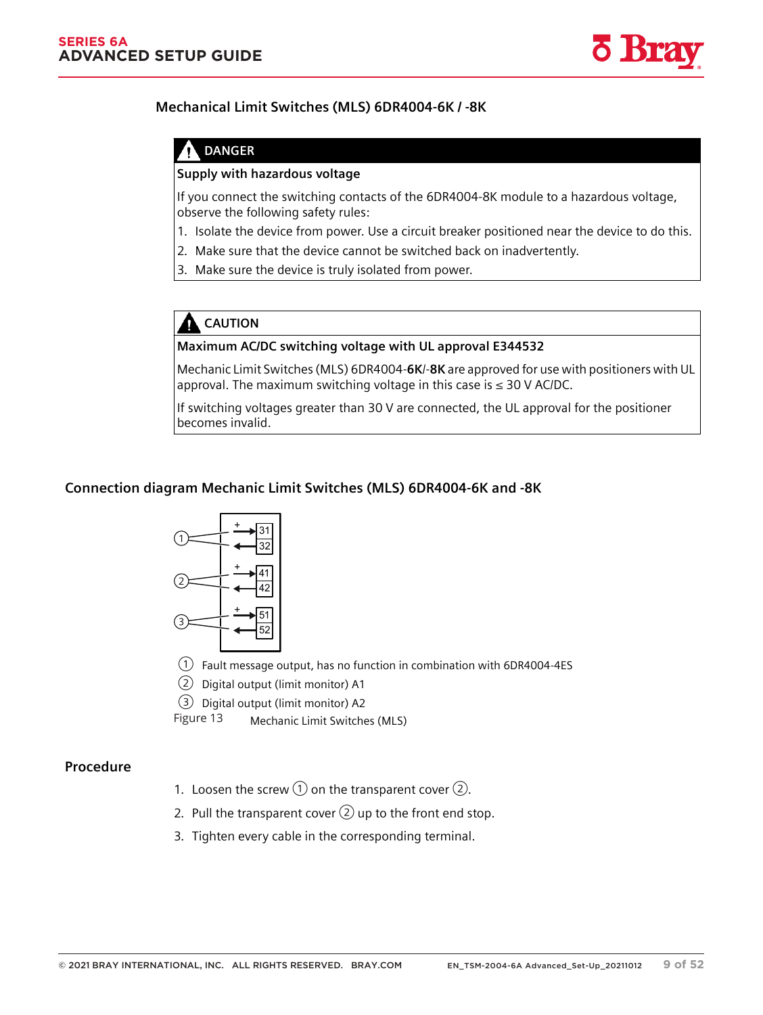

#### **5.2.3.4 Mechanical Limit Switches (MLS) 6DR4004-6K / -8K**

### **DANGER**

#### **Supply with hazardous voltage**

If you connect the switching contacts of the 6DR4004-8K module to a hazardous voltage, observe the following safety rules:

- 1. Isolate the device from power. Use a circuit breaker positioned near the device to do this.
- 2. Make sure that the device cannot be switched back on inadvertently.
- 3. Make sure the device is truly isolated from power.

# **CAUTION**

#### **Maximum AC/DC switching voltage with UL approval E344532**

Mechanic Limit Switches (MLS) 6DR4004-**6K**/-**8K** are approved for use with positioners with UL approval. The maximum switching voltage in this case is  $\leq$  30 V AC/DC.

If switching voltages greater than 30 V are connected, the UL approval for the positioner becomes invalid.

#### **Connection diagram Mechanic Limit Switches (MLS) 6DR4004-6K and -8K**



① Fault message output, has no function in combination with 6DR4004-4ES

② Digital output (limit monitor) A1

③ Digital output (limit monitor) A2

Mechanic Limit Switches (MLS) Figure 13

#### **Procedure**

- 1. Loosen the screw  $\textcircled{1}$  on the transparent cover  $\textcircled{2}$ .
- 2. Pull the transparent cover  $(2)$  up to the front end stop.
- 3. Tighten every cable in the corresponding terminal.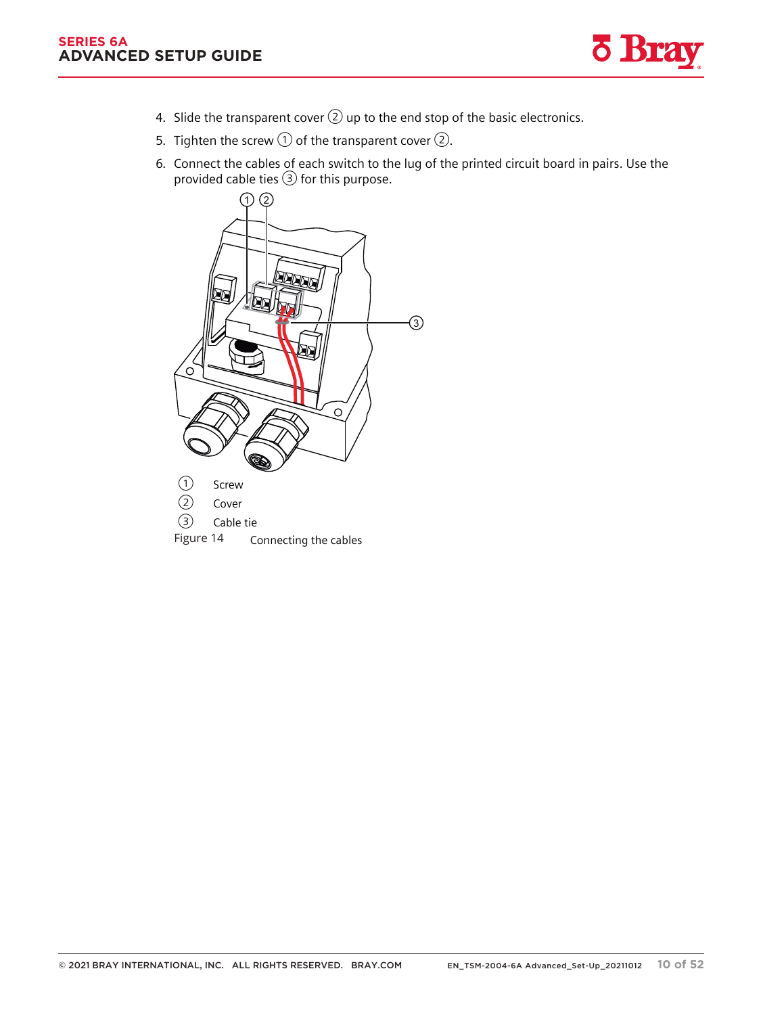*5.2 Electrical wiring*



- 4. Slide the transparent cover  $(2)$  up to the end stop of the basic electronics.
- 5. Tighten the screw  $\textcircled{1}$  of the transparent cover  $\textcircled{2}$ .
- 6. Connect the cables of each switch to the lug of the printed circuit board in pairs. Use the provided cable ties ③ for this purpose.

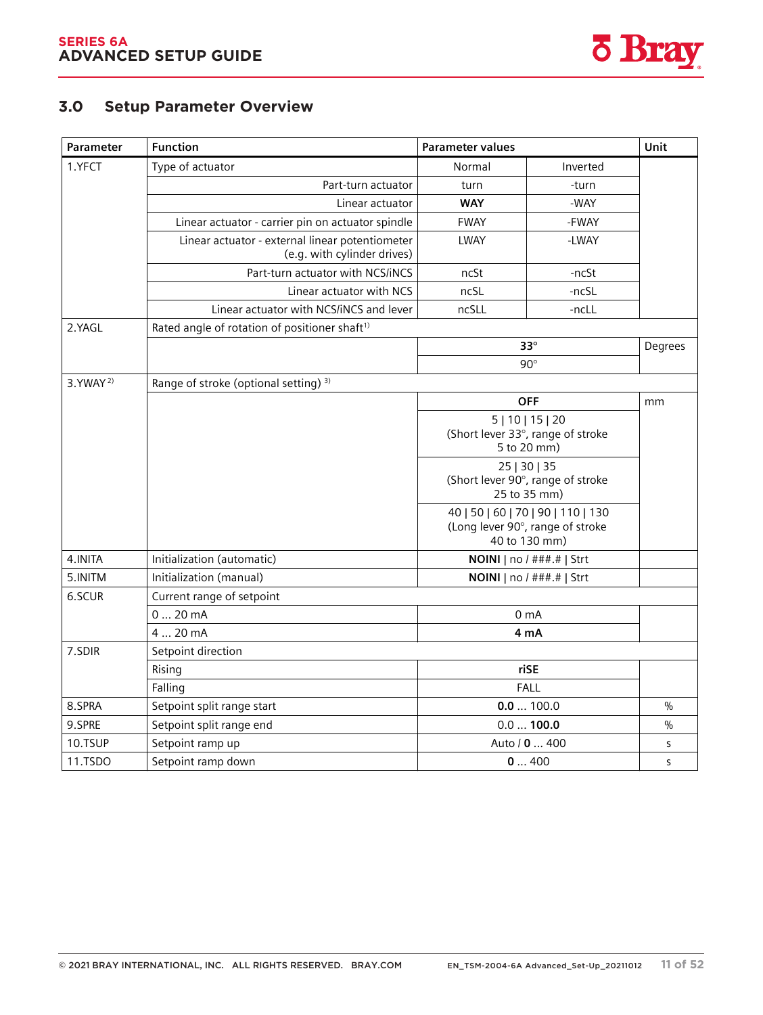

# **8.3 Parameter overview 3.0 Setup Parameter Overview**

| <b>Parameter</b>     | <b>Function</b>                                                                | <b>Parameter values</b> |                                                                                         | Unit          |
|----------------------|--------------------------------------------------------------------------------|-------------------------|-----------------------------------------------------------------------------------------|---------------|
| 1.YFCT               | Type of actuator                                                               | Normal                  | Inverted                                                                                |               |
|                      | Part-turn actuator                                                             | turn                    | -turn                                                                                   |               |
|                      | Linear actuator                                                                | <b>WAY</b>              | -WAY                                                                                    |               |
|                      | Linear actuator - carrier pin on actuator spindle                              | <b>FWAY</b>             | -FWAY                                                                                   |               |
|                      | Linear actuator - external linear potentiometer<br>(e.g. with cylinder drives) | LWAY                    | -LWAY                                                                                   |               |
|                      | Part-turn actuator with NCS/iNCS                                               | ncSt                    | -ncSt                                                                                   |               |
|                      | Linear actuator with NCS                                                       | ncSL                    | -ncSL                                                                                   |               |
|                      | Linear actuator with NCS/iNCS and lever                                        | ncSLL                   | -ncLL                                                                                   |               |
| 2.YAGL               | Rated angle of rotation of positioner shaft <sup>1)</sup>                      |                         |                                                                                         |               |
|                      |                                                                                |                         | $33^\circ$                                                                              | Degrees       |
|                      |                                                                                |                         | $90^\circ$                                                                              |               |
| 3. YWAY <sup>2</sup> | Range of stroke (optional setting) <sup>3)</sup>                               |                         |                                                                                         |               |
|                      |                                                                                |                         | <b>OFF</b>                                                                              | mm            |
|                      |                                                                                |                         | 5   10   15   20<br>(Short lever 33°, range of stroke<br>5 to 20 mm)                    |               |
|                      |                                                                                |                         | 25   30   35<br>(Short lever 90°, range of stroke<br>25 to 35 mm)                       |               |
|                      |                                                                                |                         | 40   50   60   70   90   110   130<br>(Long lever 90°, range of stroke<br>40 to 130 mm) |               |
| 4.INITA              | Initialization (automatic)                                                     |                         | NOINI   no / ###.#   Strt                                                               |               |
| 5.INITM              | Initialization (manual)                                                        |                         | NOINI   no / ###.#   Strt                                                               |               |
| 6.SCUR               | Current range of setpoint                                                      |                         |                                                                                         |               |
|                      | 020mA                                                                          |                         | 0 <sub>m</sub> A                                                                        |               |
|                      | 4  20 mA                                                                       |                         | 4 mA                                                                                    |               |
| 7.SDIR               | Setpoint direction                                                             |                         |                                                                                         |               |
|                      | Rising                                                                         |                         | riSE                                                                                    |               |
|                      | Falling                                                                        |                         | <b>FALL</b>                                                                             |               |
| 8.SPRA               | Setpoint split range start                                                     |                         | 0.0100.0                                                                                | $\frac{0}{0}$ |
| 9.SPRE               | Setpoint split range end                                                       |                         | 0.0100.0                                                                                | $\%$          |
| 10.TSUP              | Setpoint ramp up                                                               |                         | Auto / 0  400                                                                           | S             |
| 11.TSDO              | Setpoint ramp down                                                             |                         | 0400                                                                                    | S             |

SIPART PS2 with 4 to 20 mA/HART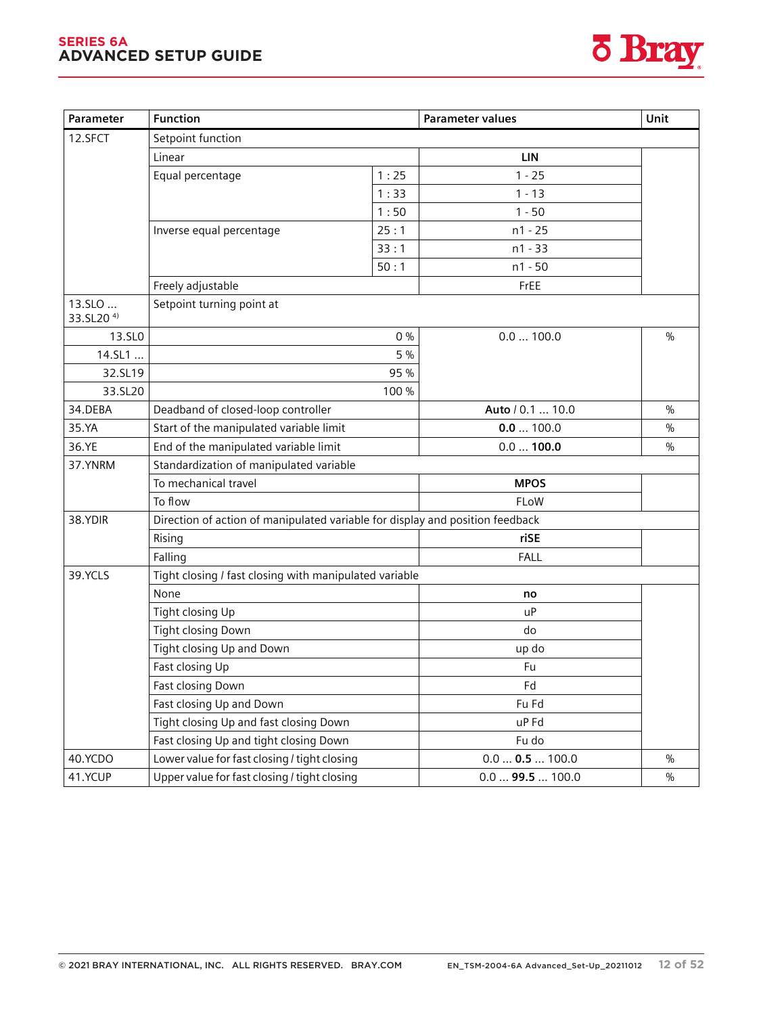#### **SERIES 6A ADVANCED SETUP GUIDE**



| Parameter                       | <b>Function</b>                                                               |       | <b>Parameter values</b>     | Unit          |  |
|---------------------------------|-------------------------------------------------------------------------------|-------|-----------------------------|---------------|--|
| 12.SFCT                         | Setpoint function                                                             |       |                             |               |  |
|                                 | Linear                                                                        |       | <b>LIN</b>                  |               |  |
|                                 | Equal percentage                                                              | 1:25  | $1 - 25$                    |               |  |
|                                 |                                                                               | 1:33  | $1 - 13$                    |               |  |
|                                 |                                                                               | 1:50  | $1 - 50$                    |               |  |
|                                 | Inverse equal percentage                                                      | 25:1  | $n1 - 25$                   |               |  |
|                                 |                                                                               | 33:1  | $n1 - 33$                   |               |  |
|                                 |                                                                               | 50:1  | $n1 - 50$                   |               |  |
|                                 | Freely adjustable                                                             |       | FrEE                        |               |  |
| 13.SLO<br>33.SL20 <sup>4)</sup> | Setpoint turning point at                                                     |       |                             |               |  |
| 13.SL <sub>0</sub>              |                                                                               | $0\%$ | 0.0100.0                    | $\frac{0}{0}$ |  |
| 14.SL1                          |                                                                               | 5 %   |                             |               |  |
| 32.SL19                         |                                                                               | 95 %  |                             |               |  |
| 33.SL20                         | 100 %                                                                         |       |                             |               |  |
| 34.DEBA                         | Deadband of closed-loop controller                                            |       | Auto / 0.1  10.0            | $\frac{0}{0}$ |  |
| 35.YA                           | Start of the manipulated variable limit                                       |       | 0.0100.0                    | $\frac{0}{0}$ |  |
| 36.YE                           | End of the manipulated variable limit                                         |       | 0.0100.0                    | $\%$          |  |
| 37.YNRM                         | Standardization of manipulated variable                                       |       |                             |               |  |
|                                 | To mechanical travel                                                          |       | <b>MPOS</b>                 |               |  |
|                                 | To flow                                                                       |       | FLoW                        |               |  |
| 38.YDIR                         | Direction of action of manipulated variable for display and position feedback |       |                             |               |  |
|                                 | Rising                                                                        |       | riSE                        |               |  |
|                                 | Falling                                                                       |       | <b>FALL</b>                 |               |  |
| 39.YCLS                         | Tight closing / fast closing with manipulated variable                        |       |                             |               |  |
|                                 | None                                                                          |       | no                          |               |  |
|                                 | Tight closing Up                                                              |       | uP                          |               |  |
|                                 | <b>Tight closing Down</b>                                                     |       | do                          |               |  |
|                                 | Tight closing Up and Down                                                     |       | up do                       |               |  |
|                                 | Fast closing Up                                                               |       | Fu                          |               |  |
|                                 | Fast closing Down                                                             |       | Fd                          |               |  |
|                                 | Fast closing Up and Down                                                      |       | Fu Fd                       |               |  |
|                                 | Tight closing Up and fast closing Down                                        |       | uP Fd                       |               |  |
|                                 | Fast closing Up and tight closing Down                                        |       | Fu do                       |               |  |
| 40.YCDO                         | Lower value for fast closing / tight closing                                  |       | $0.0 \dots 0.5 \dots 100.0$ | $\frac{0}{0}$ |  |
| 41.YCUP                         | Upper value for fast closing / tight closing                                  |       | $0.0$ 99.5  100.0           | $\%$          |  |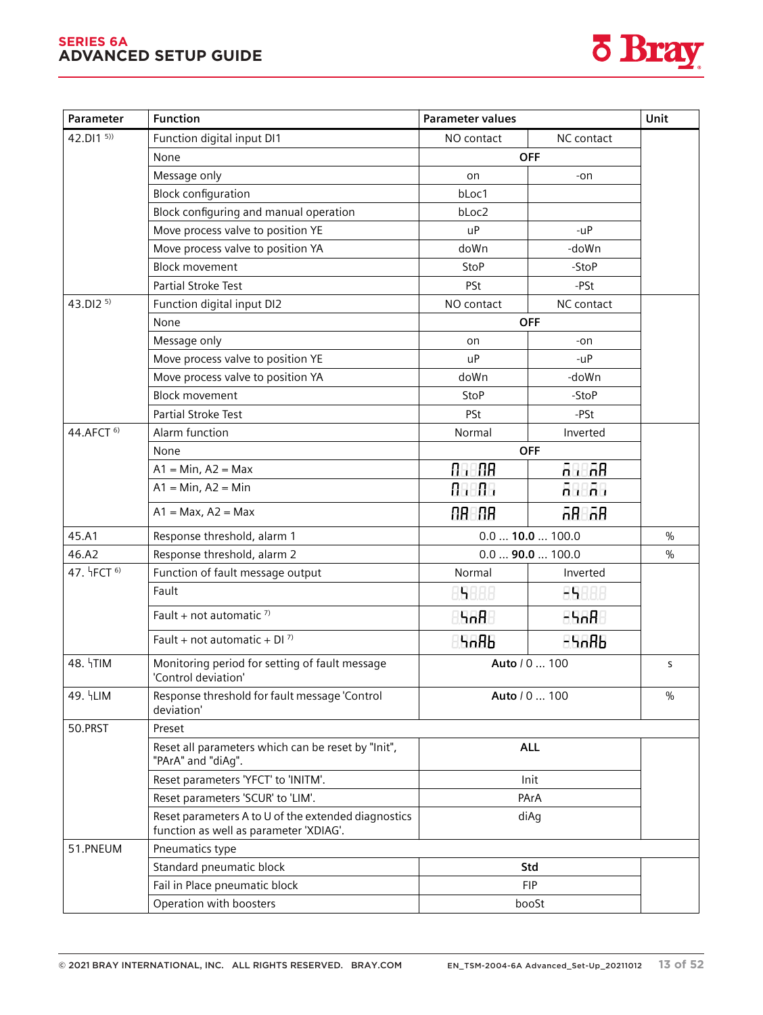#### **SERIES 6A ADVANCED SETUP GUIDE** *Parameter assignment*

*8.3 Parameter overview*



| 42.DI1 5)<br>Function digital input DI1<br>NO contact<br>NC contact<br><b>OFF</b><br>None<br>Message only<br>on<br>-on<br><b>Block configuration</b><br>bLoc1<br>Block configuring and manual operation<br>bLoc2<br>Move process valve to position YE<br>u <sup>P</sup><br>$-uP$<br>Move process valve to position YA<br>doWn<br>-doWn<br><b>Block movement</b><br><b>StoP</b><br>-StoP<br><b>Partial Stroke Test</b><br>PSt<br>-PSt<br>43.DI2 5)<br>Function digital input DI2<br>NO contact<br>NC contact<br><b>OFF</b><br>None<br>Message only<br>-on<br>on<br>Move process valve to position YE<br>u <sup>P</sup><br>$-uP$<br>Move process valve to position YA<br>doWn<br>-doWn<br><b>Block movement</b><br>StoP<br>-StoP<br><b>Partial Stroke Test</b><br>PSt<br>-PSt<br>44.AFCT <sup>6)</sup><br>Alarm function<br>Normal<br>Inverted<br><b>OFF</b><br>None<br>86.88<br><u>an ar</u><br>$A1 = Min, A2 = Max$<br>$A1 = Min, A2 = Min$<br>ABBA<br>an an<br>AR AR<br>68. AA<br>$A1 = Max, A2 = Max$<br>45.A1<br>$0.0$ 10.0  100.0<br>$\frac{0}{0}$<br>Response threshold, alarm 1<br>46.A2<br>Response threshold, alarm 2<br>$0.0$ 90.0  100.0<br>$\%$<br>47. HFCT <sup>6)</sup><br>Function of fault message output<br>Normal<br>Inverted<br>Fault<br>15888<br>85888<br>Fault + not automatic $7$<br>5nB<br>$-5.8$<br>Fault + not automatic + DI $^{7}$ )<br>-5686<br>Կიჩხ<br>48. TIM<br>Monitoring period for setting of fault message<br>Auto / 0  100<br>S<br>'Control deviation'<br>49. HLIM<br>Response threshold for fault message 'Control<br>Auto / 0  100<br>$\frac{0}{0}$<br>deviation'<br>50.PRST<br>Preset<br>Reset all parameters which can be reset by "Init",<br><b>ALL</b><br>"PArA" and "diAg".<br>Reset parameters 'YFCT' to 'INITM'.<br>Init<br>Reset parameters 'SCUR' to 'LIM'.<br>PArA<br>Reset parameters A to U of the extended diagnostics<br>diAg<br>function as well as parameter 'XDIAG'.<br>51.PNEUM<br>Pneumatics type<br>Standard pneumatic block<br>Std<br>Fail in Place pneumatic block<br><b>FIP</b><br>Operation with boosters<br>booSt | Parameter | <b>Function</b> | <b>Parameter values</b> | Unit |
|---------------------------------------------------------------------------------------------------------------------------------------------------------------------------------------------------------------------------------------------------------------------------------------------------------------------------------------------------------------------------------------------------------------------------------------------------------------------------------------------------------------------------------------------------------------------------------------------------------------------------------------------------------------------------------------------------------------------------------------------------------------------------------------------------------------------------------------------------------------------------------------------------------------------------------------------------------------------------------------------------------------------------------------------------------------------------------------------------------------------------------------------------------------------------------------------------------------------------------------------------------------------------------------------------------------------------------------------------------------------------------------------------------------------------------------------------------------------------------------------------------------------------------------------------------------------------------------------------------------------------------------------------------------------------------------------------------------------------------------------------------------------------------------------------------------------------------------------------------------------------------------------------------------------------------------------------------------------------------------------------------------------------------------------------------------------------------|-----------|-----------------|-------------------------|------|
|                                                                                                                                                                                                                                                                                                                                                                                                                                                                                                                                                                                                                                                                                                                                                                                                                                                                                                                                                                                                                                                                                                                                                                                                                                                                                                                                                                                                                                                                                                                                                                                                                                                                                                                                                                                                                                                                                                                                                                                                                                                                                 |           |                 |                         |      |
|                                                                                                                                                                                                                                                                                                                                                                                                                                                                                                                                                                                                                                                                                                                                                                                                                                                                                                                                                                                                                                                                                                                                                                                                                                                                                                                                                                                                                                                                                                                                                                                                                                                                                                                                                                                                                                                                                                                                                                                                                                                                                 |           |                 |                         |      |
|                                                                                                                                                                                                                                                                                                                                                                                                                                                                                                                                                                                                                                                                                                                                                                                                                                                                                                                                                                                                                                                                                                                                                                                                                                                                                                                                                                                                                                                                                                                                                                                                                                                                                                                                                                                                                                                                                                                                                                                                                                                                                 |           |                 |                         |      |
|                                                                                                                                                                                                                                                                                                                                                                                                                                                                                                                                                                                                                                                                                                                                                                                                                                                                                                                                                                                                                                                                                                                                                                                                                                                                                                                                                                                                                                                                                                                                                                                                                                                                                                                                                                                                                                                                                                                                                                                                                                                                                 |           |                 |                         |      |
|                                                                                                                                                                                                                                                                                                                                                                                                                                                                                                                                                                                                                                                                                                                                                                                                                                                                                                                                                                                                                                                                                                                                                                                                                                                                                                                                                                                                                                                                                                                                                                                                                                                                                                                                                                                                                                                                                                                                                                                                                                                                                 |           |                 |                         |      |
|                                                                                                                                                                                                                                                                                                                                                                                                                                                                                                                                                                                                                                                                                                                                                                                                                                                                                                                                                                                                                                                                                                                                                                                                                                                                                                                                                                                                                                                                                                                                                                                                                                                                                                                                                                                                                                                                                                                                                                                                                                                                                 |           |                 |                         |      |
|                                                                                                                                                                                                                                                                                                                                                                                                                                                                                                                                                                                                                                                                                                                                                                                                                                                                                                                                                                                                                                                                                                                                                                                                                                                                                                                                                                                                                                                                                                                                                                                                                                                                                                                                                                                                                                                                                                                                                                                                                                                                                 |           |                 |                         |      |
|                                                                                                                                                                                                                                                                                                                                                                                                                                                                                                                                                                                                                                                                                                                                                                                                                                                                                                                                                                                                                                                                                                                                                                                                                                                                                                                                                                                                                                                                                                                                                                                                                                                                                                                                                                                                                                                                                                                                                                                                                                                                                 |           |                 |                         |      |
|                                                                                                                                                                                                                                                                                                                                                                                                                                                                                                                                                                                                                                                                                                                                                                                                                                                                                                                                                                                                                                                                                                                                                                                                                                                                                                                                                                                                                                                                                                                                                                                                                                                                                                                                                                                                                                                                                                                                                                                                                                                                                 |           |                 |                         |      |
|                                                                                                                                                                                                                                                                                                                                                                                                                                                                                                                                                                                                                                                                                                                                                                                                                                                                                                                                                                                                                                                                                                                                                                                                                                                                                                                                                                                                                                                                                                                                                                                                                                                                                                                                                                                                                                                                                                                                                                                                                                                                                 |           |                 |                         |      |
|                                                                                                                                                                                                                                                                                                                                                                                                                                                                                                                                                                                                                                                                                                                                                                                                                                                                                                                                                                                                                                                                                                                                                                                                                                                                                                                                                                                                                                                                                                                                                                                                                                                                                                                                                                                                                                                                                                                                                                                                                                                                                 |           |                 |                         |      |
|                                                                                                                                                                                                                                                                                                                                                                                                                                                                                                                                                                                                                                                                                                                                                                                                                                                                                                                                                                                                                                                                                                                                                                                                                                                                                                                                                                                                                                                                                                                                                                                                                                                                                                                                                                                                                                                                                                                                                                                                                                                                                 |           |                 |                         |      |
|                                                                                                                                                                                                                                                                                                                                                                                                                                                                                                                                                                                                                                                                                                                                                                                                                                                                                                                                                                                                                                                                                                                                                                                                                                                                                                                                                                                                                                                                                                                                                                                                                                                                                                                                                                                                                                                                                                                                                                                                                                                                                 |           |                 |                         |      |
|                                                                                                                                                                                                                                                                                                                                                                                                                                                                                                                                                                                                                                                                                                                                                                                                                                                                                                                                                                                                                                                                                                                                                                                                                                                                                                                                                                                                                                                                                                                                                                                                                                                                                                                                                                                                                                                                                                                                                                                                                                                                                 |           |                 |                         |      |
|                                                                                                                                                                                                                                                                                                                                                                                                                                                                                                                                                                                                                                                                                                                                                                                                                                                                                                                                                                                                                                                                                                                                                                                                                                                                                                                                                                                                                                                                                                                                                                                                                                                                                                                                                                                                                                                                                                                                                                                                                                                                                 |           |                 |                         |      |
|                                                                                                                                                                                                                                                                                                                                                                                                                                                                                                                                                                                                                                                                                                                                                                                                                                                                                                                                                                                                                                                                                                                                                                                                                                                                                                                                                                                                                                                                                                                                                                                                                                                                                                                                                                                                                                                                                                                                                                                                                                                                                 |           |                 |                         |      |
|                                                                                                                                                                                                                                                                                                                                                                                                                                                                                                                                                                                                                                                                                                                                                                                                                                                                                                                                                                                                                                                                                                                                                                                                                                                                                                                                                                                                                                                                                                                                                                                                                                                                                                                                                                                                                                                                                                                                                                                                                                                                                 |           |                 |                         |      |
|                                                                                                                                                                                                                                                                                                                                                                                                                                                                                                                                                                                                                                                                                                                                                                                                                                                                                                                                                                                                                                                                                                                                                                                                                                                                                                                                                                                                                                                                                                                                                                                                                                                                                                                                                                                                                                                                                                                                                                                                                                                                                 |           |                 |                         |      |
|                                                                                                                                                                                                                                                                                                                                                                                                                                                                                                                                                                                                                                                                                                                                                                                                                                                                                                                                                                                                                                                                                                                                                                                                                                                                                                                                                                                                                                                                                                                                                                                                                                                                                                                                                                                                                                                                                                                                                                                                                                                                                 |           |                 |                         |      |
|                                                                                                                                                                                                                                                                                                                                                                                                                                                                                                                                                                                                                                                                                                                                                                                                                                                                                                                                                                                                                                                                                                                                                                                                                                                                                                                                                                                                                                                                                                                                                                                                                                                                                                                                                                                                                                                                                                                                                                                                                                                                                 |           |                 |                         |      |
|                                                                                                                                                                                                                                                                                                                                                                                                                                                                                                                                                                                                                                                                                                                                                                                                                                                                                                                                                                                                                                                                                                                                                                                                                                                                                                                                                                                                                                                                                                                                                                                                                                                                                                                                                                                                                                                                                                                                                                                                                                                                                 |           |                 |                         |      |
|                                                                                                                                                                                                                                                                                                                                                                                                                                                                                                                                                                                                                                                                                                                                                                                                                                                                                                                                                                                                                                                                                                                                                                                                                                                                                                                                                                                                                                                                                                                                                                                                                                                                                                                                                                                                                                                                                                                                                                                                                                                                                 |           |                 |                         |      |
|                                                                                                                                                                                                                                                                                                                                                                                                                                                                                                                                                                                                                                                                                                                                                                                                                                                                                                                                                                                                                                                                                                                                                                                                                                                                                                                                                                                                                                                                                                                                                                                                                                                                                                                                                                                                                                                                                                                                                                                                                                                                                 |           |                 |                         |      |
|                                                                                                                                                                                                                                                                                                                                                                                                                                                                                                                                                                                                                                                                                                                                                                                                                                                                                                                                                                                                                                                                                                                                                                                                                                                                                                                                                                                                                                                                                                                                                                                                                                                                                                                                                                                                                                                                                                                                                                                                                                                                                 |           |                 |                         |      |
|                                                                                                                                                                                                                                                                                                                                                                                                                                                                                                                                                                                                                                                                                                                                                                                                                                                                                                                                                                                                                                                                                                                                                                                                                                                                                                                                                                                                                                                                                                                                                                                                                                                                                                                                                                                                                                                                                                                                                                                                                                                                                 |           |                 |                         |      |
|                                                                                                                                                                                                                                                                                                                                                                                                                                                                                                                                                                                                                                                                                                                                                                                                                                                                                                                                                                                                                                                                                                                                                                                                                                                                                                                                                                                                                                                                                                                                                                                                                                                                                                                                                                                                                                                                                                                                                                                                                                                                                 |           |                 |                         |      |
|                                                                                                                                                                                                                                                                                                                                                                                                                                                                                                                                                                                                                                                                                                                                                                                                                                                                                                                                                                                                                                                                                                                                                                                                                                                                                                                                                                                                                                                                                                                                                                                                                                                                                                                                                                                                                                                                                                                                                                                                                                                                                 |           |                 |                         |      |
|                                                                                                                                                                                                                                                                                                                                                                                                                                                                                                                                                                                                                                                                                                                                                                                                                                                                                                                                                                                                                                                                                                                                                                                                                                                                                                                                                                                                                                                                                                                                                                                                                                                                                                                                                                                                                                                                                                                                                                                                                                                                                 |           |                 |                         |      |
|                                                                                                                                                                                                                                                                                                                                                                                                                                                                                                                                                                                                                                                                                                                                                                                                                                                                                                                                                                                                                                                                                                                                                                                                                                                                                                                                                                                                                                                                                                                                                                                                                                                                                                                                                                                                                                                                                                                                                                                                                                                                                 |           |                 |                         |      |
|                                                                                                                                                                                                                                                                                                                                                                                                                                                                                                                                                                                                                                                                                                                                                                                                                                                                                                                                                                                                                                                                                                                                                                                                                                                                                                                                                                                                                                                                                                                                                                                                                                                                                                                                                                                                                                                                                                                                                                                                                                                                                 |           |                 |                         |      |
|                                                                                                                                                                                                                                                                                                                                                                                                                                                                                                                                                                                                                                                                                                                                                                                                                                                                                                                                                                                                                                                                                                                                                                                                                                                                                                                                                                                                                                                                                                                                                                                                                                                                                                                                                                                                                                                                                                                                                                                                                                                                                 |           |                 |                         |      |
|                                                                                                                                                                                                                                                                                                                                                                                                                                                                                                                                                                                                                                                                                                                                                                                                                                                                                                                                                                                                                                                                                                                                                                                                                                                                                                                                                                                                                                                                                                                                                                                                                                                                                                                                                                                                                                                                                                                                                                                                                                                                                 |           |                 |                         |      |
|                                                                                                                                                                                                                                                                                                                                                                                                                                                                                                                                                                                                                                                                                                                                                                                                                                                                                                                                                                                                                                                                                                                                                                                                                                                                                                                                                                                                                                                                                                                                                                                                                                                                                                                                                                                                                                                                                                                                                                                                                                                                                 |           |                 |                         |      |
|                                                                                                                                                                                                                                                                                                                                                                                                                                                                                                                                                                                                                                                                                                                                                                                                                                                                                                                                                                                                                                                                                                                                                                                                                                                                                                                                                                                                                                                                                                                                                                                                                                                                                                                                                                                                                                                                                                                                                                                                                                                                                 |           |                 |                         |      |
|                                                                                                                                                                                                                                                                                                                                                                                                                                                                                                                                                                                                                                                                                                                                                                                                                                                                                                                                                                                                                                                                                                                                                                                                                                                                                                                                                                                                                                                                                                                                                                                                                                                                                                                                                                                                                                                                                                                                                                                                                                                                                 |           |                 |                         |      |
|                                                                                                                                                                                                                                                                                                                                                                                                                                                                                                                                                                                                                                                                                                                                                                                                                                                                                                                                                                                                                                                                                                                                                                                                                                                                                                                                                                                                                                                                                                                                                                                                                                                                                                                                                                                                                                                                                                                                                                                                                                                                                 |           |                 |                         |      |
|                                                                                                                                                                                                                                                                                                                                                                                                                                                                                                                                                                                                                                                                                                                                                                                                                                                                                                                                                                                                                                                                                                                                                                                                                                                                                                                                                                                                                                                                                                                                                                                                                                                                                                                                                                                                                                                                                                                                                                                                                                                                                 |           |                 |                         |      |
|                                                                                                                                                                                                                                                                                                                                                                                                                                                                                                                                                                                                                                                                                                                                                                                                                                                                                                                                                                                                                                                                                                                                                                                                                                                                                                                                                                                                                                                                                                                                                                                                                                                                                                                                                                                                                                                                                                                                                                                                                                                                                 |           |                 |                         |      |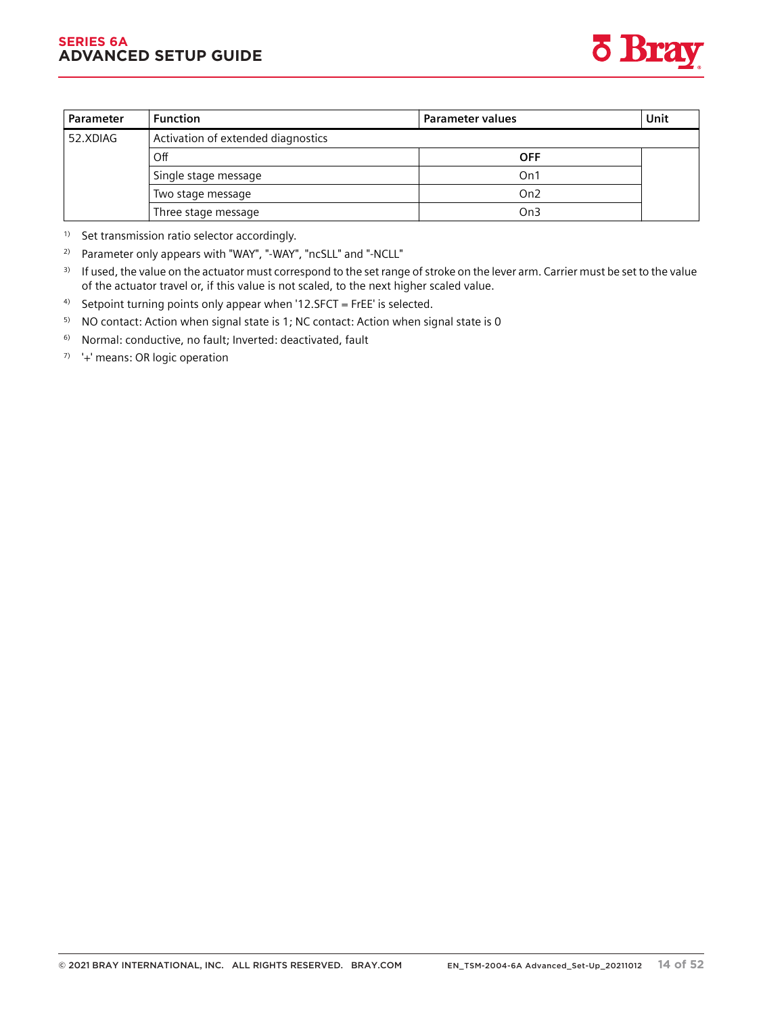#### **SERIES 6A ADVANCED SETUP GUIDE**



| <b>Parameter</b> | <b>Function</b>                    | Parameter values | Unit |
|------------------|------------------------------------|------------------|------|
| 52.XDIAG         | Activation of extended diagnostics |                  |      |
|                  | Off                                | <b>OFF</b>       |      |
|                  | . Single stage message             | On1              |      |
|                  | Two stage message                  | On2              |      |
|                  | Three stage message                | On3              |      |

<sup>1)</sup> Set transmission ratio selector accordingly.

2) Parameter only appears with "WAY", "-WAY", "ncSLL" and "-NCLL"

<sup>3)</sup> If used, the value on the actuator must correspond to the set range of stroke on the lever arm. Carrier must be set to the value of the actuator travel or, if this value is not scaled, to the next higher scaled value.

<sup>4)</sup> Setpoint turning points only appear when '12.SFCT = FrEE' is selected.

<sup>5)</sup> NO contact: Action when signal state is 1; NC contact: Action when signal state is 0

6) Normal: conductive, no fault; Inverted: deactivated, fault

 $7$ <sup>7</sup>  $+$  means: OR logic operation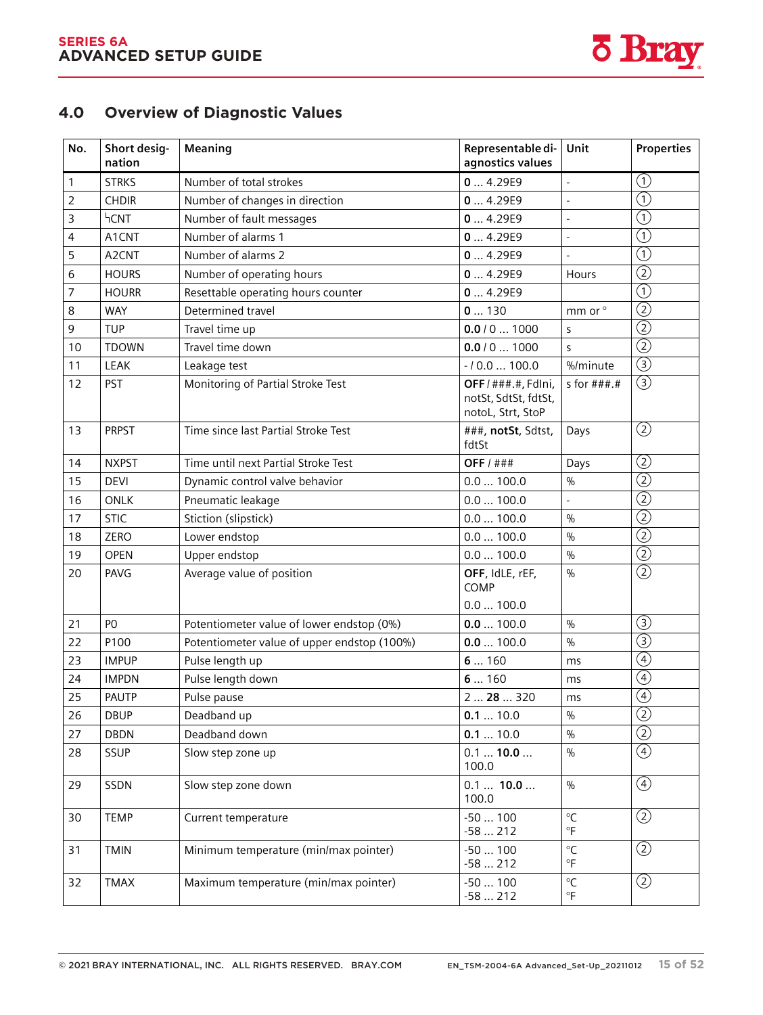*11.2 Diagnostics*



# **Overview of diagnostics values 4.0 Overview of Diagnostic Values**

| No.            | Short desig-<br>nation | Meaning                                     | Representable di-<br>agnostics values                            | Unit                        | <b>Properties</b>                         |
|----------------|------------------------|---------------------------------------------|------------------------------------------------------------------|-----------------------------|-------------------------------------------|
| 1              | <b>STRKS</b>           | Number of total strokes                     | 04.29E9                                                          | $\overline{a}$              | $\textcircled{\scriptsize{1}}$            |
| $\overline{2}$ | <b>CHDIR</b>           | Number of changes in direction              | 04.29E9                                                          | $\overline{a}$              | $\overline{\textcircled{\textsc{n}}}$     |
| 3              | <b>hCNT</b>            | Number of fault messages                    | 04.29E9                                                          | $\overline{a}$              | $\overline{\textcircled{\scriptsize{1}}}$ |
| 4              | A1CNT                  | Number of alarms 1                          | 04.29E9                                                          |                             | $\overline{\textcircled{\scriptsize 1}}$  |
| 5              | A <sub>2</sub> CNT     | Number of alarms 2                          | 04.29E9                                                          |                             | $\textcircled{\scriptsize{1}}$            |
| 6              | <b>HOURS</b>           | Number of operating hours                   | 04.29E9                                                          | Hours                       | $\overline{\textcircled{2}}$              |
| 7              | <b>HOURR</b>           | Resettable operating hours counter          | 04.29E9                                                          |                             | $\textcircled{\scriptsize{1}}$            |
| 8              | <b>WAY</b>             | Determined travel                           | 0130                                                             | mm or °                     | $\overline{\textcircled{2}}$              |
| 9              | <b>TUP</b>             | Travel time up                              | 0.0 / 0  1000                                                    | S                           | $\circled{2}$                             |
| 10             | <b>TDOWN</b>           | Travel time down                            | 0.0 / 0  1000                                                    | S.                          | $\overline{\textcircled{2}}$              |
| 11             | <b>LEAK</b>            | Leakage test                                | $-10.0100.0$                                                     | %/minute                    | $\overline{\textcircled{\scriptsize 3}}$  |
| 12             | <b>PST</b>             | Monitoring of Partial Stroke Test           | OFF / ###.#, FdIni,<br>notSt, SdtSt, fdtSt,<br>notoL, Strt, StoP | s for $\#$ $\#$ $\#$ . $\#$ | $\circledS$                               |
| 13             | <b>PRPST</b>           | Time since last Partial Stroke Test         | ###, notSt, Sdtst,<br>fdtSt                                      | Days                        | $^{\circledR}$                            |
| 14             | <b>NXPST</b>           | Time until next Partial Stroke Test         | OFF $/$ ###                                                      | Days                        | $^{\circledR}$                            |
| 15             | <b>DEVI</b>            | Dynamic control valve behavior              | 0.0100.0                                                         | $\frac{0}{0}$               | $\overline{\textcircled{2}}$              |
| 16             | <b>ONLK</b>            | Pneumatic leakage                           | 0.0100.0                                                         |                             | $\overline{\textcircled{2}}$              |
| 17             | <b>STIC</b>            | Stiction (slipstick)                        | 0.0100.0                                                         | $\frac{0}{0}$               | $\overline{\textcircled{2}}$              |
| 18             | ZERO                   | Lower endstop                               | 0.0100.0                                                         | $\frac{0}{0}$               | $\circled{2}$                             |
| 19             | OPEN                   | Upper endstop                               | 0.0100.0                                                         | $\frac{0}{0}$               | $\overline{\textcircled{2}}$              |
| 20             | PAVG                   | Average value of position                   | OFF, IdLE, rEF,<br>COMP                                          | $\frac{0}{0}$               | $^{\copyright}$                           |
|                |                        |                                             | 0.0100.0                                                         |                             |                                           |
| 21             | P <sub>O</sub>         | Potentiometer value of lower endstop (0%)   | 0.0100.0                                                         | $\%$                        | ③                                         |
| 22             | P100                   | Potentiometer value of upper endstop (100%) | 0.0100.0                                                         | $\frac{0}{0}$               | $\overline{\textcircled{\scriptsize 3}}$  |
| 23             | <b>IMPUP</b>           | Pulse length up                             | 6160                                                             | ms                          | $\bigcirc$                                |
| 24             | <b>IMPDN</b>           | Pulse length down                           | 6160                                                             | ms                          | $\circled{4}$                             |
| 25             | <b>PAUTP</b>           | Pulse pause                                 | 2  28  320                                                       | ms                          | $\overline{\textcircled{\textcirc}}}$     |
| 26             | <b>DBUP</b>            | Deadband up                                 | 0.110.0                                                          | %                           | $\overline{\textcircled{2}}$              |
| 27             | <b>DBDN</b>            | Deadband down                               | 0.1  10.0                                                        | $\frac{0}{0}$               | $\overline{\textcircled{2}}$              |
| 28             | SSUP                   | Slow step zone up                           | 0.1  10.0<br>100.0                                               | $\%$                        | $\circledcirc$                            |
| 29             | SSDN                   | Slow step zone down                         | $0.1$ 10.0<br>100.0                                              | $\frac{0}{0}$               | $\circled{4}$                             |
| 30             | <b>TEMP</b>            | Current temperature                         | $-50100$<br>$-58212$                                             | $^{\circ}$ C<br>°F          | ②                                         |
| 31             | <b>TMIN</b>            | Minimum temperature (min/max pointer)       | $-50100$<br>$-58212$                                             | $\mathrm{C}$<br>°F          | $\circled{2}$                             |
| 32             | TMAX                   | Maximum temperature (min/max pointer)       | $-50100$<br>$-58212$                                             | $\mathrm{C}$<br>$\circ$ F   | $\circled{2}$                             |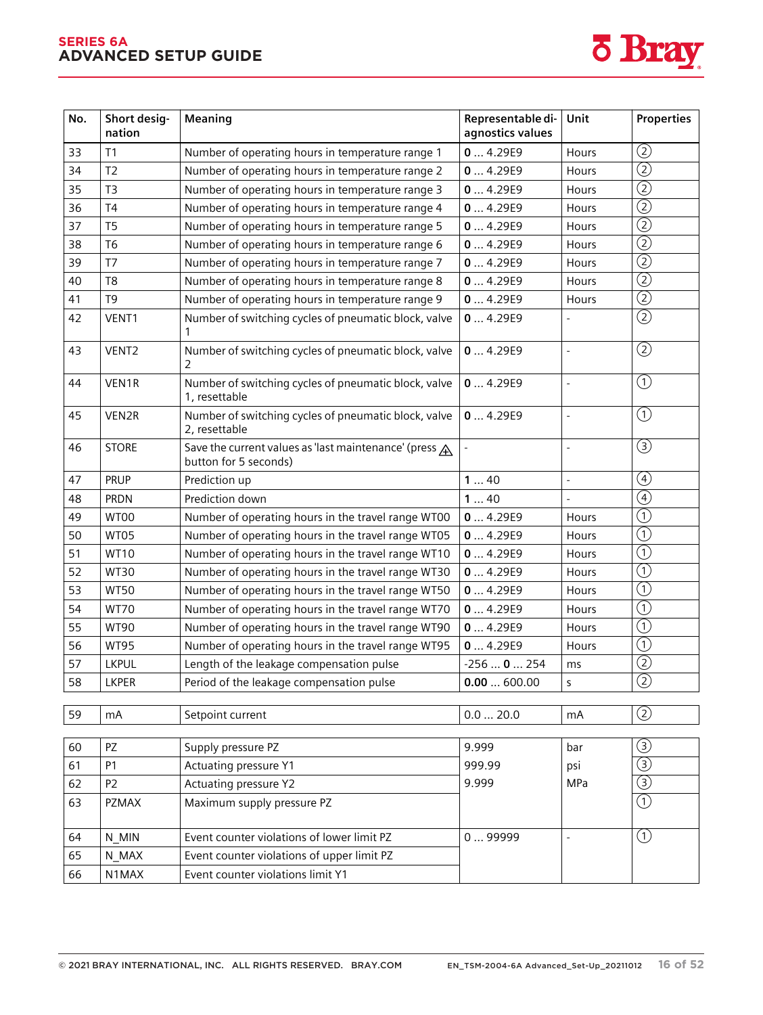#### **SERIES 6A ADVANCED SETUP GUIDE**



| No. | Short desig-<br>nation | Meaning                                                                         | Representable di-<br>agnostics values | Unit           | <b>Properties</b>              |
|-----|------------------------|---------------------------------------------------------------------------------|---------------------------------------|----------------|--------------------------------|
| 33  | T <sub>1</sub>         | Number of operating hours in temperature range 1                                | 04.29E9                               | Hours          | $\circled{2}$                  |
| 34  | T <sub>2</sub>         | Number of operating hours in temperature range 2                                | 04.29E9                               | Hours          | $\overline{\textcircled{2}}$   |
| 35  | T <sub>3</sub>         | Number of operating hours in temperature range 3                                | 04.29E9                               | Hours          | $\overline{\textcircled{2}}$   |
| 36  | T <sub>4</sub>         | Number of operating hours in temperature range 4                                | 04.29E9                               | Hours          | $^{\copyright}$                |
| 37  | T <sub>5</sub>         | Number of operating hours in temperature range 5                                | 04.29E9                               | Hours          | $\overline{\textcircled{2}}$   |
| 38  | T <sub>6</sub>         | Number of operating hours in temperature range 6                                | 04.29E9                               | Hours          | $\overline{(2)}$               |
| 39  | T <sub>7</sub>         | Number of operating hours in temperature range 7                                | 04.29E9                               | Hours          | $\overline{\textcircled{2}}$   |
| 40  | T <sub>8</sub>         | Number of operating hours in temperature range 8                                | 04.29E9                               | Hours          | $\overline{\textcircled{2}}$   |
| 41  | T <sub>9</sub>         | Number of operating hours in temperature range 9                                | 04.29E9                               | Hours          | $\overline{\textcircled{2}}$   |
| 42  | VENT1                  | Number of switching cycles of pneumatic block, valve                            | 04.29E9                               | $\overline{a}$ | $\overline{\textcircled{2}}$   |
| 43  | VENT <sub>2</sub>      | Number of switching cycles of pneumatic block, valve<br>2                       | 04.29E9                               | $\frac{1}{2}$  | $\circled{2}$                  |
| 44  | VEN1R                  | Number of switching cycles of pneumatic block, valve<br>1, resettable           | 04.29E9                               | $\overline{a}$ | $\odot$                        |
| 45  | VEN2R                  | Number of switching cycles of pneumatic block, valve<br>2, resettable           | 04.29E9                               | $\overline{a}$ | $\textcircled{\scriptsize{1}}$ |
| 46  | <b>STORE</b>           | Save the current values as 'last maintenance' (press A<br>button for 5 seconds) |                                       | $\overline{a}$ | $\circled{3}$                  |
| 47  | PRUP                   | Prediction up                                                                   | 140                                   | $\overline{a}$ | $\circled{4}$                  |
| 48  | <b>PRDN</b>            | Prediction down                                                                 | 140                                   |                | $\circled{4}$                  |
| 49  | WT00                   | Number of operating hours in the travel range WT00                              | 04.29E9                               | Hours          | $\circled{\scriptstyle 1}$     |
| 50  | WT05                   | Number of operating hours in the travel range WT05                              | 04.29E9                               | Hours          | $\overline{(\mathbb{1})}$      |
| 51  | <b>WT10</b>            | Number of operating hours in the travel range WT10                              | 04.29E9                               | Hours          | $\textcircled{\scriptsize{1}}$ |
| 52  | <b>WT30</b>            | Number of operating hours in the travel range WT30                              | 04.29E9                               | <b>Hours</b>   | $\overline{(\text{1})}$        |
| 53  | <b>WT50</b>            | Number of operating hours in the travel range WT50                              | 04.29E9                               | Hours          | $\left( \widehat{ \ }\right)$  |
| 54  | <b>WT70</b>            | Number of operating hours in the travel range WT70                              | 04.29E9                               | Hours          | $\circled{\scriptstyle 1}$     |
| 55  | <b>WT90</b>            | Number of operating hours in the travel range WT90                              | 04.29E9                               | Hours          | $\textcircled{\scriptsize{1}}$ |
| 56  | <b>WT95</b>            | Number of operating hours in the travel range WT95                              | 04.29E9                               | Hours          | $\textcircled{\small{1}}$      |
| 57  | <b>LKPUL</b>           | Length of the leakage compensation pulse                                        | $-2560254$                            | ms             | $\overline{(\text{2})}$        |
| 58  | <b>LKPER</b>           | Period of the leakage compensation pulse                                        | 0.00600.00                            | S              | $\overline{(2)}$               |
|     |                        |                                                                                 |                                       |                |                                |
| 59  | mA                     | Setpoint current                                                                | 0.020.0                               | mA             | $\circled{2}$                  |
| 60  | <b>PZ</b>              | Supply pressure PZ                                                              | 9.999                                 | bar            | $\circled{3}$                  |

| 60 | PZ             | Supply pressure PZ                         | 9.999  | bar | G,            |
|----|----------------|--------------------------------------------|--------|-----|---------------|
| 61 | P <sub>1</sub> | Actuating pressure Y1                      | 999.99 | psi | $\circled{3}$ |
| 62 | P <sub>2</sub> | Actuating pressure Y2                      | 9.999  | MPa | (3)           |
| 63 | <b>PZMAX</b>   | Maximum supply pressure PZ                 |        |     |               |
|    |                |                                            |        |     |               |
| 64 | N MIN          | Event counter violations of lower limit PZ | 099999 |     |               |
| 65 | N MAX          | Event counter violations of upper limit PZ |        |     |               |
| 66 | N1MAX          | Event counter violations limit Y1          |        |     |               |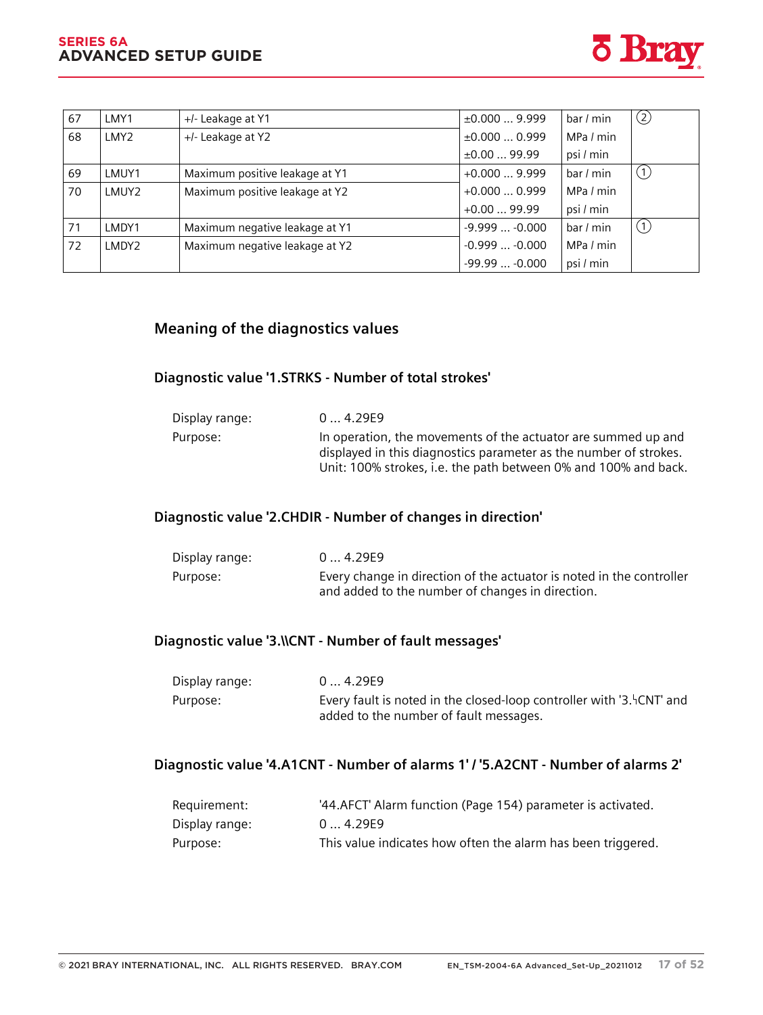#### **SERIES 6A ADVANCED SETUP GUIDE** *Diagnostics and troubleshooting*

*11.2 Diagnostics*



| 67 | LMY1             | +/- Leakage at Y1              | $\pm 0.0009.999$  | bar / min | $^{\copyright}$              |
|----|------------------|--------------------------------|-------------------|-----------|------------------------------|
| 68 | LMY <sub>2</sub> | +/- Leakage at Y2              | $\pm 0.000$ 0.999 | MPa / min |                              |
|    |                  |                                | ±0.0099.99        | psi / min |                              |
| 69 | LMUY1            | Maximum positive leakage at Y1 | $+0.0009.999$     | bar / min | $\circlearrowleft$           |
| 70 | LMUY2            | Maximum positive leakage at Y2 | $+0.0000.999$     | MPa / min |                              |
|    |                  |                                | $+0.0099.99$      | psi / min |                              |
| 71 | LMDY1            | Maximum negative leakage at Y1 | $-9.999 -0.000$   | bar / min | $\left( \frac{1}{2} \right)$ |
| 72 | LMDY2            | Maximum negative leakage at Y2 | $-0.999 -0.000$   | MPa / min |                              |
|    |                  |                                | $-99.99 -0.000$   | psi / min |                              |

### **11.2.4 Meaning of the diagnostics values**

### **11.2.4.1 Diagnostic value '1.STRKS - Number of total strokes'**

| Display range: | 04.29E9                                                                                                                                                                                               |
|----------------|-------------------------------------------------------------------------------------------------------------------------------------------------------------------------------------------------------|
| Purpose:       | In operation, the movements of the actuator are summed up and<br>displayed in this diagnostics parameter as the number of strokes.<br>Unit: 100% strokes, i.e. the path between 0% and 100% and back. |

### **11.2.4.2 Diagnostic value '2.CHDIR - Number of changes in direction'**

| Display range: | 04.29E9                                                                                                                  |
|----------------|--------------------------------------------------------------------------------------------------------------------------|
| Purpose:       | Every change in direction of the actuator is noted in the controller<br>and added to the number of changes in direction. |

#### **11.2.4.3 Diagnostic value '3.\\CNT - Number of fault messages'**

| Display range: | 04.29E9                                                                                                         |
|----------------|-----------------------------------------------------------------------------------------------------------------|
| Purpose:       | Every fault is noted in the closed-loop controller with '3. FCNT' and<br>added to the number of fault messages. |

### **11.2.4.4 Diagnostic value '4.A1CNT - Number of alarms 1' / '5.A2CNT - Number of alarms 2'**

| Requirement:   | '44. AFCT' Alarm function (Page 154) parameter is activated. |
|----------------|--------------------------------------------------------------|
| Display range: | 04.29E9                                                      |
| Purpose:       | This value indicates how often the alarm has been triggered. |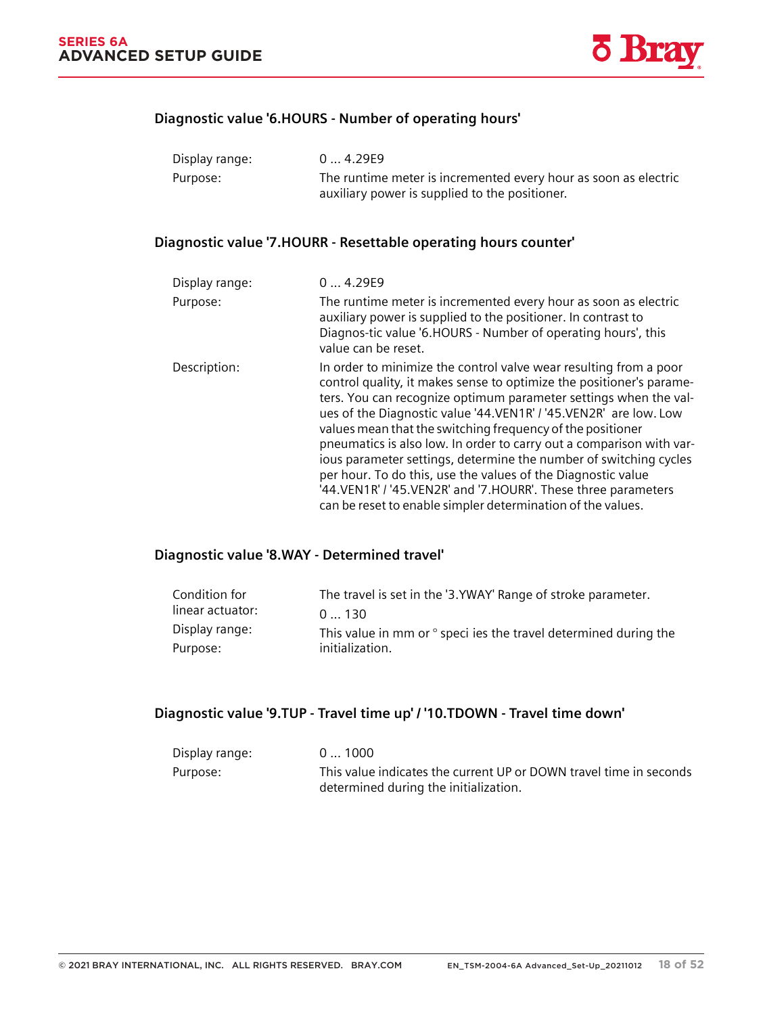

#### **11.2.4.5 Diagnostic value '6.HOURS - Number of operating hours'**

| Display range: | 04.29E9                                                                                                           |
|----------------|-------------------------------------------------------------------------------------------------------------------|
| Purpose:       | The runtime meter is incremented every hour as soon as electric<br>auxiliary power is supplied to the positioner. |

### **11.2.4.6 Diagnostic value '7.HOURR - Resettable operating hours counter'**

| Display range: | 04.29E9                                                                                                                                                                                                                                                                                                                                                                                                                                                                                                                                                                                                                                                                                         |
|----------------|-------------------------------------------------------------------------------------------------------------------------------------------------------------------------------------------------------------------------------------------------------------------------------------------------------------------------------------------------------------------------------------------------------------------------------------------------------------------------------------------------------------------------------------------------------------------------------------------------------------------------------------------------------------------------------------------------|
| Purpose:       | The runtime meter is incremented every hour as soon as electric<br>auxiliary power is supplied to the positioner. In contrast to<br>Diagnos-tic value '6.HOURS - Number of operating hours', this<br>value can be reset.                                                                                                                                                                                                                                                                                                                                                                                                                                                                        |
| Description:   | In order to minimize the control valve wear resulting from a poor<br>control quality, it makes sense to optimize the positioner's parame-<br>ters. You can recognize optimum parameter settings when the val-<br>ues of the Diagnostic value '44.VEN1R' / '45.VEN2R' are low. Low<br>values mean that the switching frequency of the positioner<br>pneumatics is also low. In order to carry out a comparison with var-<br>ious parameter settings, determine the number of switching cycles<br>per hour. To do this, use the values of the Diagnostic value<br>'44. VEN1R' / '45. VEN2R' and '7. HOURR'. These three parameters<br>can be reset to enable simpler determination of the values. |

### **11.2.4.7 Diagnostic value '8.WAY - Determined travel'**

| Condition for    | The travel is set in the '3.YWAY' Range of stroke parameter.             |
|------------------|--------------------------------------------------------------------------|
| linear actuator: | 0130                                                                     |
| Display range:   | This value in mm or $\degree$ speci ies the travel determined during the |
| Purpose:         | initialization.                                                          |

### **11.2.4.8 Diagnostic value '9.TUP - Travel time up' / '10.TDOWN - Travel time down'**

| Display range: | 0  1000                                                                                                     |
|----------------|-------------------------------------------------------------------------------------------------------------|
| Purpose:       | This value indicates the current UP or DOWN travel time in seconds<br>determined during the initialization. |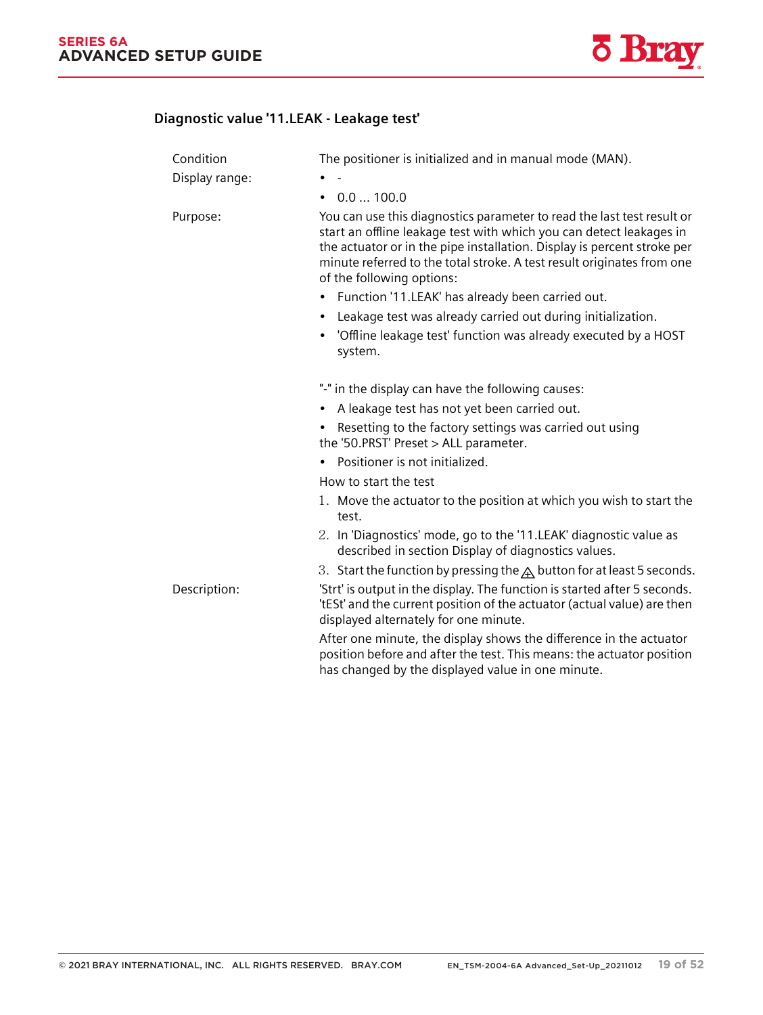*11.2 Diagnostics*



### **11.2.4.9 Diagnostic value '11.LEAK - Leakage test'**

| Condition      | The positioner is initialized and in manual mode (MAN).                                                                                                                                                                                                                                                                         |
|----------------|---------------------------------------------------------------------------------------------------------------------------------------------------------------------------------------------------------------------------------------------------------------------------------------------------------------------------------|
| Display range: |                                                                                                                                                                                                                                                                                                                                 |
|                | $\bullet$ 0.0  100.0                                                                                                                                                                                                                                                                                                            |
| Purpose:       | You can use this diagnostics parameter to read the last test result or<br>start an offline leakage test with which you can detect leakages in<br>the actuator or in the pipe installation. Display is percent stroke per<br>minute referred to the total stroke. A test result originates from one<br>of the following options: |
|                | Function '11.LEAK' has already been carried out.<br>٠                                                                                                                                                                                                                                                                           |
|                | Leakage test was already carried out during initialization.                                                                                                                                                                                                                                                                     |
|                | 'Offline leakage test' function was already executed by a HOST<br>$\bullet$<br>system.                                                                                                                                                                                                                                          |
|                | "-" in the display can have the following causes:                                                                                                                                                                                                                                                                               |
|                | A leakage test has not yet been carried out.<br>$\bullet$                                                                                                                                                                                                                                                                       |
|                | Resetting to the factory settings was carried out using<br>the '50.PRST' Preset > ALL parameter.                                                                                                                                                                                                                                |
|                | Positioner is not initialized.<br>$\bullet$                                                                                                                                                                                                                                                                                     |
|                | How to start the test                                                                                                                                                                                                                                                                                                           |
|                | 1. Move the actuator to the position at which you wish to start the<br>test.                                                                                                                                                                                                                                                    |
|                | 2. In 'Diagnostics' mode, go to the '11.LEAK' diagnostic value as<br>described in section Display of diagnostics values.                                                                                                                                                                                                        |
|                | 3. Start the function by pressing the $\triangle$ button for at least 5 seconds.                                                                                                                                                                                                                                                |
| Description:   | 'Strt' is output in the display. The function is started after 5 seconds.<br>'tESt' and the current position of the actuator (actual value) are then<br>displayed alternately for one minute.                                                                                                                                   |
|                | After one minute, the display shows the difference in the actuator<br>position before and after the test. This means: the actuator position<br>has changed by the displayed value in one minute.                                                                                                                                |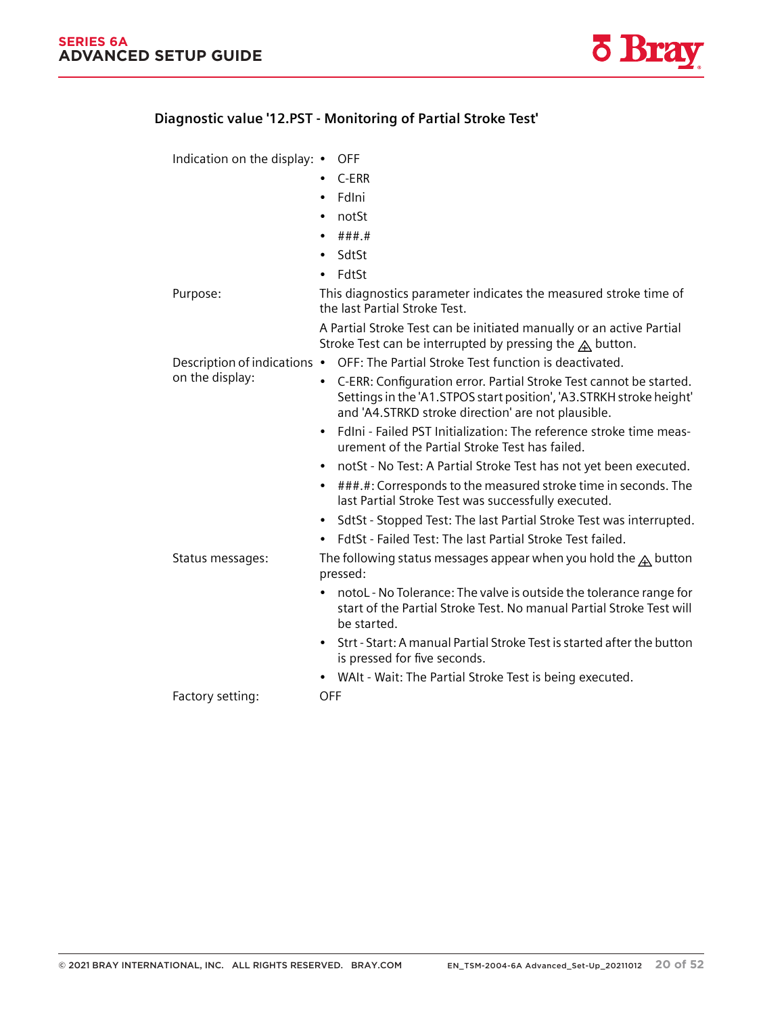#### **11.2.4.10 Diagnostic value '12.PST - Monitoring of Partial Stroke Test'**

Indication on the display: • OFF

- C-ERR
- FdIni
- notSt
- ###.#
- SdtSt
- FdtSt

Purpose: This diagnostics parameter indicates the measured stroke time of the last Partial Stroke Test. A Partial Stroke Test can be initiated manually or an active Partial

Stroke Test can be interrupted by pressing the  $\triangle$  button. Description of indications • OFF: The Partial Stroke Test function is deactivated.

- C-ERR: Configuration error. Partial Stroke Test cannot be started. Settings in the 'A1.STPOS start position', 'A3.STRKH stroke height' and 'A4.STRKD stroke direction' are not plausible.
	- FdIni Failed PST Initialization: The reference stroke time measurement of the Partial Stroke Test has failed.
	- notSt No Test: A Partial Stroke Test has not yet been executed.
	- ###.#: Corresponds to the measured stroke time in seconds. The last Partial Stroke Test was successfully executed.
	- SdtSt Stopped Test: The last Partial Stroke Test was interrupted.
	- FdtSt Failed Test: The last Partial Stroke Test failed.

Status messages: The following status messages appear when you hold the  $\bigtriangleup$  button pressed:

- notoL No Tolerance: The valve is outside the tolerance range for start of the Partial Stroke Test. No manual Partial Stroke Test will be started.
- Strt Start: A manual Partial Stroke Test is started after the button is pressed for five seconds.
- WAIt Wait: The Partial Stroke Test is being executed.

Factory setting: OFF

on the display: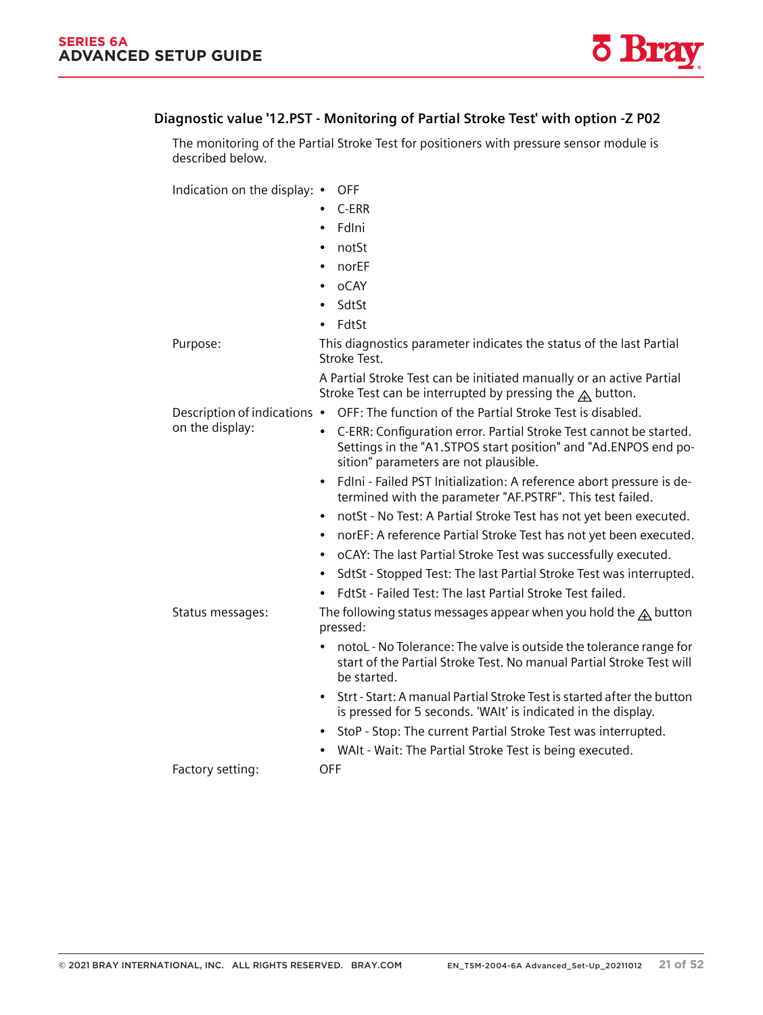*11.2 Diagnostics*

### **11.2.4.11 Diagnostic value '12.PST - Monitoring of Partial Stroke Test' with option -Z P02**

The monitoring of the Partial Stroke Test for positioners with pressure sensor module is described below.

Indication on the display: • OFF

• C-ERR • FdIni • notSt • norEF • oCAY • SdtSt • FdtSt Purpose: This diagnostics parameter indicates the status of the last Partial Stroke Test. A Partial Stroke Test can be initiated manually or an active Partial Stroke Test can be interrupted by pressing the  $A$  button. Description of indications • OFF: The function of the Partial Stroke Test is disabled. on the display: • C-ERR: Configuration error. Partial Stroke Test cannot be started. Settings in the "A1.STPOS start position" and "Ad.ENPOS end po‐ sition" parameters are not plausible. • FdIni - Failed PST Initialization: A reference abort pressure is determined with the parameter "AF.PSTRF". This test failed. • notSt - No Test: A Partial Stroke Test has not yet been executed. • norEF: A reference Partial Stroke Test has not yet been executed. • oCAY: The last Partial Stroke Test was successfully executed. • SdtSt - Stopped Test: The last Partial Stroke Test was interrupted. • FdtSt - Failed Test: The last Partial Stroke Test failed. Status messages: The following status messages appear when you hold the  $A$  button pressed: • notoL - No Tolerance: The valve is outside the tolerance range for start of the Partial Stroke Test. No manual Partial Stroke Test will be started. • Strt - Start: A manual Partial Stroke Test is started after the button is pressed for 5 seconds. 'WAIt' is indicated in the display. • StoP - Stop: The current Partial Stroke Test was interrupted. • WAIt - Wait: The Partial Stroke Test is being executed. Factory setting: OFF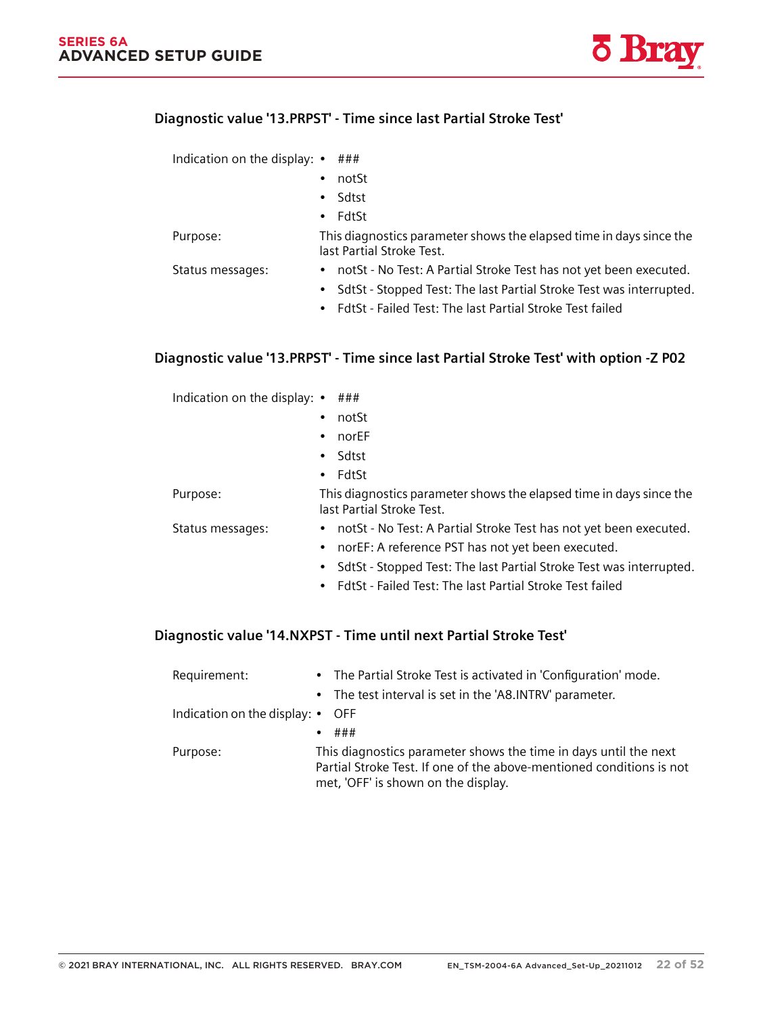#### **11.2.4.12 Diagnostic value '13.PRPST' - Time since last Partial Stroke Test'**

| Indication on the display: $\bullet$ ### |           |                                                                                                  |
|------------------------------------------|-----------|--------------------------------------------------------------------------------------------------|
|                                          | $\bullet$ | notSt                                                                                            |
|                                          | $\bullet$ | Sdtst                                                                                            |
|                                          |           | $\bullet$ FdtSt                                                                                  |
| Purpose:                                 |           | This diagnostics parameter shows the elapsed time in days since the<br>last Partial Stroke Test. |
| Status messages:                         |           | • notSt - No Test: A Partial Stroke Test has not yet been executed.                              |
|                                          |           | • SdtSt - Stopped Test: The last Partial Stroke Test was interrupted.                            |
|                                          |           | • FdtSt - Failed Test: The last Partial Stroke Test failed                                       |

### **11.2.4.13 Diagnostic value '13.PRPST' - Time since last Partial Stroke Test' with option -Z P02**

| Indication on the display: $\bullet$ ### |                                                                                                  |
|------------------------------------------|--------------------------------------------------------------------------------------------------|
|                                          | notSt<br>$\bullet$                                                                               |
|                                          | norEF<br>$\bullet$                                                                               |
|                                          | • Sdtst                                                                                          |
|                                          | $\bullet$ FdtSt                                                                                  |
| Purpose:                                 | This diagnostics parameter shows the elapsed time in days since the<br>last Partial Stroke Test. |
| Status messages:                         | • notSt - No Test: A Partial Stroke Test has not yet been executed.                              |
|                                          | • norEF: A reference PST has not yet been executed.                                              |
|                                          | SdtSt - Stopped Test: The last Partial Stroke Test was interrupted.<br>$\bullet$                 |
|                                          | • FdtSt - Failed Test: The last Partial Stroke Test failed                                       |

### **11.2.4.14 Diagnostic value '14.NXPST - Time until next Partial Stroke Test'**

| Requirement:                             | • The Partial Stroke Test is activated in 'Configuration' mode.                                                                                                                 |
|------------------------------------------|---------------------------------------------------------------------------------------------------------------------------------------------------------------------------------|
|                                          | • The test interval is set in the 'A8.INTRV' parameter.                                                                                                                         |
| Indication on the display: $\bullet$ OFF |                                                                                                                                                                                 |
|                                          | ###                                                                                                                                                                             |
| Purpose:                                 | This diagnostics parameter shows the time in days until the next<br>Partial Stroke Test. If one of the above-mentioned conditions is not<br>met, 'OFF' is shown on the display. |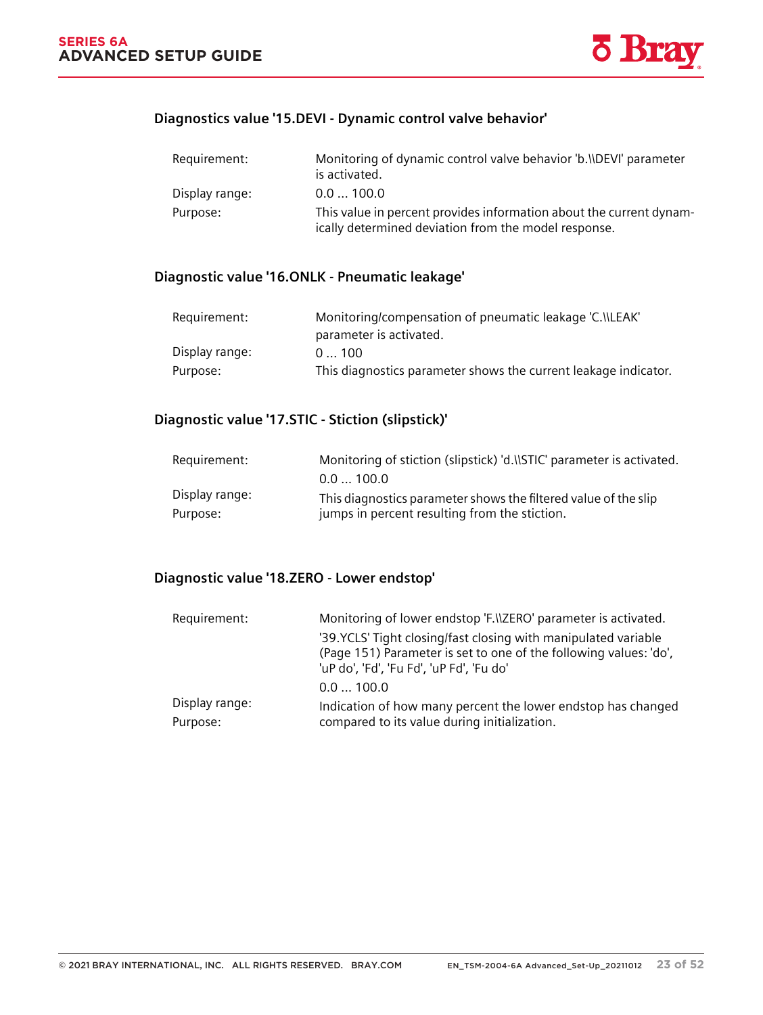*11.2 Diagnostics*

### **11.2.4.15 Diagnostics value '15.DEVI - Dynamic control valve behavior'**

| Requirement:   | Monitoring of dynamic control valve behavior 'b. ADEVI' parameter<br>is activated.                                          |
|----------------|-----------------------------------------------------------------------------------------------------------------------------|
| Display range: | 0.0100.0                                                                                                                    |
| Purpose:       | This value in percent provides information about the current dynam-<br>ically determined deviation from the model response. |

### **11.2.4.16 Diagnostic value '16.ONLK - Pneumatic leakage'**

| Requirement:   | Monitoring/compensation of pneumatic leakage 'C. ILEAK'         |
|----------------|-----------------------------------------------------------------|
|                | parameter is activated.                                         |
| Display range: | 0100                                                            |
| Purpose:       | This diagnostics parameter shows the current leakage indicator. |

### **11.2.4.17 Diagnostic value '17.STIC - Stiction (slipstick)'**

| Requirement:   | Monitoring of stiction (slipstick) 'd.\\STIC' parameter is activated. |
|----------------|-----------------------------------------------------------------------|
|                | 0.0100.0                                                              |
| Display range: | This diagnostics parameter shows the filtered value of the slip       |
| Purpose:       | jumps in percent resulting from the stiction.                         |

#### **11.2.4.18 Diagnostic value '18.ZERO - Lower endstop'**

| Requirement:               | Monitoring of lower endstop 'F. \\ZERO' parameter is activated.                                                                                                                  |  |  |  |  |
|----------------------------|----------------------------------------------------------------------------------------------------------------------------------------------------------------------------------|--|--|--|--|
|                            | '39. YCLS' Tight closing/fast closing with manipulated variable<br>(Page 151) Parameter is set to one of the following values: 'do',<br>'uP do', 'Fd', 'Fu Fd', 'uP Fd', 'Fu do' |  |  |  |  |
|                            | 0.0100.0                                                                                                                                                                         |  |  |  |  |
| Display range:<br>Purpose: | Indication of how many percent the lower endstop has changed<br>compared to its value during initialization.                                                                     |  |  |  |  |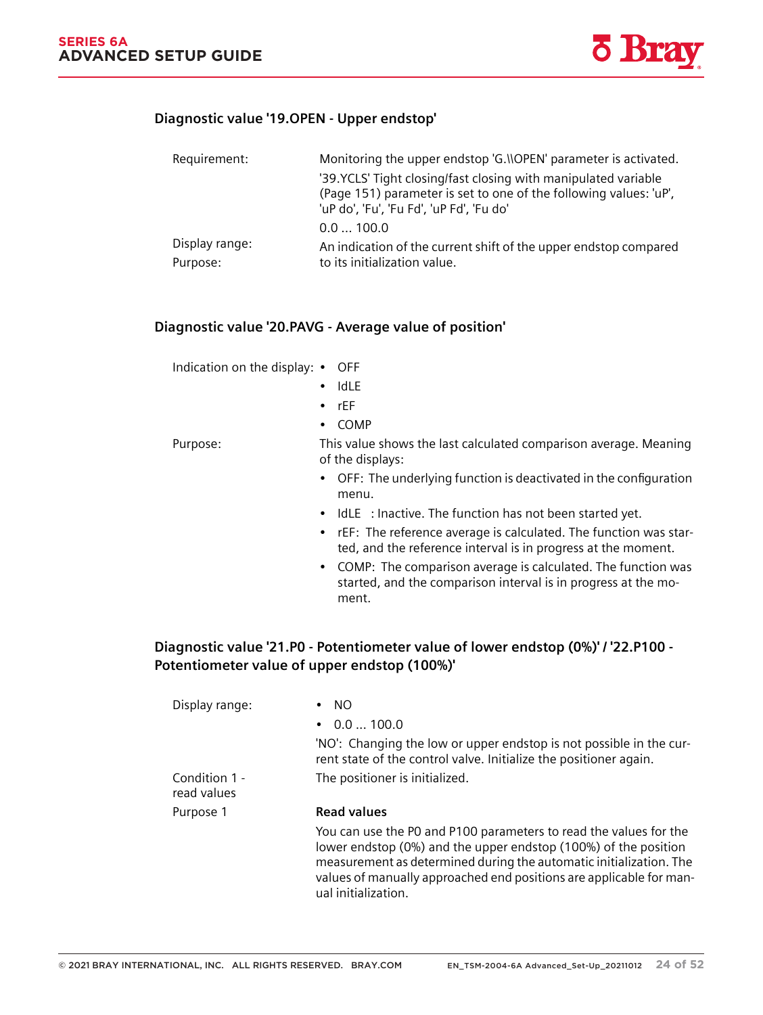#### **11.2.4.19 Diagnostic value '19.OPEN - Upper endstop'**

| Requirement:               | Monitoring the upper endstop 'G. NOPEN' parameter is activated.                                                                                                                  |  |  |  |  |
|----------------------------|----------------------------------------------------------------------------------------------------------------------------------------------------------------------------------|--|--|--|--|
|                            | '39. YCLS' Tight closing/fast closing with manipulated variable<br>(Page 151) parameter is set to one of the following values: 'uP',<br>'uP do', 'Fu', 'Fu Fd', 'uP Fd', 'Fu do' |  |  |  |  |
|                            | 0.0100.0                                                                                                                                                                         |  |  |  |  |
| Display range:<br>Purpose: | An indication of the current shift of the upper endstop compared<br>to its initialization value.                                                                                 |  |  |  |  |

#### **11.2.4.20 Diagnostic value '20.PAVG - Average value of position'**

Indication on the display: • OFF

- IdLE
- rEF

• COMP

Purpose: This value shows the last calculated comparison average. Meaning of the displays:

- OFF: The underlying function is deactivated in the configuration menu.
- IdLE : Inactive. The function has not been started yet.
- rEF: The reference average is calculated. The function was started, and the reference interval is in progress at the moment.
- COMP: The comparison average is calculated. The function was started, and the comparison interval is in progress at the mo‐ ment.

### **11.2.4.21 Diagnostic value '21.P0 - Potentiometer value of lower endstop (0%)' / '22.P100 - Potentiometer value of upper endstop (100%)'**

| Display range:               | <sub>NO</sub>                                                                                                                                                                                                                                                                                            |
|------------------------------|----------------------------------------------------------------------------------------------------------------------------------------------------------------------------------------------------------------------------------------------------------------------------------------------------------|
|                              | 0.0100.0                                                                                                                                                                                                                                                                                                 |
|                              | 'NO': Changing the low or upper endstop is not possible in the cur-<br>rent state of the control valve. Initialize the positioner again.                                                                                                                                                                 |
| Condition 1 -<br>read values | The positioner is initialized.                                                                                                                                                                                                                                                                           |
| Purpose 1                    | <b>Read values</b>                                                                                                                                                                                                                                                                                       |
|                              | You can use the PO and P100 parameters to read the values for the<br>lower endstop (0%) and the upper endstop (100%) of the position<br>measurement as determined during the automatic initialization. The<br>values of manually approached end positions are applicable for man-<br>ual initialization. |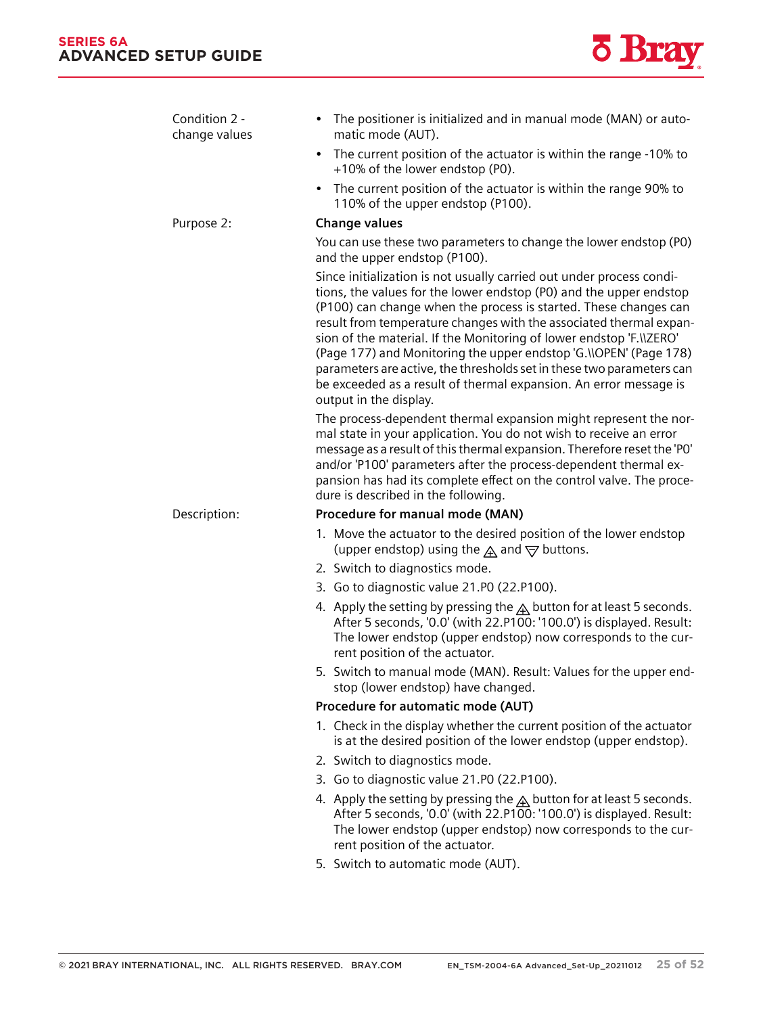*11.2 Diagnostics*



| Condition 2 -<br>change values | The positioner is initialized and in manual mode (MAN) or auto-<br>$\bullet$<br>matic mode (AUT).                                                                                                                                                                                                                                                                                                                                                                                                                                                                                                         |  |  |  |  |  |  |
|--------------------------------|-----------------------------------------------------------------------------------------------------------------------------------------------------------------------------------------------------------------------------------------------------------------------------------------------------------------------------------------------------------------------------------------------------------------------------------------------------------------------------------------------------------------------------------------------------------------------------------------------------------|--|--|--|--|--|--|
|                                | The current position of the actuator is within the range -10% to<br>$\bullet$<br>+10% of the lower endstop (P0).                                                                                                                                                                                                                                                                                                                                                                                                                                                                                          |  |  |  |  |  |  |
|                                | The current position of the actuator is within the range 90% to<br>$\bullet$<br>110% of the upper endstop (P100).                                                                                                                                                                                                                                                                                                                                                                                                                                                                                         |  |  |  |  |  |  |
| Purpose 2:                     | <b>Change values</b>                                                                                                                                                                                                                                                                                                                                                                                                                                                                                                                                                                                      |  |  |  |  |  |  |
|                                | You can use these two parameters to change the lower endstop (PO)<br>and the upper endstop (P100).                                                                                                                                                                                                                                                                                                                                                                                                                                                                                                        |  |  |  |  |  |  |
|                                | Since initialization is not usually carried out under process condi-<br>tions, the values for the lower endstop (P0) and the upper endstop<br>(P100) can change when the process is started. These changes can<br>result from temperature changes with the associated thermal expan-<br>sion of the material. If the Monitoring of lower endstop 'F. IZERO'<br>(Page 177) and Monitoring the upper endstop 'G. \\OPEN' (Page 178)<br>parameters are active, the thresholds set in these two parameters can<br>be exceeded as a result of thermal expansion. An error message is<br>output in the display. |  |  |  |  |  |  |
|                                | The process-dependent thermal expansion might represent the nor-<br>mal state in your application. You do not wish to receive an error<br>message as a result of this thermal expansion. Therefore reset the 'PO'<br>and/or 'P100' parameters after the process-dependent thermal ex-<br>pansion has had its complete effect on the control valve. The proce-<br>dure is described in the following.                                                                                                                                                                                                      |  |  |  |  |  |  |
| Description:                   | Procedure for manual mode (MAN)                                                                                                                                                                                                                                                                                                                                                                                                                                                                                                                                                                           |  |  |  |  |  |  |
|                                | 1. Move the actuator to the desired position of the lower endstop<br>(upper endstop) using the $\triangle$ and $\triangledown$ buttons.                                                                                                                                                                                                                                                                                                                                                                                                                                                                   |  |  |  |  |  |  |
|                                | 2. Switch to diagnostics mode.                                                                                                                                                                                                                                                                                                                                                                                                                                                                                                                                                                            |  |  |  |  |  |  |
|                                | 3. Go to diagnostic value 21.P0 (22.P100).                                                                                                                                                                                                                                                                                                                                                                                                                                                                                                                                                                |  |  |  |  |  |  |
|                                | 4. Apply the setting by pressing the $\mathbb A$ button for at least 5 seconds.<br>After 5 seconds, '0.0' (with 22.P1 $\overline{00}$ : '100.0') is displayed. Result:<br>The lower endstop (upper endstop) now corresponds to the cur-<br>rent position of the actuator.                                                                                                                                                                                                                                                                                                                                 |  |  |  |  |  |  |
|                                | 5. Switch to manual mode (MAN). Result: Values for the upper end-<br>stop (lower endstop) have changed.                                                                                                                                                                                                                                                                                                                                                                                                                                                                                                   |  |  |  |  |  |  |
|                                | Procedure for automatic mode (AUT)                                                                                                                                                                                                                                                                                                                                                                                                                                                                                                                                                                        |  |  |  |  |  |  |
|                                | 1. Check in the display whether the current position of the actuator<br>is at the desired position of the lower endstop (upper endstop).                                                                                                                                                                                                                                                                                                                                                                                                                                                                  |  |  |  |  |  |  |
|                                | 2. Switch to diagnostics mode.                                                                                                                                                                                                                                                                                                                                                                                                                                                                                                                                                                            |  |  |  |  |  |  |
|                                | 3. Go to diagnostic value 21.P0 (22.P100).                                                                                                                                                                                                                                                                                                                                                                                                                                                                                                                                                                |  |  |  |  |  |  |
|                                | 4. Apply the setting by pressing the $\triangle$ button for at least 5 seconds.<br>After 5 seconds, '0.0' (with 22.P100: '100.0') is displayed. Result:<br>The lower endstop (upper endstop) now corresponds to the cur-<br>rent position of the actuator.                                                                                                                                                                                                                                                                                                                                                |  |  |  |  |  |  |
|                                | 5. Switch to automatic mode (AUT).                                                                                                                                                                                                                                                                                                                                                                                                                                                                                                                                                                        |  |  |  |  |  |  |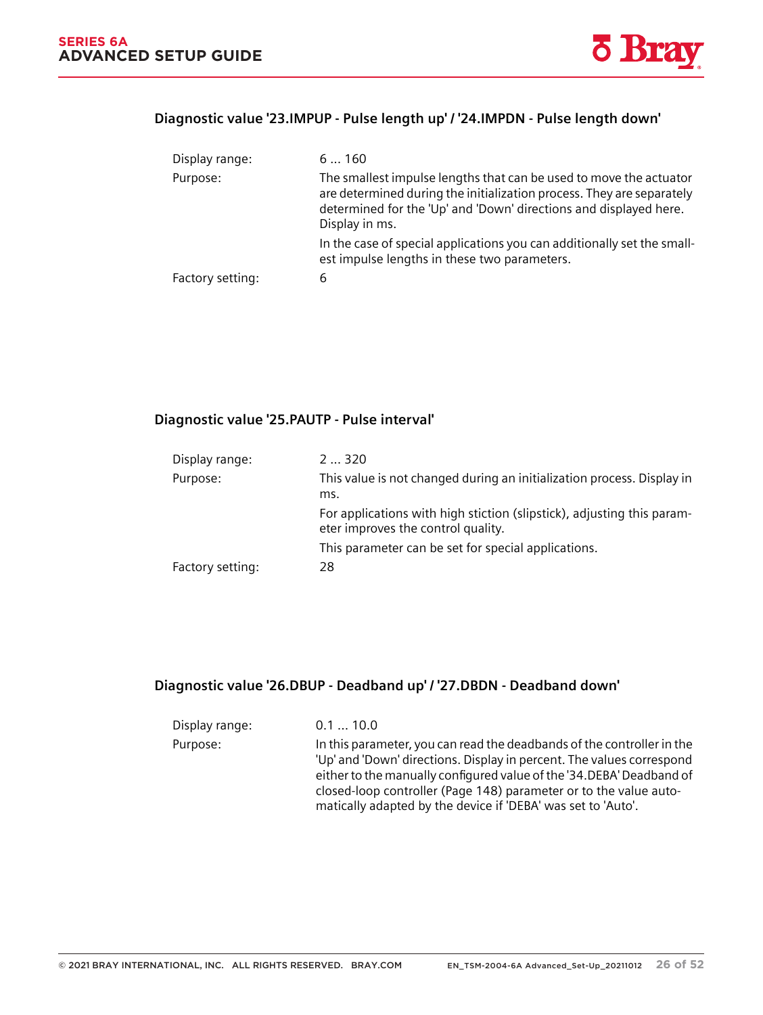

#### **11.2.4.22 Diagnostic value '23.IMPUP - Pulse length up' / '24.IMPDN - Pulse length down'**

| Display range:   | 6160                                                                                                                                                                                                                               |
|------------------|------------------------------------------------------------------------------------------------------------------------------------------------------------------------------------------------------------------------------------|
| Purpose:         | The smallest impulse lengths that can be used to move the actuator<br>are determined during the initialization process. They are separately<br>determined for the 'Up' and 'Down' directions and displayed here.<br>Display in ms. |
|                  | In the case of special applications you can additionally set the small-<br>est impulse lengths in these two parameters.                                                                                                            |
| Factory setting: | 6                                                                                                                                                                                                                                  |

### **11.2.4.23 Diagnostic value '25.PAUTP - Pulse interval'**

Changing the operating mode (Page 96)

| Display range:   | 2320                                                                                                         |
|------------------|--------------------------------------------------------------------------------------------------------------|
| Purpose:         | This value is not changed during an initialization process. Display in<br>ms.                                |
|                  | For applications with high stiction (slipstick), adjusting this param-<br>eter improves the control quality. |
|                  | This parameter can be set for special applications.                                                          |
| Factory setting: | 28                                                                                                           |

### **11.2.4.24 Diagnostic value '26.DBUP - Deadband up' / '27.DBDN - Deadband down'**

| Display range: | 0.110.0                                                                                                                                                                                                                                                                                                                                                       |
|----------------|---------------------------------------------------------------------------------------------------------------------------------------------------------------------------------------------------------------------------------------------------------------------------------------------------------------------------------------------------------------|
| Purpose:       | In this parameter, you can read the deadbands of the controller in the<br>'Up' and 'Down' directions. Display in percent. The values correspond<br>either to the manually configured value of the '34. DEBA' Deadband of<br>closed-loop controller (Page 148) parameter or to the value auto-<br>matically adapted by the device if 'DEBA' was set to 'Auto'. |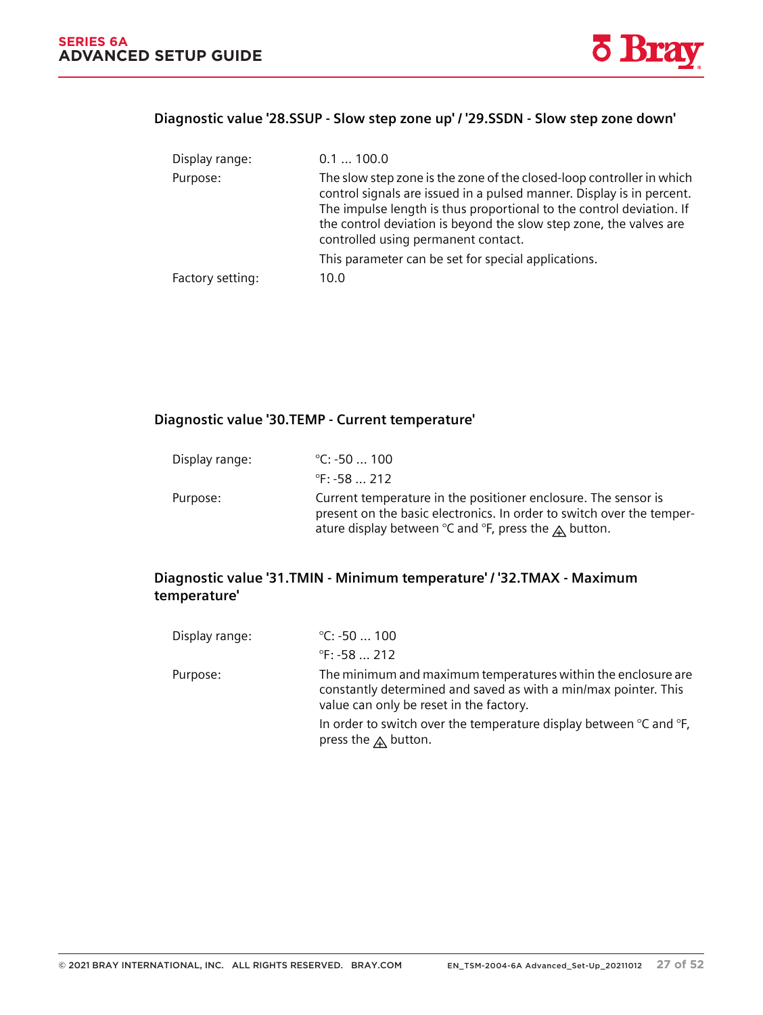*11.2 Diagnostics*



#### **11.2.4.25 Diagnostic value '28.SSUP - Slow step zone up' / '29.SSDN - Slow step zone down'**

| Display range:   | 0.1100.0                                                                                                                                                                                                                                                                                                                            |
|------------------|-------------------------------------------------------------------------------------------------------------------------------------------------------------------------------------------------------------------------------------------------------------------------------------------------------------------------------------|
| Purpose:         | The slow step zone is the zone of the closed-loop controller in which<br>control signals are issued in a pulsed manner. Display is in percent.<br>The impulse length is thus proportional to the control deviation. If<br>the control deviation is beyond the slow step zone, the valves are<br>controlled using permanent contact. |
|                  | This parameter can be set for special applications.                                                                                                                                                                                                                                                                                 |
| Factory setting: | 10.0                                                                                                                                                                                                                                                                                                                                |

### **11.2.4.26 Diagnostic value '30.TEMP - Current temperature'**

| Display range: | °C: -50  100                                                                                                                                                                                                                |
|----------------|-----------------------------------------------------------------------------------------------------------------------------------------------------------------------------------------------------------------------------|
|                | $\degree$ F: -58  212                                                                                                                                                                                                       |
| Purpose:       | Current temperature in the positioner enclosure. The sensor is<br>present on the basic electronics. In order to switch over the temper-<br>ature display between $\degree$ C and $\degree$ F, press the $\triangle$ button. |

### **11.2.4.27 Diagnostic value '31.TMIN - Minimum temperature' / '32.TMAX - Maximum temperature'**

| Display range: | $^{\circ}$ C: -50  100                                                                                                                                                                                                                                              |
|----------------|---------------------------------------------------------------------------------------------------------------------------------------------------------------------------------------------------------------------------------------------------------------------|
|                | $\degree$ F: -58  212                                                                                                                                                                                                                                               |
| Purpose:       | The minimum and maximum temperatures within the enclosure are<br>constantly determined and saved as with a min/max pointer. This<br>value can only be reset in the factory.<br>In order to switch over the temperature display between $\degree$ C and $\degree$ F, |
|                | press the $\bigwedge$ button.                                                                                                                                                                                                                                       |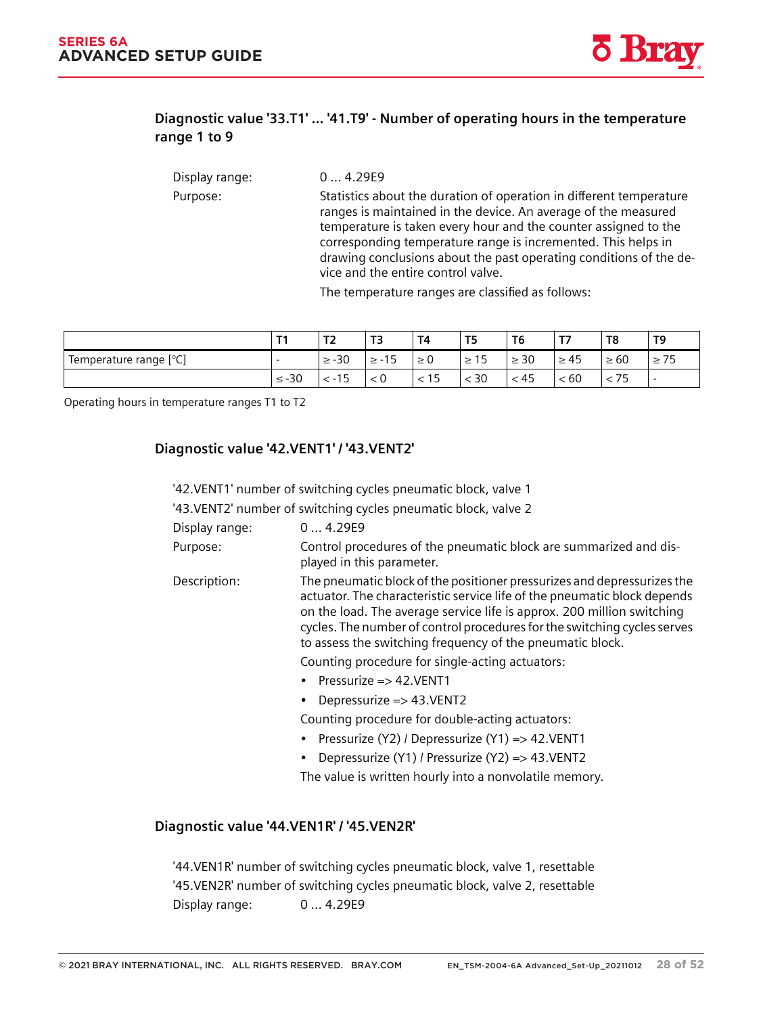### **11.2.4.28 Diagnostic value '33.T1' ... '41.T9' - Number of operating hours in the temperature range 1 to 9**

Display range: 0 ... 4.29E9 Purpose: Statistics about the duration of operation in different temperature ranges is maintained in the device. An average of the measured temperature is taken every hour and the counter assigned to the corresponding temperature range is incremented. This helps in drawing conclusions about the past operating conditions of the de‐ vice and the entire control valve.

The temperature ranges are classified as follows:

|                        | т.         | $\mathbf{r}$<br>$\sim$ | T3                            | T4       | T5             | T6        | $\mathbf{r}$<br>. . | T <sub>8</sub> | T <sub>9</sub>           |
|------------------------|------------|------------------------|-------------------------------|----------|----------------|-----------|---------------------|----------------|--------------------------|
| Temperature range [°C] |            | $\geq -30$             | 1 <sup>F</sup><br>≥ -`<br>. ت | $\geq 0$ | $\sim$<br>≥ 15 | $\geq 30$ | $\geq 45$           | -60            | $\overline{\phantom{a}}$ |
|                        | $\leq -30$ | 15<br>$-1$             | 0 >                           | < 15     | $<$ 30         | < 45      | 360                 | 75             | $\overline{\phantom{0}}$ |

Operating hours in temperature ranges T1 to T2

#### **11.2.4.29 Diagnostic value '42.VENT1' / '43.VENT2'**

'42.VENT1' number of switching cycles pneumatic block, valve 1

'43.VENT2' number of switching cycles pneumatic block, valve 2

| Display range: | 04.29E9 |
|----------------|---------|
|----------------|---------|

- Purpose: Control procedures of the pneumatic block are summarized and displayed in this parameter.
- Description: The pneumatic block of the positioner pressurizes and depressurizes the actuator. The characteristic service life of the pneumatic block depends on the load. The average service life is approx. 200 million switching cycles. The number of control procedures for the switching cycles serves to assess the switching frequency of the pneumatic block.

Counting procedure for single-acting actuators:

- Pressurize => 42. VENT1
- Depressurize => 43. VENT2

Counting procedure for double-acting actuators:

- Pressurize (Y2) / Depressurize (Y1) => 42.VENT1
- Depressurize (Y1) / Pressurize (Y2) => 43.VENT2

The value is written hourly into a nonvolatile memory.

#### **11.2.4.30 Diagnostic value '44.VEN1R' / '45.VEN2R'**

'44.VEN1R' number of switching cycles pneumatic block, valve 1, resettable '45.VEN2R' number of switching cycles pneumatic block, valve 2, resettable Display range: 0 ... 4.29E9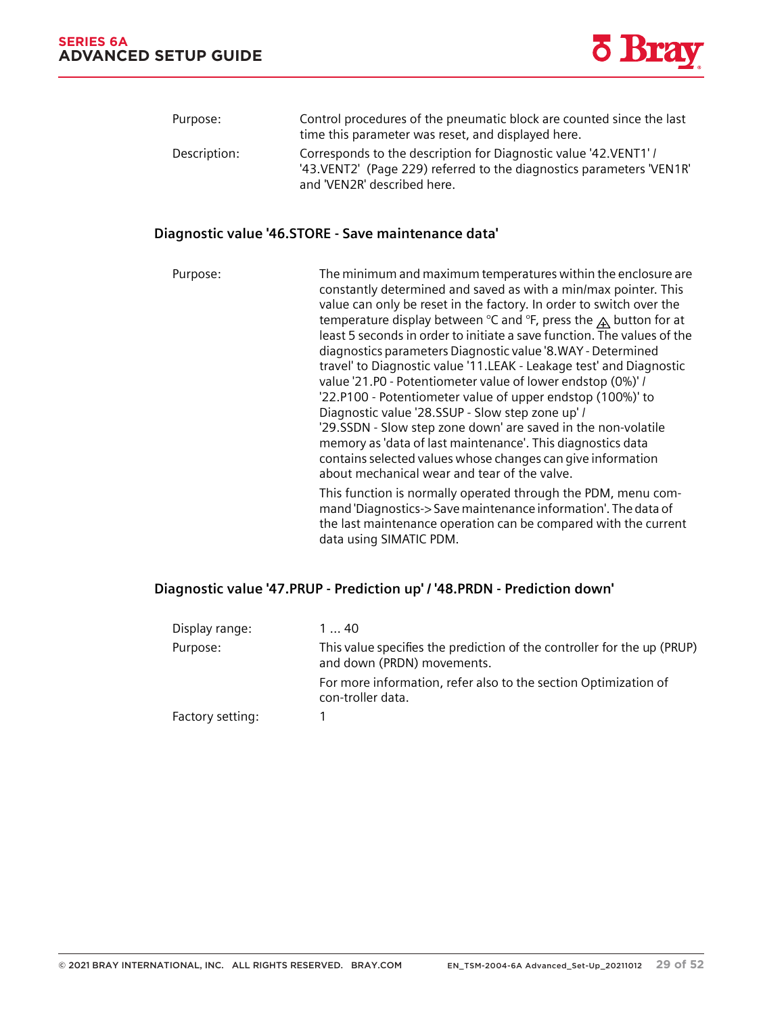*11.2 Diagnostics*



| Purpose:     | Control procedures of the pneumatic block are counted since the last<br>time this parameter was reset, and displayed here.                                                |
|--------------|---------------------------------------------------------------------------------------------------------------------------------------------------------------------------|
| Description: | Corresponds to the description for Diagnostic value '42. VENT1' /<br>'43. VENT2' (Page 229) referred to the diagnostics parameters 'VEN1R'<br>and 'VEN2R' described here. |

#### **11.2.4.31 Diagnostic value '46.STORE - Save maintenance data'**

Purpose: The minimum and maximum temperatures within the enclosure are constantly determined and saved as with a min/max pointer. This value can only be reset in the factory. In order to switch over the temperature display between °C and °F, press the  $\triangle$  button for at least 5 seconds in order to initiate a save function. The values of the diagnostics parameters Diagnostic value '8.WAY - Determined travel' to Diagnostic value '11.LEAK - Leakage test' and Diagnostic value '21.P0 - Potentiometer value of lower endstop (0%)' / '22.P100 - Potentiometer value of upper endstop (100%)' to Diagnostic value '28.SSUP - Slow step zone up' / '29.SSDN - Slow step zone down' are saved in the non-volatile memory as 'data of last maintenance'. This diagnostics data contains selected values whose changes can give information about mechanical wear and tear of the valve. This function is normally operated through the PDM, menu com‐ mand 'Diagnostics-> Save maintenance information'. The data of the last maintenance operation can be compared with the current data using SIMATIC PDM.

#### **11.2.4.32 Diagnostic value '47.PRUP - Prediction up' / '48.PRDN - Prediction down'**

| Display range:   | 140                                                                                                   |
|------------------|-------------------------------------------------------------------------------------------------------|
| Purpose:         | This value specifies the prediction of the controller for the up (PRUP)<br>and down (PRDN) movements. |
|                  | For more information, refer also to the section Optimization of<br>con-troller data.                  |
| Factory setting: |                                                                                                       |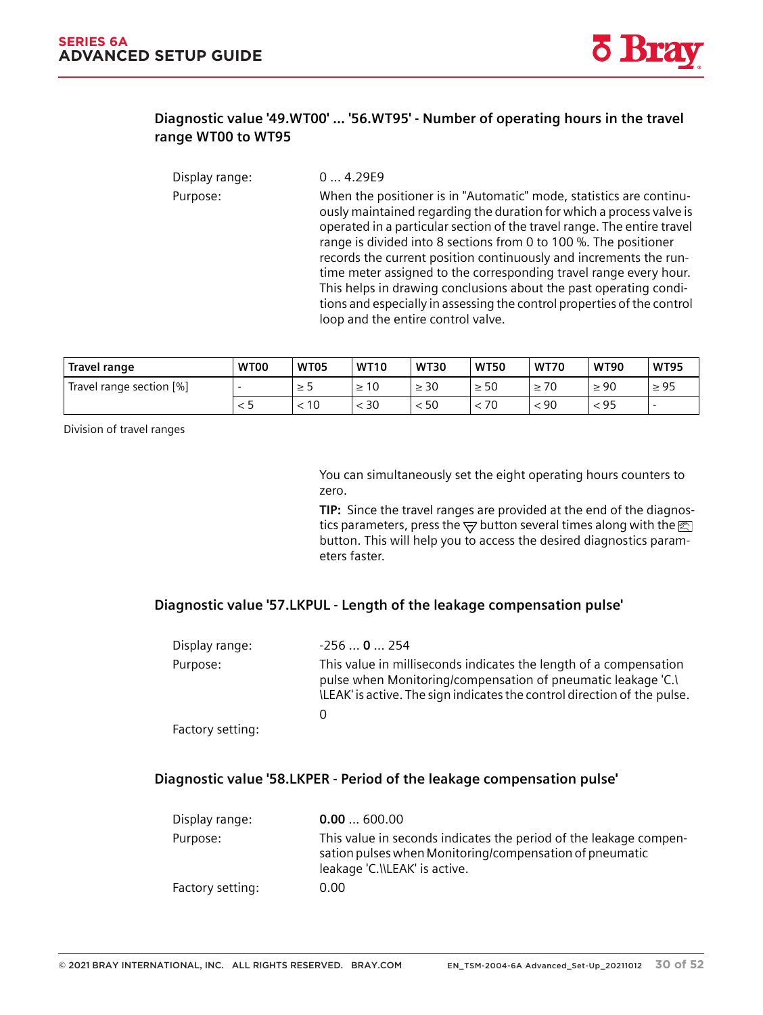#### **11.2.4.33 Diagnostic value '49.WT00' ... '56.WT95' - Number of operating hours in the travel range WT00 to WT95**

| Display range: | 04.29E9                                                                                                                                                                                                                                                                                                                                                                                                                                                                                                                                                                                                                    |
|----------------|----------------------------------------------------------------------------------------------------------------------------------------------------------------------------------------------------------------------------------------------------------------------------------------------------------------------------------------------------------------------------------------------------------------------------------------------------------------------------------------------------------------------------------------------------------------------------------------------------------------------------|
| Purpose:       | When the positioner is in "Automatic" mode, statistics are continu-<br>ously maintained regarding the duration for which a process valve is<br>operated in a particular section of the travel range. The entire travel<br>range is divided into 8 sections from 0 to 100 %. The positioner<br>records the current position continuously and increments the run-<br>time meter assigned to the corresponding travel range every hour.<br>This helps in drawing conclusions about the past operating condi-<br>tions and especially in assessing the control properties of the control<br>loop and the entire control valve. |
|                |                                                                                                                                                                                                                                                                                                                                                                                                                                                                                                                                                                                                                            |

| Travel range             | WT00 | WT05 | <b>WT10</b> | <b>WT30</b> | <b>WT50</b> | <b>WT70</b> | <b>WT90</b> | <b>WT95</b> |
|--------------------------|------|------|-------------|-------------|-------------|-------------|-------------|-------------|
| Travel range section [%] |      | ל ≤  | 10          | $\geq 30$   | $\geq 50$   | $\geq 70$   | $\geq 90$   | $\geq 95$   |
|                          |      | 10   | 30          | 50          | 70          | < 90        | < 95        | -           |

Division of travel ranges

You can simultaneously set the eight operating hours counters to zero.

TIP: Since the travel ranges are provided at the end of the diagnostics parameters, press the  $\overline{\nabla}$  button several times along with the  $\overline{\mathbb{Z}}$ button. This will help you to access the desired diagnostics param‐ eters faster.

#### **11.2.4.34 Diagnostic value '57.LKPUL - Length of the leakage compensation pulse'**

| Display range:   | $-2560254$                                                                                                                                                                                                    |
|------------------|---------------------------------------------------------------------------------------------------------------------------------------------------------------------------------------------------------------|
| Purpose:         | This value in milliseconds indicates the length of a compensation<br>pulse when Monitoring/compensation of pneumatic leakage 'C.)<br>ILEAK' is active. The sign indicates the control direction of the pulse. |
|                  |                                                                                                                                                                                                               |
| Factory setting: |                                                                                                                                                                                                               |

#### **11.2.4.35 Diagnostic value '58.LKPER - Period of the leakage compensation pulse'**

| Display range:   | 0.00600.00                                                                                                                                                    |
|------------------|---------------------------------------------------------------------------------------------------------------------------------------------------------------|
| Purpose:         | This value in seconds indicates the period of the leakage compen-<br>sation pulses when Monitoring/compensation of pneumatic<br>leakage 'C.\\LEAK' is active. |
| Factory setting: | 0.00                                                                                                                                                          |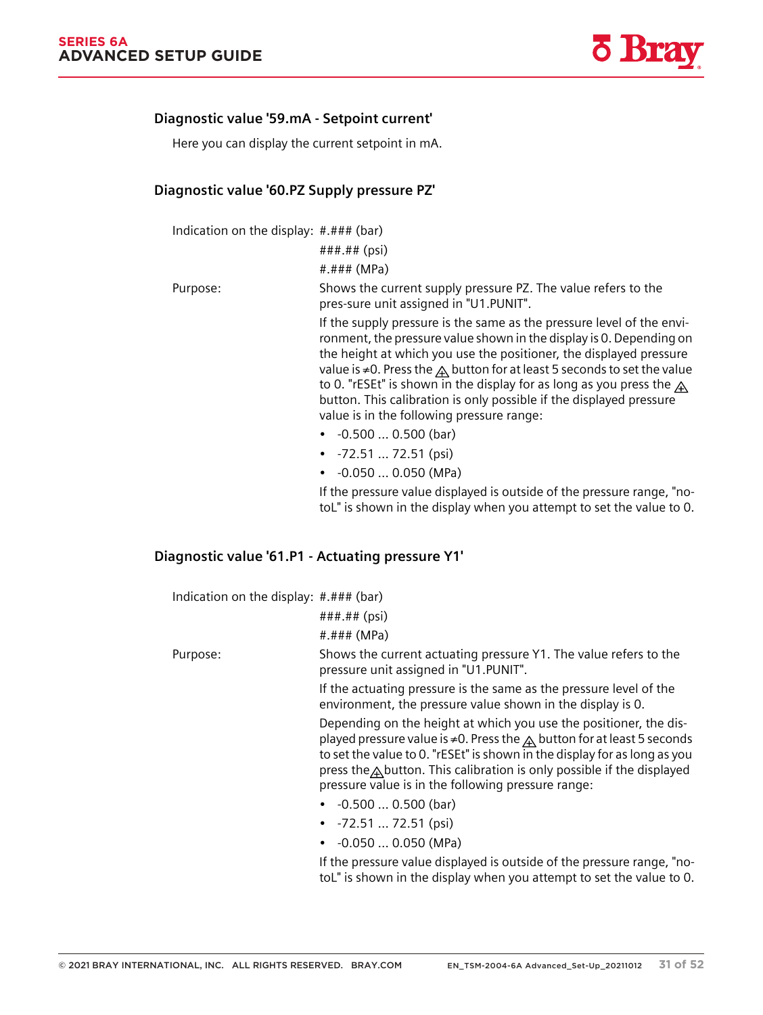*11.2 Diagnostics*

#### **11.2.4.36 Diagnostic value '59.mA - Setpoint current'**

Here you can display the current setpoint in mA.

#### **11.2.4.37 Diagnostic value '60.PZ Supply pressure PZ'**

Indication on the display: #.### (bar)

###.## (psi) #.### (MPa)

Purpose: Shows the current supply pressure PZ. The value refers to the pres‐sure unit assigned in "U1.PUNIT".

> If the supply pressure is the same as the pressure level of the environment, the pressure value shown in the display is 0. Depending on the height at which you use the positioner, the displayed pressure value is ≠0. Press the  $\triangle$  button for at least 5 seconds to set the value to 0. "rESEt" is shown in the display for as long as you press the  $\bigwedge$ button. This calibration is only possible if the displayed pressure value is in the following pressure range:

- -0.500 … 0.500 (bar)
- -72.51 … 72.51 (psi)
- -0.050 … 0.050 (MPa)

If the pressure value displayed is outside of the pressure range, "no‐ toL" is shown in the display when you attempt to set the value to 0.

#### **11.2.4.38 Diagnostic value '61.P1 - Actuating pressure Y1'**

| Indication on the display: #.### (bar) |  |  |  |
|----------------------------------------|--|--|--|
|----------------------------------------|--|--|--|

| ###.## (psi) |  |
|--------------|--|
|              |  |

#.### (MPa)

Purpose: Shows the current actuating pressure Y1. The value refers to the pressure unit assigned in "U1.PUNIT".

> If the actuating pressure is the same as the pressure level of the environment, the pressure value shown in the display is 0.

Depending on the height at which you use the positioner, the dis‐ played pressure value is ≠0. Press the  $\triangle$  button for at least 5 seconds to set the value to 0. "rESEt" is shown in the display for as long as you press the  $\triangle$  button. This calibration is only possible if the displayed pressure value is in the following pressure range:

- -0.500 … 0.500 (bar)
- -72.51 … 72.51 (psi)
- -0.050 … 0.050 (MPa)

If the pressure value displayed is outside of the pressure range, "no‐ toL" is shown in the display when you attempt to set the value to 0.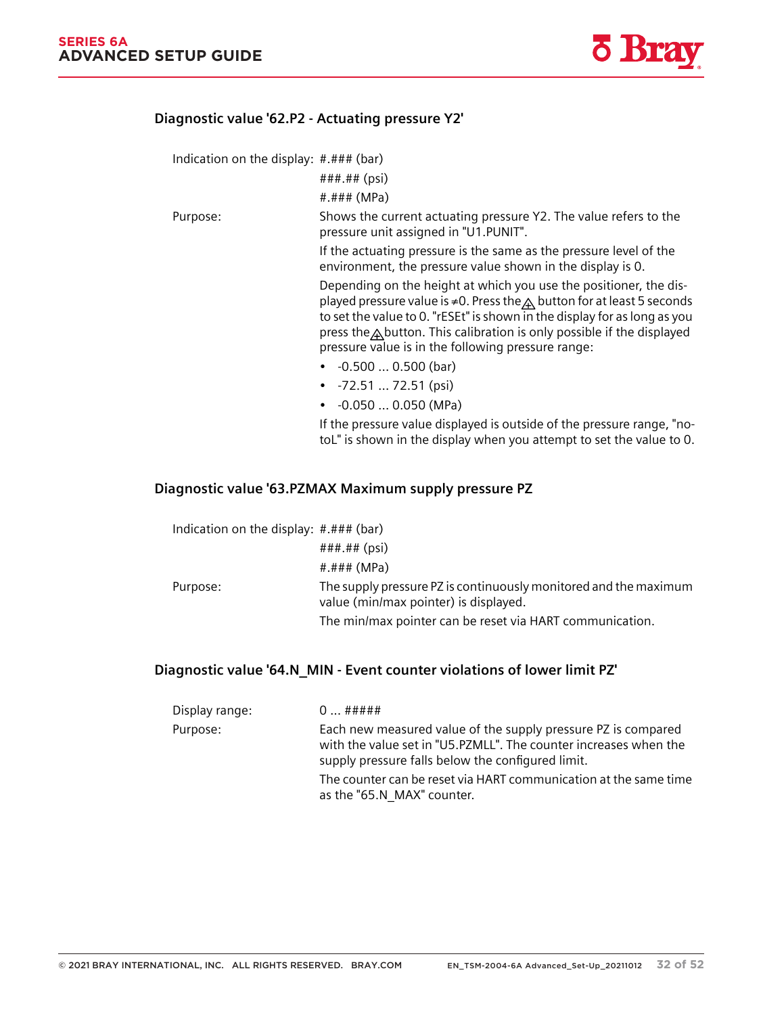

#### **11.2.4.39 Diagnostic value '62.P2 - Actuating pressure Y2'**

Indication on the display: #.### (bar)

###.## (psi)

#.### (MPa)

Purpose: Shows the current actuating pressure Y2. The value refers to the pressure unit assigned in "U1.PUNIT".

> If the actuating pressure is the same as the pressure level of the environment, the pressure value shown in the display is 0.

Depending on the height at which you use the positioner, the dis‐ played pressure value is ≠0. Press the $\triangle$  button for at least 5 seconds to set the value to 0. "rESEt" is shown  $\overline{in}$  the display for as long as you press the  $\triangle$  button. This calibration is only possible if the displayed pressure value is in the following pressure range:

- -0.500 … 0.500 (bar)
- -72.51 … 72.51 (psi)
- -0.050 … 0.050 (MPa)

If the pressure value displayed is outside of the pressure range, "no‐ toL" is shown in the display when you attempt to set the value to 0.

#### **11.2.4.40 Diagnostic value '63.PZMAX Maximum supply pressure PZ**

| Indication on the display: $\#.\# \#$ (bar) |                                                                                                           |
|---------------------------------------------|-----------------------------------------------------------------------------------------------------------|
|                                             | $\# \# \# \# \#$ (psi)                                                                                    |
|                                             | #.### $(MPa)$                                                                                             |
| Purpose:                                    | The supply pressure PZ is continuously monitored and the maximum<br>value (min/max pointer) is displayed. |
|                                             | The min/max pointer can be reset via HART communication.                                                  |

#### **11.2.4.41 Diagnostic value '64.N\_MIN - Event counter violations of lower limit PZ'**

| Display range: | $0$ #####                                                                                                                                                                              |
|----------------|----------------------------------------------------------------------------------------------------------------------------------------------------------------------------------------|
| Purpose:       | Each new measured value of the supply pressure PZ is compared<br>with the value set in "U5.PZMLL". The counter increases when the<br>supply pressure falls below the configured limit. |
|                | The counter can be reset via HART communication at the same time<br>as the "65.N MAX" counter.                                                                                         |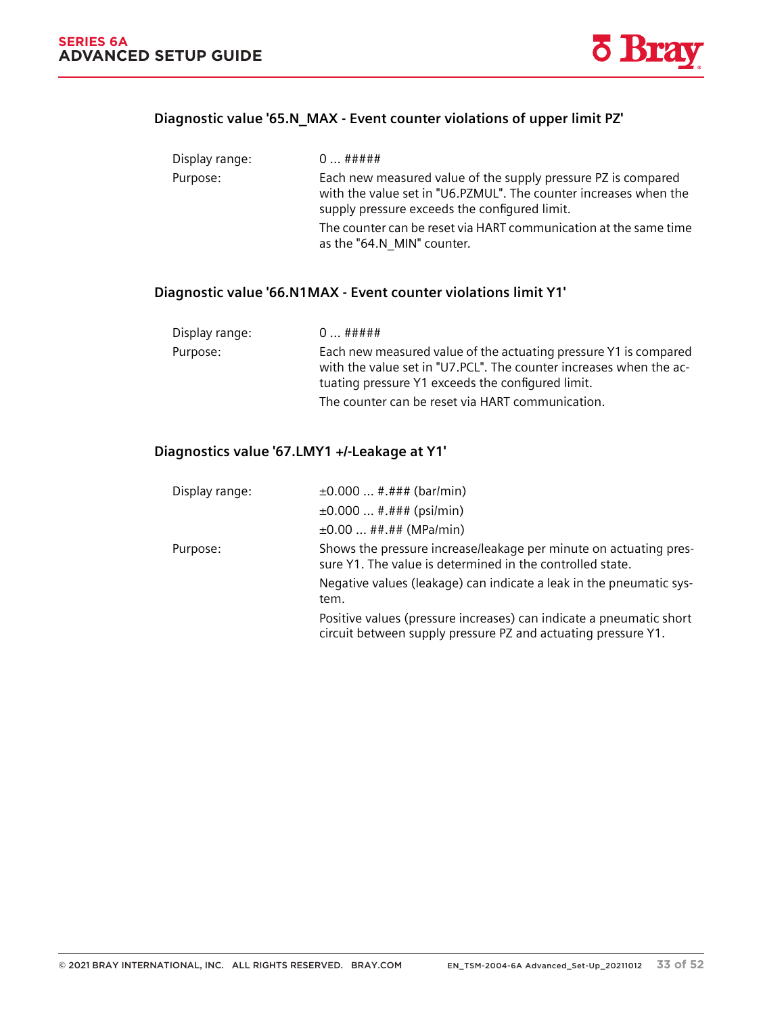*11.2 Diagnostics*



## **11.2.4.42 Diagnostic value '65.N\_MAX - Event counter violations of upper limit PZ'**

| Display range: | $0$ #####                                                                                                                                                                          |
|----------------|------------------------------------------------------------------------------------------------------------------------------------------------------------------------------------|
| Purpose:       | Each new measured value of the supply pressure PZ is compared<br>with the value set in "U6.PZMUL". The counter increases when the<br>supply pressure exceeds the configured limit. |
|                | The counter can be reset via HART communication at the same time<br>as the "64.N MIN" counter.                                                                                     |

### **11.2.4.43 Diagnostic value '66.N1MAX - Event counter violations limit Y1'**

| Display range: | $0$ #####                                                                                                                                                                                   |
|----------------|---------------------------------------------------------------------------------------------------------------------------------------------------------------------------------------------|
| Purpose:       | Each new measured value of the actuating pressure Y1 is compared<br>with the value set in "U7.PCL". The counter increases when the ac-<br>tuating pressure Y1 exceeds the configured limit. |
|                | The counter can be reset via HART communication.                                                                                                                                            |

### **11.2.4.44 Diagnostics value '67.LMY1 +/-Leakage at Y1'**

| Display range: | $\pm 0.000$ #.### (bar/min)                                                                                                          |  |  |
|----------------|--------------------------------------------------------------------------------------------------------------------------------------|--|--|
|                | $\pm 0.000$ #.### (psi/min)                                                                                                          |  |  |
|                | $\pm 0.00$ ##.## (MPa/min)                                                                                                           |  |  |
| Purpose:       | Shows the pressure increase/leakage per minute on actuating pres-<br>sure Y1. The value is determined in the controlled state.       |  |  |
|                | Negative values (leakage) can indicate a leak in the pneumatic sys-<br>tem.                                                          |  |  |
|                | Positive values (pressure increases) can indicate a pneumatic short<br>circuit between supply pressure PZ and actuating pressure Y1. |  |  |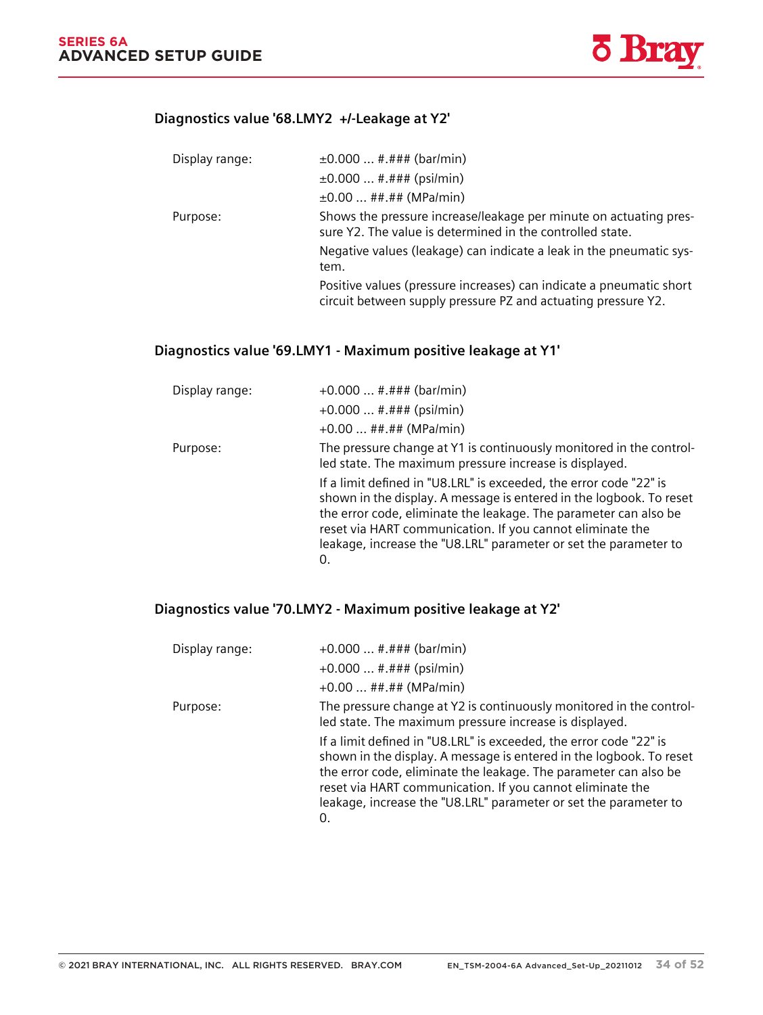#### **11.2.4.45 Diagnostics value '68.LMY2 +/-Leakage at Y2'**

| Display range: | $\pm 0.000$ #.### (bar/min)                                                                                                          |
|----------------|--------------------------------------------------------------------------------------------------------------------------------------|
|                | $\pm 0.000$ #.### (psi/min)                                                                                                          |
|                | $\pm 0.00$ ##.## (MPa/min)                                                                                                           |
| Purpose:       | Shows the pressure increase/leakage per minute on actuating pres-<br>sure Y2. The value is determined in the controlled state.       |
|                | Negative values (leakage) can indicate a leak in the pneumatic sys-<br>tem.                                                          |
|                | Positive values (pressure increases) can indicate a pneumatic short<br>circuit between supply pressure PZ and actuating pressure Y2. |

### **11.2.4.46 Diagnostics value '69.LMY1 - Maximum positive leakage at Y1'**

| Display range: | $+0.000$ #.### (bar/min)<br>$+0.000$ #.### (psi/min)                                                                                                                                                                                                                                                                                                 |  |
|----------------|------------------------------------------------------------------------------------------------------------------------------------------------------------------------------------------------------------------------------------------------------------------------------------------------------------------------------------------------------|--|
|                | $+0.00$ ##.## (MPa/min)                                                                                                                                                                                                                                                                                                                              |  |
| Purpose:       | The pressure change at Y1 is continuously monitored in the control-<br>led state. The maximum pressure increase is displayed.                                                                                                                                                                                                                        |  |
|                | If a limit defined in "U8.LRL" is exceeded, the error code "22" is<br>shown in the display. A message is entered in the logbook. To reset<br>the error code, eliminate the leakage. The parameter can also be<br>reset via HART communication. If you cannot eliminate the<br>leakage, increase the "U8.LRL" parameter or set the parameter to<br>0. |  |

### **11.2.4.47 Diagnostics value '70.LMY2 - Maximum positive leakage at Y2'**

| Display range: | $+0.000$ #.### (bar/min)                                                                                                                                                                                                                                                                                                                             |
|----------------|------------------------------------------------------------------------------------------------------------------------------------------------------------------------------------------------------------------------------------------------------------------------------------------------------------------------------------------------------|
|                | $+0.000$ #.### (psi/min)                                                                                                                                                                                                                                                                                                                             |
|                | $+0.00$ ##.## (MPa/min)                                                                                                                                                                                                                                                                                                                              |
| Purpose:       | The pressure change at Y2 is continuously monitored in the control-<br>led state. The maximum pressure increase is displayed.                                                                                                                                                                                                                        |
|                | If a limit defined in "U8.LRL" is exceeded, the error code "22" is<br>shown in the display. A message is entered in the logbook. To reset<br>the error code, eliminate the leakage. The parameter can also be<br>reset via HART communication. If you cannot eliminate the<br>leakage, increase the "U8.LRL" parameter or set the parameter to<br>O. |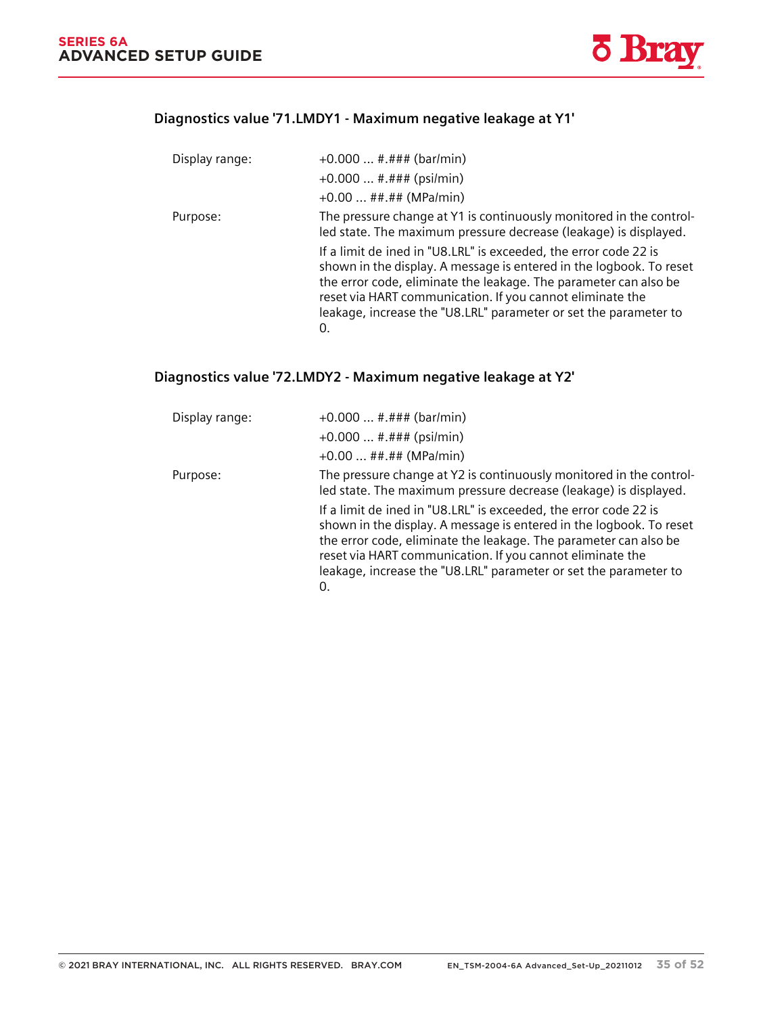*11.3 Online diagnostics*

### **11.2.4.48 Diagnostics value '71.LMDY1 - Maximum negative leakage at Y1'**

| Display range: | $+0.000$ #.### (bar/min)<br>$+0.000$ #.### (psi/min)<br>$+0.00$ ##.## (MPa/min)                                                                                                                                                                                                                                                                    |
|----------------|----------------------------------------------------------------------------------------------------------------------------------------------------------------------------------------------------------------------------------------------------------------------------------------------------------------------------------------------------|
| Purpose:       | The pressure change at Y1 is continuously monitored in the control-<br>led state. The maximum pressure decrease (leakage) is displayed.                                                                                                                                                                                                            |
|                | If a limit de ined in "U8.LRL" is exceeded, the error code 22 is<br>shown in the display. A message is entered in the logbook. To reset<br>the error code, eliminate the leakage. The parameter can also be<br>reset via HART communication. If you cannot eliminate the<br>leakage, increase the "U8.LRL" parameter or set the parameter to<br>0. |

### **11.2.4.49 Diagnostics value '72.LMDY2 - Maximum negative leakage at Y2'**

| Display range: | $+0.000$ #.### (bar/min)                                                                                                                                                                                                                                                                                                                           |
|----------------|----------------------------------------------------------------------------------------------------------------------------------------------------------------------------------------------------------------------------------------------------------------------------------------------------------------------------------------------------|
|                | $+0.000$ #.### (psi/min)                                                                                                                                                                                                                                                                                                                           |
|                | $+0.00$ ##.## (MPa/min)                                                                                                                                                                                                                                                                                                                            |
| Purpose:       | The pressure change at Y2 is continuously monitored in the control-<br>led state. The maximum pressure decrease (leakage) is displayed.                                                                                                                                                                                                            |
|                | If a limit de ined in "U8.LRL" is exceeded, the error code 22 is<br>shown in the display. A message is entered in the logbook. To reset<br>the error code, eliminate the leakage. The parameter can also be<br>reset via HART communication. If you cannot eliminate the<br>leakage, increase the "U8.LRL" parameter or set the parameter to<br>0. |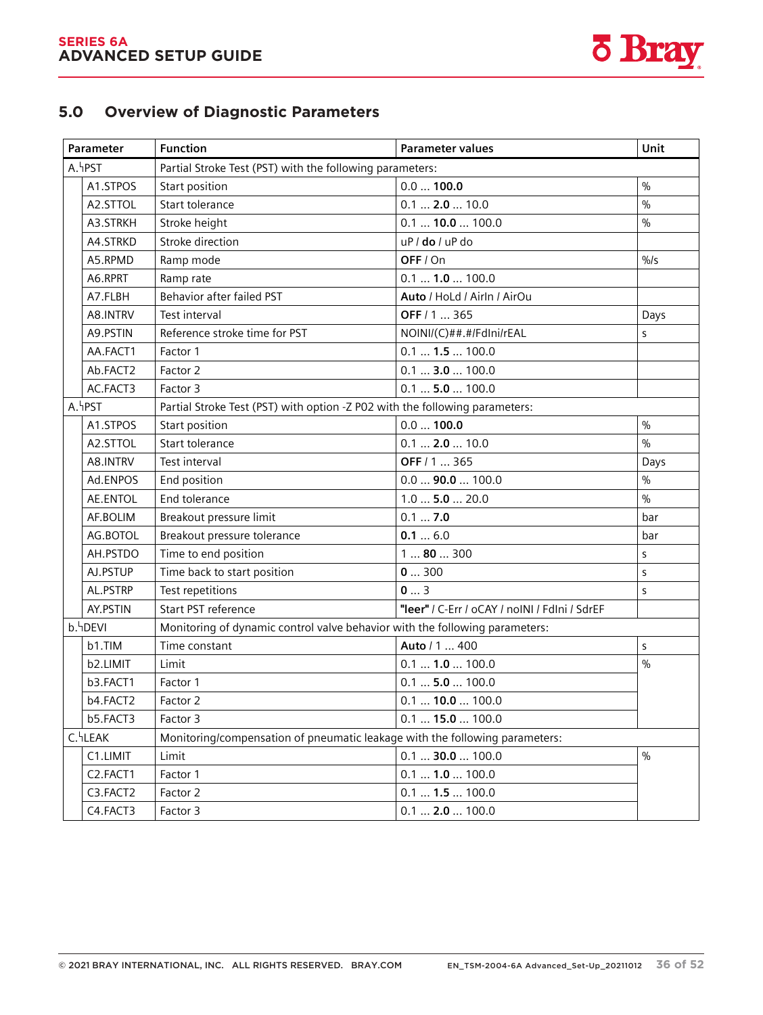

### **8.4 Overview of diagnostic parameters 5.0 Overview of Diagnostic Parameters**

| Parameter            |                             | <b>Function</b>                                                             | <b>Parameter values</b>                       | Unit            |  |
|----------------------|-----------------------------|-----------------------------------------------------------------------------|-----------------------------------------------|-----------------|--|
| A.hPST               |                             | Partial Stroke Test (PST) with the following parameters:                    |                                               |                 |  |
| A1.STPOS             |                             | Start position                                                              | 0.0100.0                                      | $\%$            |  |
|                      | Start tolerance<br>A2.STTOL |                                                                             | 0.1  2.0  10.0                                | $\frac{0}{0}$   |  |
|                      | A3.STRKH                    | Stroke height                                                               | $0.1$ 10.0  100.0                             | $\%$            |  |
|                      | A4.STRKD                    | Stroke direction                                                            | uP / do / uP do                               |                 |  |
|                      | A5.RPMD                     | Ramp mode                                                                   | OFF / On                                      | $\frac{0}{0}$ s |  |
|                      | A6.RPRT                     | Ramp rate                                                                   | $0.1$ $1.0$ 100.0                             |                 |  |
|                      | A7.FLBH                     | <b>Behavior after failed PST</b>                                            | Auto / HoLd / Airln / AirOu                   |                 |  |
|                      | A8.INTRV                    | Test interval                                                               | OFF / 1  365                                  | Days            |  |
|                      | A9.PSTIN                    | Reference stroke time for PST                                               | NOINI/(C)##.#/FdIni/rEAL                      | S               |  |
|                      | AA.FACT1                    | Factor 1                                                                    | $0.1$ $1.5$ 100.0                             |                 |  |
|                      | Ab.FACT2                    | Factor 2                                                                    | 0.1  3.0  100.0                               |                 |  |
|                      | AC.FACT3                    | Factor 3                                                                    | $0.1$ 5.0  100.0                              |                 |  |
|                      | A.hPST                      | Partial Stroke Test (PST) with option -Z P02 with the following parameters: |                                               |                 |  |
|                      | A1.STPOS                    | Start position                                                              | 0.0100.0                                      | $\frac{0}{0}$   |  |
|                      | A2.STTOL                    | Start tolerance                                                             | $0.1$ 2.0  10.0                               | $\frac{0}{0}$   |  |
|                      | A8.INTRV                    | Test interval                                                               | OFF / 1  365                                  | Days            |  |
|                      | Ad.ENPOS                    | End position                                                                | $0.0$ 90.0  100.0                             | $\%$            |  |
|                      | <b>AE.ENTOL</b>             | End tolerance                                                               | $1.0$ 5.0 $$ 20.0                             | $\frac{0}{0}$   |  |
|                      | AF.BOLIM                    | Breakout pressure limit                                                     | 0.17.0                                        | bar             |  |
|                      | AG.BOTOL                    | Breakout pressure tolerance                                                 | 0.16.0                                        | bar             |  |
|                      | AH.PSTDO                    | Time to end position                                                        | 180300                                        | S               |  |
|                      | AJ.PSTUP                    | Time back to start position                                                 | 0300                                          | S               |  |
|                      | AL.PSTRP                    | Test repetitions                                                            | 03                                            | S               |  |
|                      | AY.PSTIN                    | Start PST reference                                                         | "leer" / C-Err / oCAY / noINI / FdIni / SdrEF |                 |  |
|                      | b.hDEVI                     | Monitoring of dynamic control valve behavior with the following parameters: |                                               |                 |  |
|                      | b1.TIM                      | Time constant                                                               | Auto / 1  400                                 | S               |  |
|                      | b2.LIMIT                    | Limit                                                                       | 0.1  1.0  100.0                               | $\frac{0}{0}$   |  |
|                      | b3.FACT1                    | Factor 1                                                                    | $0.1$ 5.0  100.0                              |                 |  |
|                      | b4.FACT2                    | Factor 2                                                                    | $0.1$ 10.0  100.0                             |                 |  |
|                      | b5.FACT3                    | Factor 3                                                                    | 0.1  15.0  100.0                              |                 |  |
| C. <sup>L</sup> LEAK |                             | Monitoring/compensation of pneumatic leakage with the following parameters: |                                               |                 |  |
|                      | C1.LIMIT                    | Limit                                                                       | $0.1$ 30.0  100.0                             | $\%$            |  |
|                      | C2.FACT1                    | Factor 1                                                                    | 0.1  1.0  100.0                               |                 |  |
|                      | C3.FACT2                    | Factor 2                                                                    | 0.1  1.5  100.0                               |                 |  |
|                      | C4.FACT3                    | Factor 3                                                                    | 0.1  2.0  100.0                               |                 |  |

SIPART PS2 with 4 to 20 mA/HART PS2 with 4 to 20 mA/HART PS2 with 4 to 20 mA/HART PS2 with 4 to 20 mA/HART PS2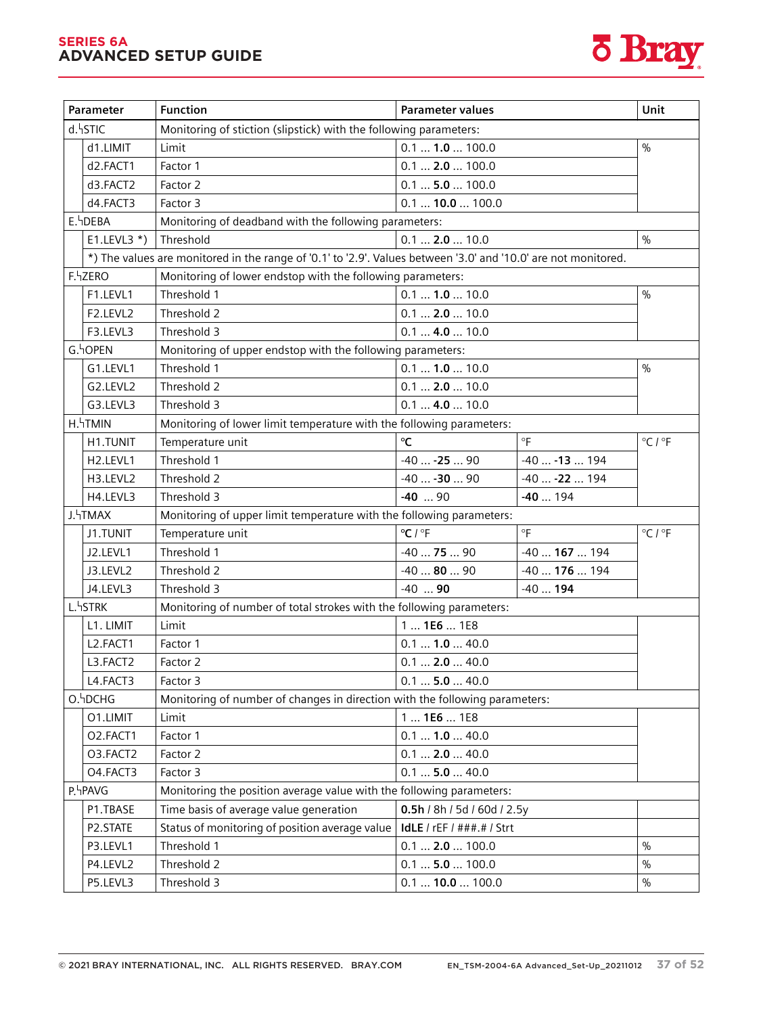#### **SERIES 6A ADVANCED SETUP GUIDE**



|         | Parameter<br><b>Function</b><br><b>Parameter values</b> |                                                                                                                |                             | Unit           |                             |
|---------|---------------------------------------------------------|----------------------------------------------------------------------------------------------------------------|-----------------------------|----------------|-----------------------------|
|         | d.hSTIC                                                 | Monitoring of stiction (slipstick) with the following parameters:                                              |                             |                |                             |
|         | d1.LIMIT                                                | 0.1  1.0  100.0<br>Limit                                                                                       |                             |                | $\frac{0}{0}$               |
|         | d2.FACT1                                                | $0.1$ 2.0  100.0<br>Factor 1                                                                                   |                             |                |                             |
|         | d3.FACT2                                                | Factor 2                                                                                                       | $0.1$ 5.0  100.0            |                |                             |
|         | d4.FACT3                                                | Factor 3                                                                                                       | 0.1  10.0  100.0            |                |                             |
|         | E.hDEBA                                                 | Monitoring of deadband with the following parameters:                                                          |                             |                |                             |
|         | $E1.LEVL3$ <sup>*</sup> )                               | Threshold                                                                                                      | $0.1$ 2.0  10.0             |                | $\frac{0}{0}$               |
|         |                                                         | *) The values are monitored in the range of '0.1' to '2.9'. Values between '3.0' and '10.0' are not monitored. |                             |                |                             |
|         | F.hZERO                                                 | Monitoring of lower endstop with the following parameters:                                                     |                             |                |                             |
|         | F1.LEVL1                                                | Threshold 1                                                                                                    | $0.1$ 1.0  10.0             |                | $\frac{0}{0}$               |
|         | F2.LEVL2                                                | Threshold 2                                                                                                    | $0.1$ 2.0  10.0             |                |                             |
|         | F3.LEVL3                                                | Threshold 3                                                                                                    | 0.1  4.0  10.0              |                |                             |
|         | G.hOPEN                                                 | Monitoring of upper endstop with the following parameters:                                                     |                             |                |                             |
|         | G1.LEVL1                                                | Threshold 1                                                                                                    | 0.11.010.0                  |                | $\frac{0}{0}$               |
|         | G2.LEVL2                                                | Threshold 2                                                                                                    | 0.1  2.0  10.0              |                |                             |
|         | G3.LEVL3                                                | Threshold 3                                                                                                    | $0.1$ 4.0  10.0             |                |                             |
|         | H. TMIN                                                 | Monitoring of lower limit temperature with the following parameters:                                           |                             |                |                             |
|         | H1.TUNIT                                                | Temperature unit                                                                                               | $\rm ^{\circ}C$             | °F             | $^{\circ}$ C / $^{\circ}$ F |
|         | H <sub>2</sub> .LEVL1                                   | Threshold 1                                                                                                    | $-40 -2590$                 | $-40 -13 194$  |                             |
|         | H3.LEVL2                                                | Threshold 2                                                                                                    | $-40 -30 90$                | $-40 -22194$   |                             |
|         | H4.LEVL3                                                | Threshold 3                                                                                                    | $-40$ 90                    | $-40194$       |                             |
|         | J. <sup>4</sup> TMAX                                    | Monitoring of upper limit temperature with the following parameters:                                           |                             |                |                             |
|         | J1.TUNIT                                                | Temperature unit                                                                                               | $^{\circ}$ C / $^{\circ}$ F | °F             | $^{\circ}$ C / $^{\circ}$ F |
|         | J2.LEVL1                                                | Threshold 1                                                                                                    | $-407590$                   | $-40167194$    |                             |
|         | J3.LEVL2                                                | Threshold 2                                                                                                    | $-408090$                   | $-40$ 176  194 |                             |
|         | J4.LEVL3                                                | Threshold 3                                                                                                    | $-40$ 90                    | $-40194$       |                             |
|         | L. <sup>L</sup> STRK                                    | Monitoring of number of total strokes with the following parameters:                                           |                             |                |                             |
|         | L1. LIMIT                                               | Limit                                                                                                          | 1  1E6  1E8                 |                |                             |
|         | L2.FACT1                                                | Factor 1                                                                                                       | 0.1  1.0  40.0              |                |                             |
|         | L3.FACT2                                                | Factor 2                                                                                                       | $0.1$ 2.0  40.0             |                |                             |
|         | L4.FACT3                                                | Factor 3                                                                                                       | 0.1  5.0  40.0              |                |                             |
|         | O.hDCHG                                                 | Monitoring of number of changes in direction with the following parameters:                                    |                             |                |                             |
|         | O1.LIMIT                                                | Limit                                                                                                          | $1$ 1E6 $$ 1E8              |                |                             |
|         | O2.FACT1                                                | Factor 1                                                                                                       | 0.1  1.0  40.0              |                |                             |
|         | O3.FACT2                                                | Factor 2                                                                                                       | $0.1$ 2.0  40.0             |                |                             |
|         | O4.FACT3                                                | Factor 3                                                                                                       | 0.1  5.0  40.0              |                |                             |
| P.hPAVG |                                                         | Monitoring the position average value with the following parameters:                                           |                             |                |                             |
|         | P1.TBASE                                                | Time basis of average value generation                                                                         | 0.5h / 8h / 5d / 60d / 2.5y |                |                             |
|         | P2.STATE                                                | Status of monitoring of position average value                                                                 | IdLE / rEF / ###.# / Strt   |                |                             |
|         | P3.LEVL1                                                | Threshold 1                                                                                                    | 0.1  2.0  100.0             |                | $\frac{0}{0}$               |
|         | P4.LEVL2                                                | 0.1  5.0  100.0<br>Threshold 2                                                                                 |                             |                | $\%$                        |
|         | P5.LEVL3                                                | Threshold 3<br>0.1  10.0  100.0                                                                                |                             | $\%$           |                             |

Operating Instructions, 10/2020, A5E00074631-AF 139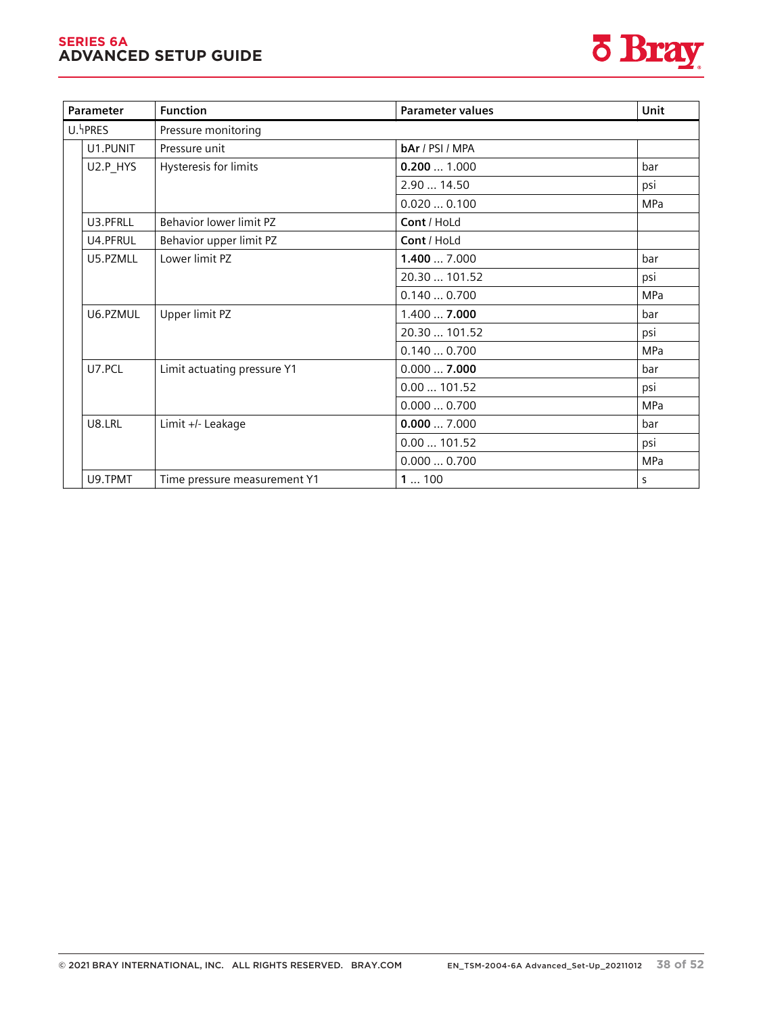#### **SERIES 6A ADVANCED SETUP GUIDE**



| Parameter | <b>Function</b><br><b>Parameter values</b> |                 |     |  |  |  |
|-----------|--------------------------------------------|-----------------|-----|--|--|--|
| U.hPRES   | Pressure monitoring                        |                 |     |  |  |  |
| U1.PUNIT  | Pressure unit                              | bAr / PSI / MPA |     |  |  |  |
| U2.P_HYS  | Hysteresis for limits                      | 0.2001.000      | bar |  |  |  |
|           |                                            | 2.90  14.50     | psi |  |  |  |
|           |                                            | 0.0200.100      | MPa |  |  |  |
| U3.PFRLL  | Behavior lower limit PZ                    | Cont / HoLd     |     |  |  |  |
| U4.PFRUL  | Behavior upper limit PZ                    | Cont / HoLd     |     |  |  |  |
| U5.PZMLL  | Lower limit PZ                             | 1.400  7.000    | bar |  |  |  |
|           |                                            | 20.30  101.52   | psi |  |  |  |
|           |                                            | 0.1400.700      | MPa |  |  |  |
| U6.PZMUL  | Upper limit PZ                             | 1.4007.000      | bar |  |  |  |
|           |                                            | 20.30  101.52   | psi |  |  |  |
|           |                                            | 0.1400.700      | MPa |  |  |  |
| U7.PCL    | Limit actuating pressure Y1                | 0.0007.000      | bar |  |  |  |
|           |                                            | 0.00101.52      | psi |  |  |  |
|           |                                            | 0.0000.700      | MPa |  |  |  |
| U8.LRL    | Limit +/- Leakage                          | 0.0007.000      | bar |  |  |  |
|           |                                            | 0.00101.52      | psi |  |  |  |
|           |                                            | 0.0000.700      | MPa |  |  |  |
| U9.TPMT   | Time pressure measurement Y1               | 1100            | S   |  |  |  |

'52.XDIAG' Activating for extended diagnostics (Page 159)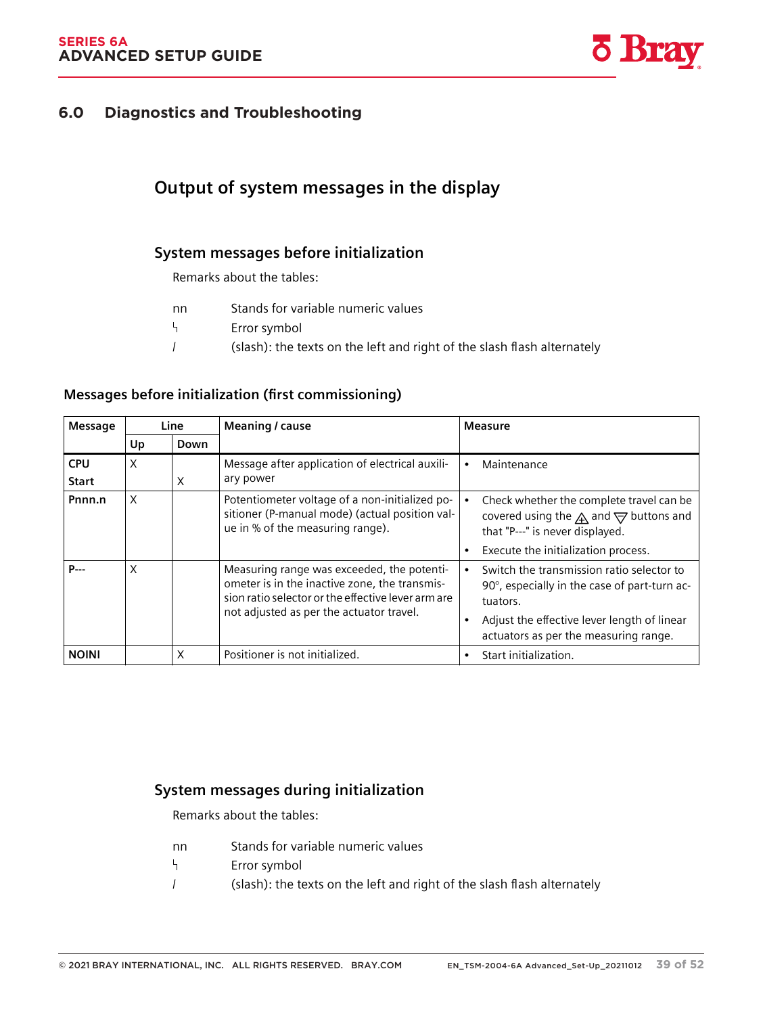

# **Diagnostics and Troubleshooting 6.0 Diagnostics and Troubleshooting**

# **11.1 Output of system messages in the display**

### **11.1.1 System messages before initialization**

Remarks about the tables:

| nn | Stands for variable numeric values |
|----|------------------------------------|
|    |                                    |

- ᠲ Error symbol
- / (slash): the texts on the left and right of the slash flash alternately

| Message                    | Line |      | Meaning / cause                                                                                                                                                                               | Measure                                                                                                                                              |
|----------------------------|------|------|-----------------------------------------------------------------------------------------------------------------------------------------------------------------------------------------------|------------------------------------------------------------------------------------------------------------------------------------------------------|
|                            | Up   | Down |                                                                                                                                                                                               |                                                                                                                                                      |
| <b>CPU</b><br><b>Start</b> | X    | X    | Message after application of electrical auxili-<br>ary power                                                                                                                                  | Maintenance<br>$\bullet$                                                                                                                             |
| Pnnn.n                     | X    |      | Potentiometer voltage of a non-initialized po-<br>sitioner (P-manual mode) (actual position val-<br>ue in % of the measuring range).                                                          | Check whether the complete travel can be<br>covered using the $\bigwedge$ and $\bigtriangledown$ buttons and<br>that "P---" is never displayed.      |
|                            |      |      |                                                                                                                                                                                               | Execute the initialization process.<br>$\bullet$                                                                                                     |
| P---                       | X    |      | Measuring range was exceeded, the potenti-<br>ometer is in the inactive zone, the transmis-<br>sion ratio selector or the effective lever arm are<br>not adjusted as per the actuator travel. | Switch the transmission ratio selector to<br>90°, especially in the case of part-turn ac-<br>tuators.<br>Adjust the effective lever length of linear |
|                            |      |      |                                                                                                                                                                                               | actuators as per the measuring range.                                                                                                                |
| <b>NOINI</b>               |      | X    | Positioner is not initialized.                                                                                                                                                                | Start initialization.<br>٠                                                                                                                           |

#### **Messages before initialization (first commissioning)**

### **11.1.2 System messages during initialization**

Remarks about the tables:

- nn Stands for variable numeric values
- $\mathsf{L}$ Error symbol
- / (slash): the texts on the left and right of the slash flash alternately

Operating Instructions, 10/2020, A5E00074631-AF 209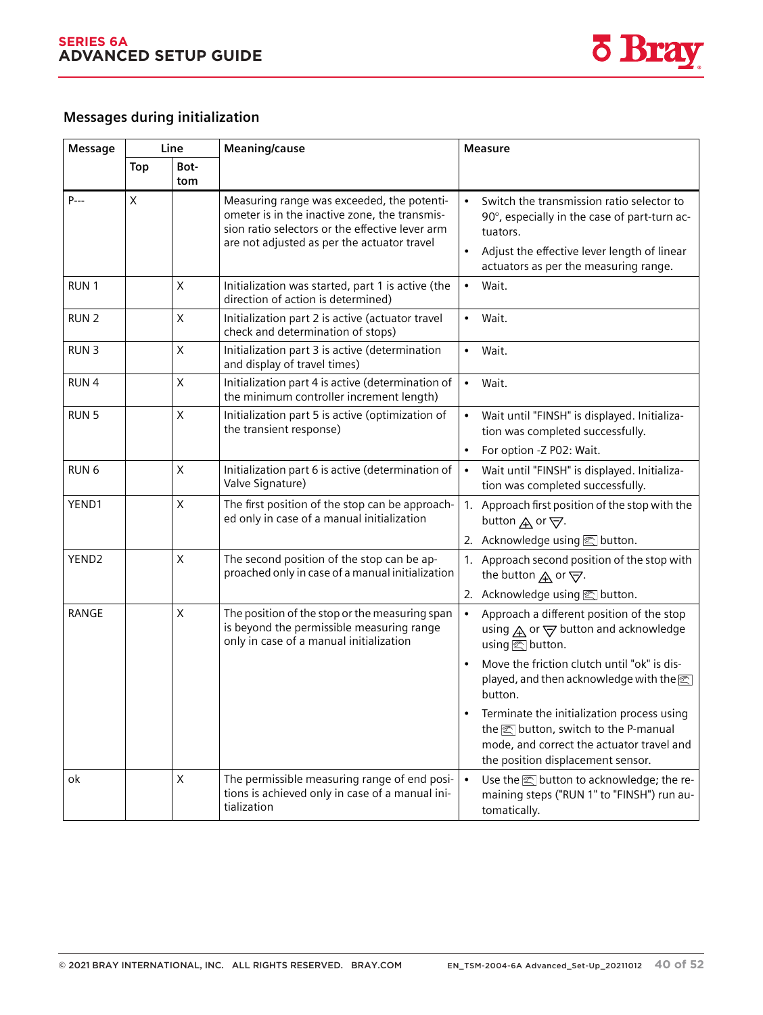

## **Messages during initialization**

*11.1 Output of system messages in the display*

| Message           | Line |             | Meaning/cause                                                                                                                                                                                 | <b>Measure</b>                                                                                                                                                                                             |  |
|-------------------|------|-------------|-----------------------------------------------------------------------------------------------------------------------------------------------------------------------------------------------|------------------------------------------------------------------------------------------------------------------------------------------------------------------------------------------------------------|--|
|                   | Top  | Bot-<br>tom |                                                                                                                                                                                               |                                                                                                                                                                                                            |  |
| P---              | X    |             | Measuring range was exceeded, the potenti-<br>ometer is in the inactive zone, the transmis-<br>sion ratio selectors or the effective lever arm<br>are not adjusted as per the actuator travel | Switch the transmission ratio selector to<br>$\bullet$<br>90°, especially in the case of part-turn ac-<br>tuators.<br>Adjust the effective lever length of linear<br>actuators as per the measuring range. |  |
| RUN <sub>1</sub>  |      | Χ           | Initialization was started, part 1 is active (the<br>direction of action is determined)                                                                                                       | Wait.<br>$\bullet$                                                                                                                                                                                         |  |
| RUN <sub>2</sub>  |      | X           | Initialization part 2 is active (actuator travel<br>check and determination of stops)                                                                                                         | Wait.<br>$\bullet$                                                                                                                                                                                         |  |
| <b>RUN3</b>       |      | X           | Initialization part 3 is active (determination<br>and display of travel times)                                                                                                                | Wait.<br>$\bullet$                                                                                                                                                                                         |  |
| RUN <sub>4</sub>  |      | X           | Initialization part 4 is active (determination of<br>the minimum controller increment length)                                                                                                 | Wait.<br>$\bullet$                                                                                                                                                                                         |  |
| RUN <sub>5</sub>  |      | X           | Initialization part 5 is active (optimization of<br>the transient response)                                                                                                                   | Wait until "FINSH" is displayed. Initializa-<br>$\bullet$<br>tion was completed successfully.<br>For option -Z P02: Wait.<br>$\bullet$                                                                     |  |
| RUN <sub>6</sub>  |      | X           | Initialization part 6 is active (determination of<br>Valve Signature)                                                                                                                         | Wait until "FINSH" is displayed. Initializa-<br>$\bullet$<br>tion was completed successfully.                                                                                                              |  |
| YEND1             |      | X           | The first position of the stop can be approach-<br>ed only in case of a manual initialization                                                                                                 | 1. Approach first position of the stop with the<br>button $\bigwedge$ or $\bigtriangledown$ .                                                                                                              |  |
| YEND <sub>2</sub> |      | $\mathsf X$ | The second position of the stop can be ap-<br>proached only in case of a manual initialization                                                                                                | 2. Acknowledge using sutton.<br>1. Approach second position of the stop with<br>the button $\bigwedge$ or $\bigtriangledown$ .<br>2. Acknowledge using <b>图 button</b> .                                   |  |
| <b>RANGE</b>      |      | X           | The position of the stop or the measuring span<br>is beyond the permissible measuring range<br>only in case of a manual initialization                                                        | Approach a different position of the stop<br>$\bullet$<br>using $\mathbb A$ or $\mathbb \nabla$ button and acknowledge<br>using <a> <sub>I</sub> button.</a>                                               |  |
|                   |      |             |                                                                                                                                                                                               | Move the friction clutch until "ok" is dis-<br>$\bullet$<br>played, and then acknowledge with the<br><br>button.                                                                                           |  |
|                   |      |             |                                                                                                                                                                                               | Terminate the initialization process using<br>the sutton, switch to the P-manual<br>mode, and correct the actuator travel and<br>the position displacement sensor.                                         |  |
| ok                |      | X           | The permissible measuring range of end posi-<br>tions is achieved only in case of a manual ini-<br>tialization                                                                                | Use the subsettion to acknowledge; the re-<br>$\bullet$<br>maining steps ("RUN 1" to "FINSH") run au-<br>tomatically.                                                                                      |  |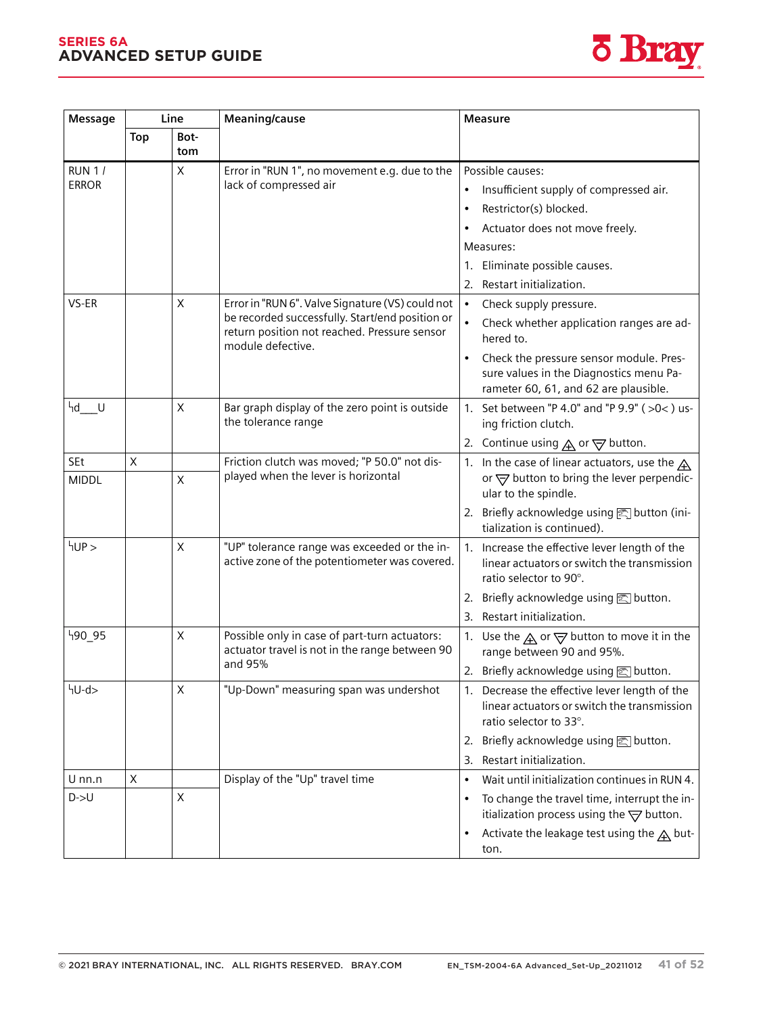#### **SERIES 6A ADVANCED SETUP GUIDE**



| Message                       | Line       |             | Meaning/cause                                                                                                                                                            | <b>Measure</b>                                                                                                                                                                                                                                                    |  |
|-------------------------------|------------|-------------|--------------------------------------------------------------------------------------------------------------------------------------------------------------------------|-------------------------------------------------------------------------------------------------------------------------------------------------------------------------------------------------------------------------------------------------------------------|--|
|                               | <b>Top</b> | Bot-<br>tom |                                                                                                                                                                          |                                                                                                                                                                                                                                                                   |  |
| <b>RUN 1/</b><br><b>ERROR</b> |            | X           | Error in "RUN 1", no movement e.g. due to the<br>lack of compressed air                                                                                                  | Possible causes:<br>Insufficient supply of compressed air.<br>۰<br>Restrictor(s) blocked.<br>٠<br>Actuator does not move freely.<br>٠<br>Measures:<br>Eliminate possible causes.<br>1.                                                                            |  |
| VS-ER                         |            | X           | Error in "RUN 6". Valve Signature (VS) could not<br>be recorded successfully. Start/end position or<br>return position not reached. Pressure sensor<br>module defective. | Restart initialization.<br>2.<br>$\bullet$<br>Check supply pressure.<br>Check whether application ranges are ad-<br>hered to.<br>Check the pressure sensor module. Pres-<br>٠<br>sure values in the Diagnostics menu Pa-<br>rameter 60, 61, and 62 are plausible. |  |
| 4d U                          |            | $\mathsf X$ | Bar graph display of the zero point is outside<br>the tolerance range                                                                                                    | 1. Set between "P 4.0" and "P 9.9" (>0<) us-<br>ing friction clutch.<br>2. Continue using $\mathbf{\underline{A}}$ or $\mathbf{\nabla}$ button.                                                                                                                   |  |
| SEt                           | X          |             | Friction clutch was moved; "P 50.0" not dis-                                                                                                                             | 1. In the case of linear actuators, use the $\bigwedge$                                                                                                                                                                                                           |  |
| <b>MIDDL</b>                  |            | X           | played when the lever is horizontal                                                                                                                                      | or $\overline{\bigtriangledown}$ button to bring the lever perpendic-<br>ular to the spindle.                                                                                                                                                                     |  |
|                               |            |             |                                                                                                                                                                          | 2. Briefly acknowledge using solutton (ini-<br>tialization is continued).                                                                                                                                                                                         |  |
| HUP                           |            | X           | "UP" tolerance range was exceeded or the in-<br>active zone of the potentiometer was covered.                                                                            | 1. Increase the effective lever length of the<br>linear actuators or switch the transmission<br>ratio selector to 90°.                                                                                                                                            |  |
|                               |            |             |                                                                                                                                                                          | 2. Briefly acknowledge using <b><a>&gt;</a></b> button.                                                                                                                                                                                                           |  |
|                               |            |             |                                                                                                                                                                          | 3.<br>Restart initialization.                                                                                                                                                                                                                                     |  |
| <sup>ዛ</sup> 90_95            |            | X           | Possible only in case of part-turn actuators:<br>actuator travel is not in the range between 90                                                                          | 1. Use the $\mathbf{A}$ or $\mathbf{\nabla}$ button to move it in the<br>range between 90 and 95%.                                                                                                                                                                |  |
|                               |            |             | and 95%                                                                                                                                                                  | 2. Briefly acknowledge using <b><a></a></b> button.                                                                                                                                                                                                               |  |
| hU-d>                         |            | Χ           | "Up-Down" measuring span was undershot                                                                                                                                   | 1. Decrease the effective lever length of the<br>linear actuators or switch the transmission<br>ratio selector to 33°.                                                                                                                                            |  |
|                               |            |             |                                                                                                                                                                          | Briefly acknowledge using $\mathbb{Z}$ button.<br>2.                                                                                                                                                                                                              |  |
|                               |            |             |                                                                                                                                                                          | Restart initialization.<br>3.                                                                                                                                                                                                                                     |  |
| U nn.n                        | X          |             | Display of the "Up" travel time                                                                                                                                          | Wait until initialization continues in RUN 4.<br>$\bullet$                                                                                                                                                                                                        |  |
| D > U                         |            | X           |                                                                                                                                                                          | To change the travel time, interrupt the in-<br>٠<br>itialization process using the $\overline{\nabla}$ button.                                                                                                                                                   |  |
|                               |            |             |                                                                                                                                                                          | Activate the leakage test using the $\triangle$ but-<br>٠<br>ton.                                                                                                                                                                                                 |  |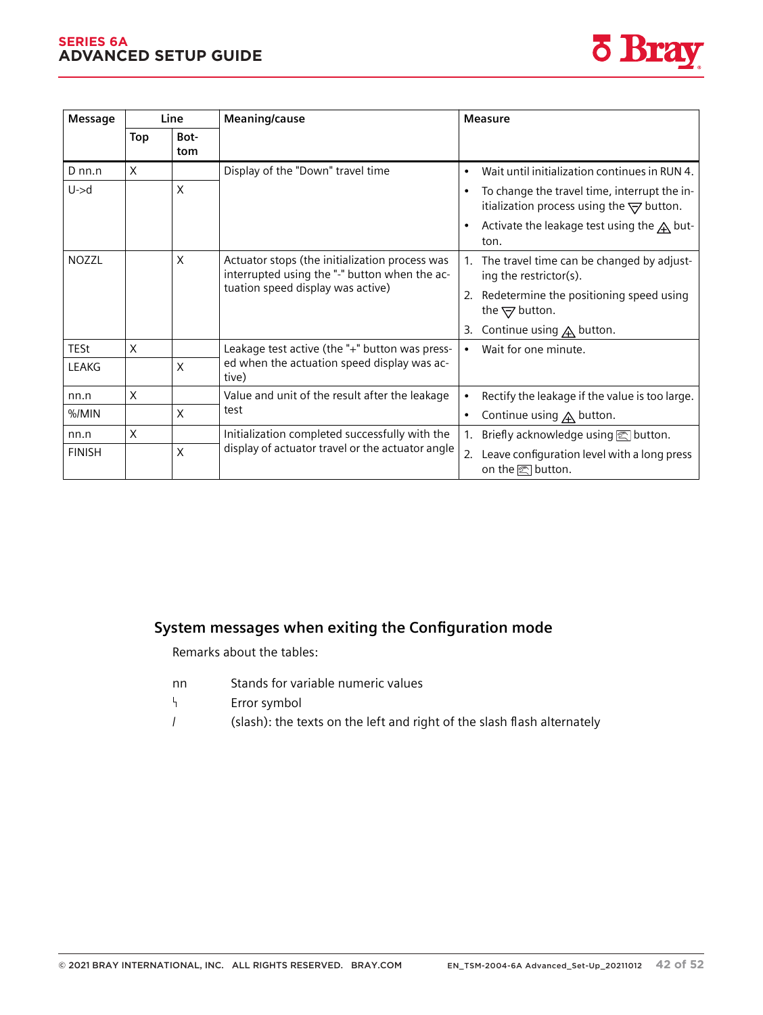#### **SERIES 6A ADVANCED SETUP GUIDE** *Diagnostics and troubleshooting*

*11.1 Output of system messages in the display*



| Message       |     | Line                              | Meaning/cause                                                                                   | <b>Measure</b>                                                                                             |
|---------------|-----|-----------------------------------|-------------------------------------------------------------------------------------------------|------------------------------------------------------------------------------------------------------------|
|               | Top | Bot-<br>tom                       |                                                                                                 |                                                                                                            |
| $D$ nn.n      | X   |                                   | Display of the "Down" travel time                                                               | Wait until initialization continues in RUN 4.<br>$\bullet$                                                 |
| $U - > d$     |     | X                                 |                                                                                                 | To change the travel time, interrupt the in-<br>itialization process using the $\overline{\nabla}$ button. |
|               |     |                                   |                                                                                                 | Activate the leakage test using the $\triangle$ but-<br>$\bullet$<br>ton.                                  |
| <b>NOZZL</b>  |     | X                                 | Actuator stops (the initialization process was<br>interrupted using the "-" button when the ac- | 1. The travel time can be changed by adjust-<br>ing the restrictor(s).                                     |
|               |     | tuation speed display was active) |                                                                                                 | 2. Redetermine the positioning speed using<br>the $\bigtriangledown$ button.                               |
|               |     |                                   |                                                                                                 | Continue using $\triangle$ button.<br>3.                                                                   |
| <b>TESt</b>   | X   |                                   | Leakage test active (the "+" button was press-                                                  | Wait for one minute.                                                                                       |
| LEAKG         |     | X                                 | ed when the actuation speed display was ac-<br>tive)                                            |                                                                                                            |
| nn.n          | X   |                                   | Value and unit of the result after the leakage                                                  | Rectify the leakage if the value is too large.<br>$\bullet$                                                |
| $% /$ MIN     |     | $\times$                          | test                                                                                            | Continue using $\bigtriangleup$ button.<br>$\bullet$                                                       |
| nn.n          | X   |                                   | Initialization completed successfully with the                                                  | 1. Briefly acknowledge using solutton.                                                                     |
| <b>FINISH</b> |     | X                                 | display of actuator travel or the actuator angle                                                | 2. Leave configuration level with a long press<br>on the <a>[</a> button.                                  |

### **11.1.3 System messages when exiting the Configuration mode**

Remarks about the tables:

- nn Stands for variable numeric values
- $\mathsf{h}$ Error symbol
- / (slash): the texts on the left and right of the slash flash alternately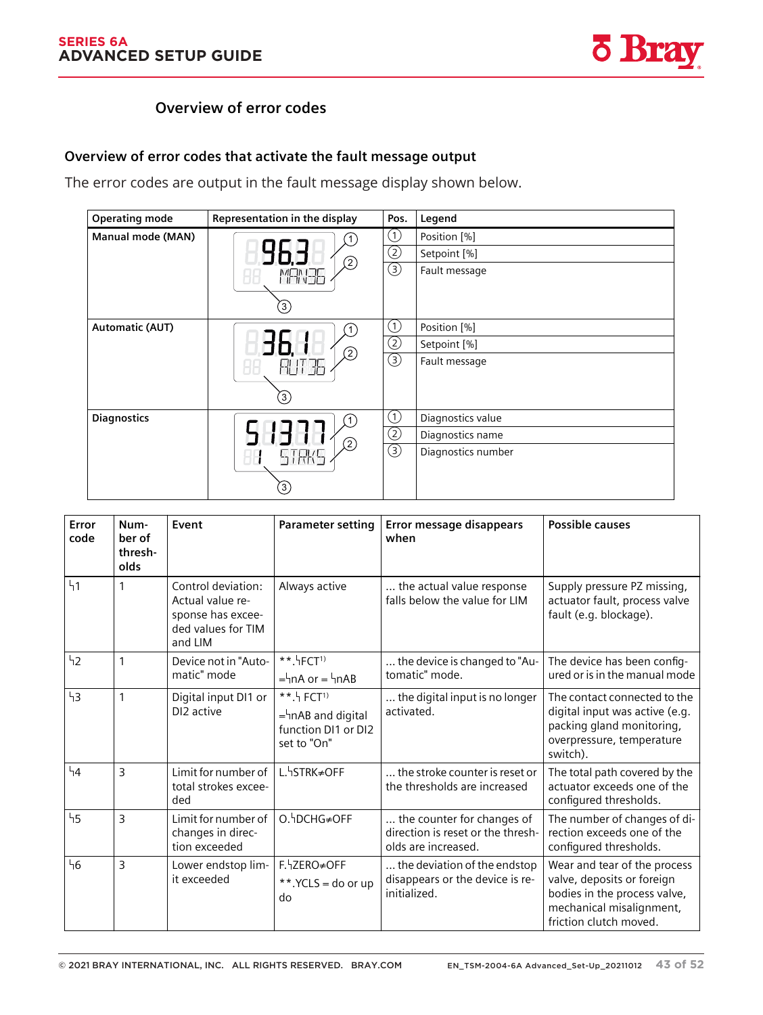

## **11.3.2 Overview of error codes**

## Overview of error codes that activate the fault message output

The error codes are output in the fault message display shown below.

| <b>Operating mode</b>  | Representation in the display | Pos.                                     | Legend             |
|------------------------|-------------------------------|------------------------------------------|--------------------|
| Manual mode (MAN)      |                               | $\circled{1}$                            | Position [%]       |
|                        |                               | ②                                        | Setpoint [%]       |
|                        | (2)<br>MANE                   | $\circledS$                              | Fault message      |
|                        | (3)                           |                                          |                    |
| <b>Automatic (AUT)</b> |                               | $\left( 1\right)$                        | Position [%]       |
|                        |                               | $\circled{2}$                            | Setpoint [%]       |
|                        | (2)<br>RUT 36                 | $\overline{\textcircled{\scriptsize 3}}$ | Fault message      |
|                        | $\left(3\right)$              |                                          |                    |
| <b>Diagnostics</b>     |                               | ①                                        | Diagnostics value  |
|                        | (2)                           | $\circled{2}$                            | Diagnostics name   |
|                        | STRKS<br>ПĦ                   | $\circledS$                              | Diagnostics number |
|                        | $\left[3\right)$              |                                          |                    |

| Error<br>code | Num-<br>ber of<br>thresh-<br>olds | Event                                                                                        | <b>Parameter setting</b>                                                                | Error message disappears<br>when                                                       | <b>Possible causes</b>                                                                                                                           |
|---------------|-----------------------------------|----------------------------------------------------------------------------------------------|-----------------------------------------------------------------------------------------|----------------------------------------------------------------------------------------|--------------------------------------------------------------------------------------------------------------------------------------------------|
| 41            | 1                                 | Control deviation:<br>Actual value re-<br>sponse has excee-<br>ded values for TIM<br>and LIM | Always active                                                                           | the actual value response<br>falls below the value for LIM                             | Supply pressure PZ missing,<br>actuator fault, process valve<br>fault (e.g. blockage).                                                           |
| 42            | 1                                 | Device not in "Auto-<br>matic" mode                                                          | **. HFCT <sup>1)</sup><br>$=$ hnA or $=$ hnAB                                           | the device is changed to "Au-<br>tomatic" mode.                                        | The device has been config-<br>ured or is in the manual mode                                                                                     |
| 43            | 1                                 | Digital input DI1 or<br>DI <sub>2</sub> active                                               | $***$ . FCT <sup>1)</sup><br>$=$ hnAB and digital<br>function DI1 or DI2<br>set to "On" | the digital input is no longer<br>activated.                                           | The contact connected to the<br>digital input was active (e.g.<br>packing gland monitoring,<br>overpressure, temperature<br>switch).             |
| 44            | 3                                 | Limit for number of<br>total strokes excee-<br>ded                                           | L. <sup>4</sup> STRK≠OFF                                                                | the stroke counter is reset or<br>the thresholds are increased                         | The total path covered by the<br>actuator exceeds one of the<br>configured thresholds.                                                           |
| 45            | 3                                 | Limit for number of<br>changes in direc-<br>tion exceeded                                    | O.hDCHG≠OFF                                                                             | the counter for changes of<br>direction is reset or the thresh-<br>olds are increased. | The number of changes of di-<br>rection exceeds one of the<br>configured thresholds.                                                             |
| 46            | 3                                 | Lower endstop lim-<br>it exceeded                                                            | F. JZERO≠OFF<br>**. $YCLS =$ do or up<br>do                                             | the deviation of the endstop<br>disappears or the device is re-<br>initialized.        | Wear and tear of the process<br>valve, deposits or foreign<br>bodies in the process valve,<br>mechanical misalignment,<br>friction clutch moved. |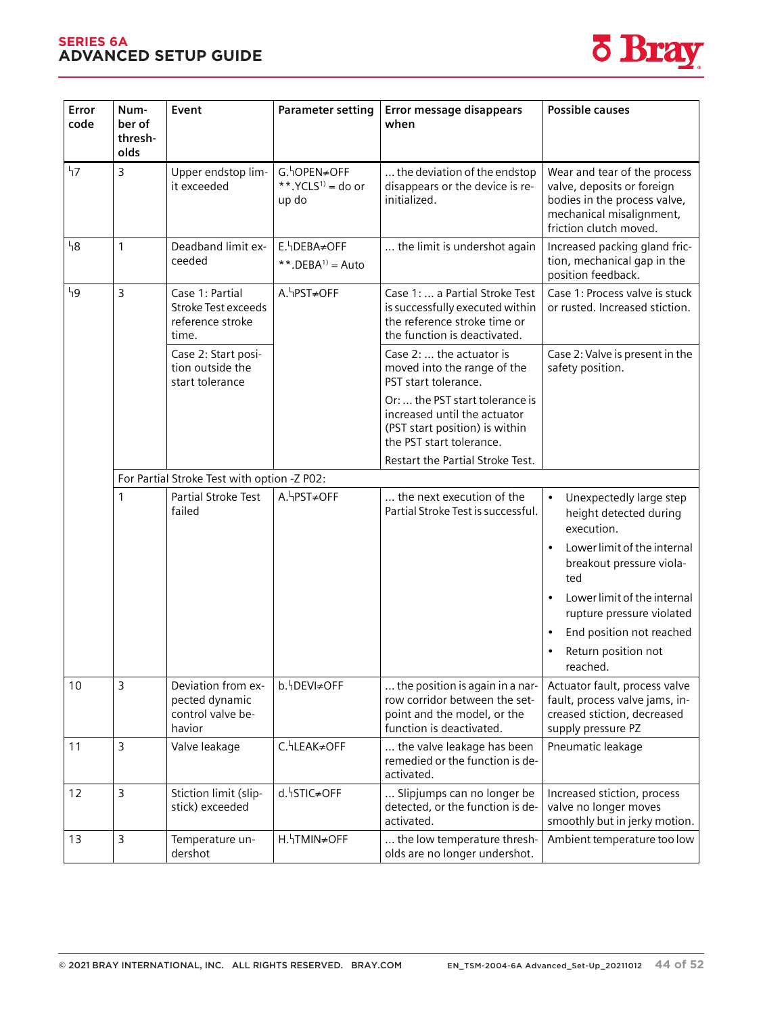#### **SERIES 6A ADVANCED SETUP GUIDE** *Diagnostics and troubleshooting*



| Error<br>code | Num-<br>ber of<br>thresh-<br>olds | Event                                                                      | <b>Parameter setting</b>                        | Error message disappears<br>when                                                                                                  | <b>Possible causes</b>                                                                                                                           |
|---------------|-----------------------------------|----------------------------------------------------------------------------|-------------------------------------------------|-----------------------------------------------------------------------------------------------------------------------------------|--------------------------------------------------------------------------------------------------------------------------------------------------|
| 47            | 3                                 | Upper endstop lim-<br>it exceeded                                          | G. OPEN≠OFF<br>**. $YCLS^{1)} =$ do or<br>up do | the deviation of the endstop<br>disappears or the device is re-<br>initialized.                                                   | Wear and tear of the process<br>valve, deposits or foreign<br>bodies in the process valve,<br>mechanical misalignment,<br>friction clutch moved. |
| 48            | $\mathbf{1}$                      | Deadband limit ex-<br>ceeded                                               | E. DEBA≠OFF<br>**. DEBA <sup>1)</sup> = Auto    | the limit is undershot again                                                                                                      | Increased packing gland fric-<br>tion, mechanical gap in the<br>position feedback.                                                               |
| ነ9            | 3                                 | Case 1: Partial<br><b>Stroke Test exceeds</b><br>reference stroke<br>time. | A. hPST≠OFF                                     | Case 1:  a Partial Stroke Test<br>is successfully executed within<br>the reference stroke time or<br>the function is deactivated. | Case 1: Process valve is stuck<br>or rusted. Increased stiction.                                                                                 |
|               |                                   | Case 2: Start posi-<br>tion outside the<br>start tolerance                 |                                                 | Case 2:  the actuator is<br>moved into the range of the<br>PST start tolerance.                                                   | Case 2: Valve is present in the<br>safety position.                                                                                              |
|               |                                   |                                                                            |                                                 | Or:  the PST start tolerance is<br>increased until the actuator<br>(PST start position) is within<br>the PST start tolerance.     |                                                                                                                                                  |
|               |                                   |                                                                            |                                                 | Restart the Partial Stroke Test.                                                                                                  |                                                                                                                                                  |
|               |                                   | For Partial Stroke Test with option -Z P02:                                |                                                 |                                                                                                                                   |                                                                                                                                                  |
|               | $\mathbf{1}$                      | Partial Stroke Test<br>failed                                              | A. hPST≠OFF                                     | the next execution of the<br>Partial Stroke Test is successful.                                                                   | Unexpectedly large step<br>height detected during<br>execution.                                                                                  |
|               |                                   |                                                                            |                                                 |                                                                                                                                   | Lower limit of the internal<br>breakout pressure viola-<br>ted                                                                                   |
|               |                                   |                                                                            |                                                 |                                                                                                                                   | Lower limit of the internal<br>rupture pressure violated                                                                                         |
|               |                                   |                                                                            |                                                 |                                                                                                                                   | End position not reached<br>Return position not<br>reached.                                                                                      |
| 10            | 3                                 | Deviation from ex-<br>pected dynamic<br>control valve be-<br>havior        | b. DEVI≠OFF                                     | the position is again in a nar-<br>row corridor between the set-<br>point and the model, or the<br>function is deactivated.       | Actuator fault, process valve<br>fault, process valve jams, in-<br>creased stiction, decreased<br>supply pressure PZ                             |
| 11            | 3                                 | Valve leakage                                                              | C. LEAK≠OFF                                     | the valve leakage has been<br>remedied or the function is de-<br>activated.                                                       | Pneumatic leakage                                                                                                                                |
| 12            | 3                                 | Stiction limit (slip-<br>stick) exceeded                                   | d. <sup>4</sup> STIC≠OFF                        | Slipjumps can no longer be<br>detected, or the function is de-<br>activated.                                                      | Increased stiction, process<br>valve no longer moves<br>smoothly but in jerky motion.                                                            |
| 13            | 3                                 | Temperature un-<br>dershot                                                 | H. JTMIN≠OFF                                    | the low temperature thresh-<br>olds are no longer undershot.                                                                      | Ambient temperature too low                                                                                                                      |

 $\mathbb{R}^n$  with  $\mathbb{R}^n$  with  $\mathbb{R}^n$  with  $\mathbb{R}^n$  with  $\mathbb{R}^n$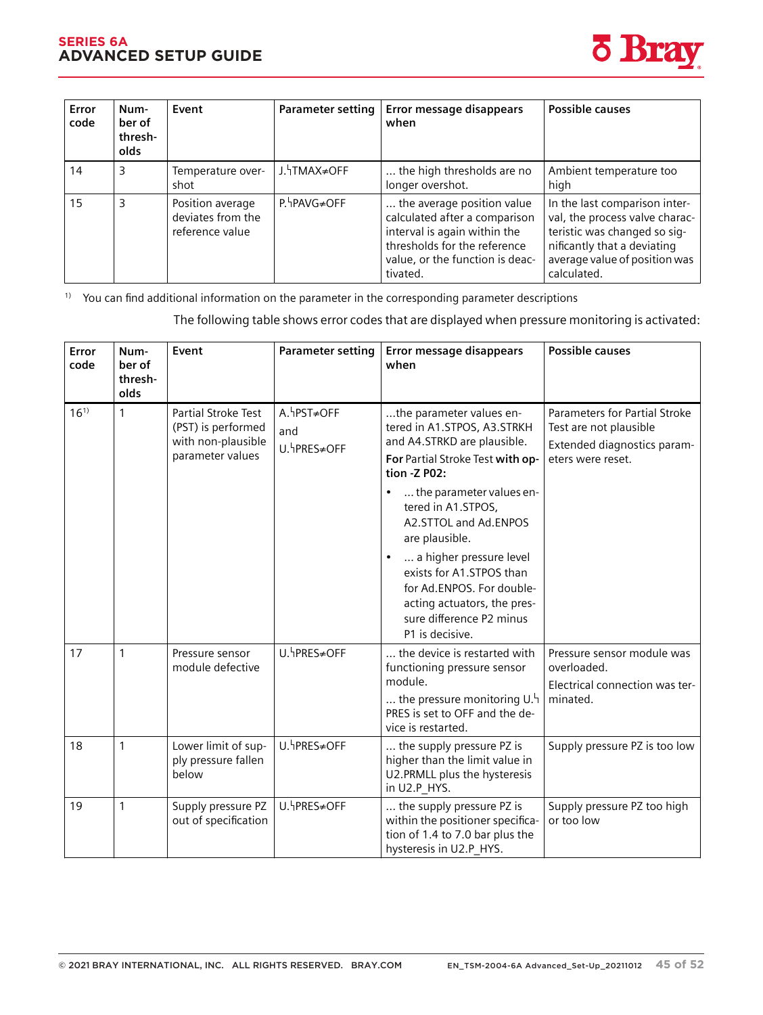#### **SERIES 6A ADVANCED SETUP GUIDE**



| Error<br>code | Num-<br>ber of<br>thresh-<br>olds | Event                                                    | <b>Parameter setting</b> | Error message disappears<br>when                                                                                                                                           | <b>Possible causes</b>                                                                                                                                                         |
|---------------|-----------------------------------|----------------------------------------------------------|--------------------------|----------------------------------------------------------------------------------------------------------------------------------------------------------------------------|--------------------------------------------------------------------------------------------------------------------------------------------------------------------------------|
| 14            | 3                                 | Temperature over-<br>shot                                | J. TMAX≠OFF              | the high thresholds are no<br>longer overshot.                                                                                                                             | Ambient temperature too<br>high                                                                                                                                                |
| 15            | 3                                 | Position average<br>deviates from the<br>reference value | P. PAVG≠OFF              | the average position value<br>calculated after a comparison<br>interval is again within the<br>thresholds for the reference<br>value, or the function is deac-<br>tivated. | In the last comparison inter-<br>val, the process valve charac-<br>teristic was changed so sig-<br>nificantly that a deviating<br>average value of position was<br>calculated. |

<sup>1)</sup> You can find additional information on the parameter in the corresponding parameter descriptions

The following table shows error codes that are displayed when pressure monitoring is activated:

| Error<br>code | Num-<br>ber of<br>thresh-<br>olds | Event                                                                               | <b>Parameter setting</b>           | Error message disappears<br>when                                                                                                                                                                                                                                                                                                                                                        | <b>Possible causes</b>                                                                                      |
|---------------|-----------------------------------|-------------------------------------------------------------------------------------|------------------------------------|-----------------------------------------------------------------------------------------------------------------------------------------------------------------------------------------------------------------------------------------------------------------------------------------------------------------------------------------------------------------------------------------|-------------------------------------------------------------------------------------------------------------|
| $16^{1}$      | $\mathbf{1}$                      | Partial Stroke Test<br>(PST) is performed<br>with non-plausible<br>parameter values | A. hPST≠OFF<br>and<br>U. hPRES≠OFF | the parameter values en-<br>tered in A1.STPOS, A3.STRKH<br>and A4.STRKD are plausible.<br>For Partial Stroke Test with op-<br>tion - Z P02:<br>the parameter values en-<br>tered in A1.STPOS,<br>A2.STTOL and Ad.ENPOS<br>are plausible.<br>a higher pressure level<br>exists for A1.STPOS than<br>for Ad.ENPOS. For double-<br>acting actuators, the pres-<br>sure difference P2 minus | Parameters for Partial Stroke<br>Test are not plausible<br>Extended diagnostics param-<br>eters were reset. |
|               |                                   |                                                                                     |                                    | P1 is decisive.                                                                                                                                                                                                                                                                                                                                                                         |                                                                                                             |
| 17            | 1                                 | Pressure sensor<br>module defective                                                 | U. hPRES≠OFF                       | the device is restarted with<br>functioning pressure sensor<br>module.<br>the pressure monitoring $U_{\perp}$ <sup>1</sup><br>PRES is set to OFF and the de-<br>vice is restarted.                                                                                                                                                                                                      | Pressure sensor module was<br>overloaded.<br>Electrical connection was ter-<br>minated.                     |
| 18            | $\mathbf{1}$                      | Lower limit of sup-<br>ply pressure fallen<br>below                                 | U. hPRES≠OFF                       | the supply pressure PZ is<br>higher than the limit value in<br>U2.PRMLL plus the hysteresis<br>in U2.P HYS.                                                                                                                                                                                                                                                                             | Supply pressure PZ is too low                                                                               |
| 19            | $\mathbf{1}$                      | Supply pressure PZ<br>out of specification                                          | U.hPRES≠OFF                        | the supply pressure PZ is<br>within the positioner specifica-<br>tion of 1.4 to 7.0 bar plus the<br>hysteresis in U2.P_HYS.                                                                                                                                                                                                                                                             | Supply pressure PZ too high<br>or too low                                                                   |

SIPART PS2 with 4 to 20 mA/HART PS2 with 4 to 20 mA/HART PS2 with 4 to 20 mA/HART PS2 with 4 to 20 mA/HART PS2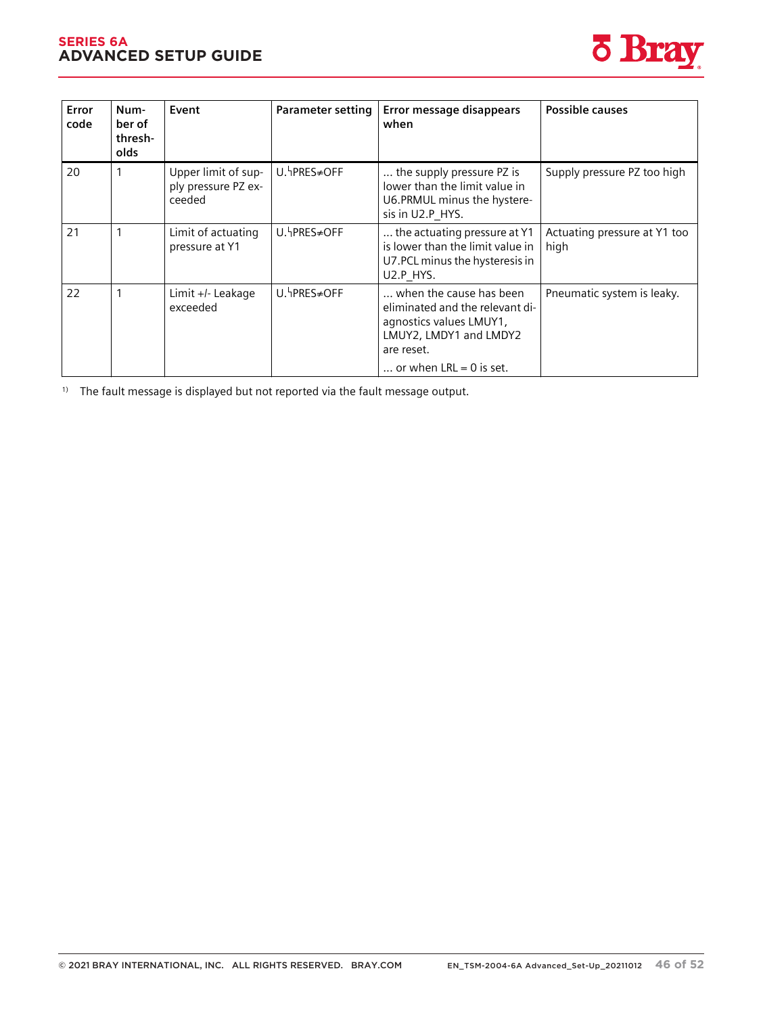#### **SERIES 6A ADVANCED SETUP GUIDE** *Diagnostics and troubleshooting*



| Error<br>code | Num-<br>ber of<br>thresh-<br>olds | Event                                                | Parameter setting | Error message disappears<br>when                                                                                                                           | <b>Possible causes</b>               |
|---------------|-----------------------------------|------------------------------------------------------|-------------------|------------------------------------------------------------------------------------------------------------------------------------------------------------|--------------------------------------|
| 20            |                                   | Upper limit of sup-<br>ply pressure PZ ex-<br>ceeded | U. PRES≠OFF       | the supply pressure PZ is<br>lower than the limit value in<br>U6.PRMUL minus the hystere-<br>sis in U2.P HYS.                                              | Supply pressure PZ too high          |
| 21            | 1                                 | Limit of actuating<br>pressure at Y1                 | U.hPRES≠OFF       | the actuating pressure at Y1<br>is lower than the limit value in<br>U7.PCL minus the hysteresis in<br>U2.P HYS.                                            | Actuating pressure at Y1 too<br>high |
| 22            | 1                                 | Limit +/- Leakage<br>exceeded                        | U.hPRES≠OFF       | when the cause has been<br>eliminated and the relevant di-<br>agnostics values LMUY1,<br>LMUY2, LMDY1 and LMDY2<br>are reset.<br>or when $LRL = 0$ is set. | Pneumatic system is leaky.           |

<sup>1)</sup> The fault message is displayed but not reported via the fault message output.

 $\mathbb{R}^n$  with  $\mathbb{R}^n$  with  $\mathbb{R}^n$  with  $\mathbb{R}^n$  with  $\mathbb{R}^n$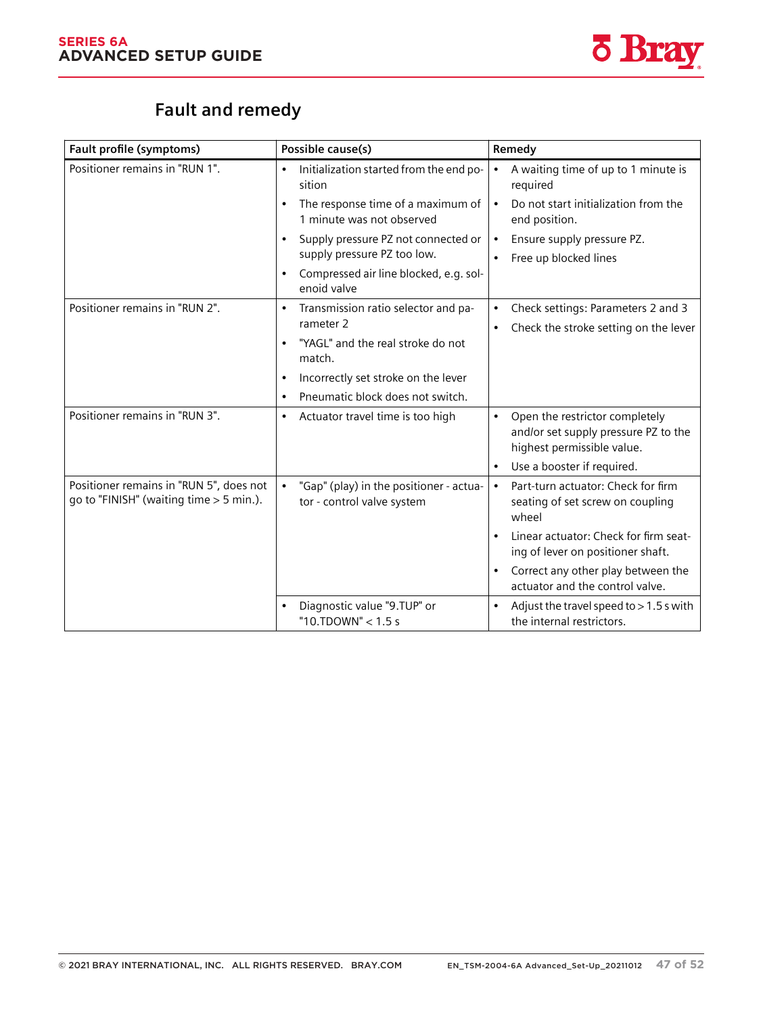

# **Fault and remedy**

| Fault profile (symptoms)                                                             | Possible cause(s)                                                                  | Remedy                                                                                                            |
|--------------------------------------------------------------------------------------|------------------------------------------------------------------------------------|-------------------------------------------------------------------------------------------------------------------|
| Positioner remains in "RUN 1".                                                       | Initialization started from the end po-<br>sition                                  | A waiting time of up to 1 minute is<br>required                                                                   |
|                                                                                      | The response time of a maximum of<br>$\bullet$<br>1 minute was not observed        | Do not start initialization from the<br>$\bullet$<br>end position.                                                |
|                                                                                      | Supply pressure PZ not connected or<br>supply pressure PZ too low.                 | Ensure supply pressure PZ.<br>$\bullet$<br>Free up blocked lines                                                  |
|                                                                                      | Compressed air line blocked, e.g. sol-<br>$\bullet$<br>enoid valve                 |                                                                                                                   |
| Positioner remains in "RUN 2".                                                       | Transmission ratio selector and pa-<br>$\bullet$<br>rameter 2                      | Check settings: Parameters 2 and 3<br>$\bullet$<br>Check the stroke setting on the lever<br>$\bullet$             |
|                                                                                      | "YAGL" and the real stroke do not<br>$\bullet$<br>match.                           |                                                                                                                   |
|                                                                                      | Incorrectly set stroke on the lever<br>$\bullet$                                   |                                                                                                                   |
|                                                                                      | Pneumatic block does not switch.<br>$\bullet$                                      |                                                                                                                   |
| Positioner remains in "RUN 3".                                                       | Actuator travel time is too high<br>$\bullet$                                      | Open the restrictor completely<br>$\bullet$<br>and/or set supply pressure PZ to the<br>highest permissible value. |
|                                                                                      |                                                                                    | Use a booster if required.<br>$\bullet$                                                                           |
| Positioner remains in "RUN 5", does not<br>go to "FINISH" (waiting time $>$ 5 min.). | "Gap" (play) in the positioner - actua-<br>$\bullet$<br>tor - control valve system | Part-turn actuator: Check for firm<br>$\bullet$<br>seating of set screw on coupling<br>wheel                      |
|                                                                                      |                                                                                    | Linear actuator: Check for firm seat-<br>ing of lever on positioner shaft.                                        |
|                                                                                      |                                                                                    | Correct any other play between the<br>$\bullet$<br>actuator and the control valve.                                |
|                                                                                      | Diagnostic value "9.TUP" or<br>"10.TDOWN" < 1.5 s                                  | Adjust the travel speed to $> 1.5$ s with<br>$\bullet$<br>the internal restrictors.                               |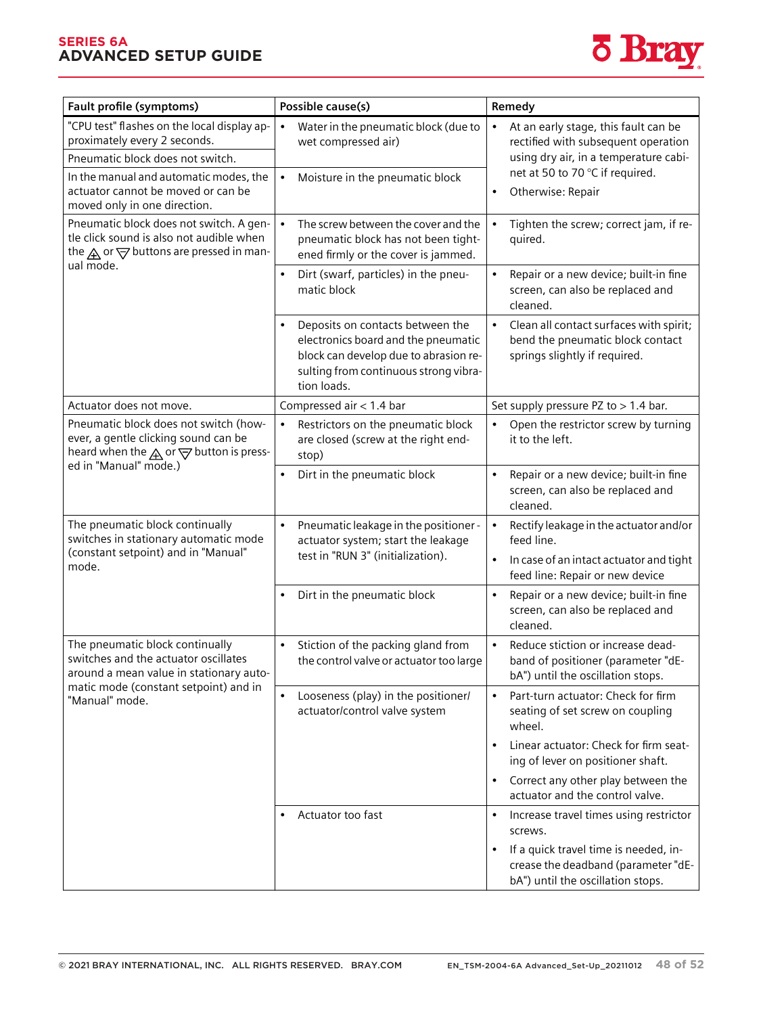#### **SERIES 6A ADVANCED SETUP GUIDE**



| Fault profile (symptoms)                                                                                                                                 | Possible cause(s)                                                                                                                                                                     | Remedy                                                                                                                         |
|----------------------------------------------------------------------------------------------------------------------------------------------------------|---------------------------------------------------------------------------------------------------------------------------------------------------------------------------------------|--------------------------------------------------------------------------------------------------------------------------------|
| "CPU test" flashes on the local display ap-<br>proximately every 2 seconds.<br>Pneumatic block does not switch.                                          | Water in the pneumatic block (due to<br>$\bullet$<br>wet compressed air)                                                                                                              | At an early stage, this fault can be<br>rectified with subsequent operation<br>using dry air, in a temperature cabi-           |
| In the manual and automatic modes, the<br>actuator cannot be moved or can be<br>moved only in one direction.                                             | Moisture in the pneumatic block                                                                                                                                                       | net at 50 to 70 °C if required.<br>Otherwise: Repair                                                                           |
| Pneumatic block does not switch. A gen-<br>tle click sound is also not audible when<br>the $\bigwedge$ or $\bigtriangledown$ buttons are pressed in man- | $\bullet$<br>The screw between the cover and the<br>pneumatic block has not been tight-<br>ened firmly or the cover is jammed.                                                        | Tighten the screw; correct jam, if re-<br>quired.                                                                              |
| ual mode.                                                                                                                                                | Dirt (swarf, particles) in the pneu-<br>matic block                                                                                                                                   | Repair or a new device; built-in fine<br>$\bullet$<br>screen, can also be replaced and<br>cleaned.                             |
|                                                                                                                                                          | Deposits on contacts between the<br>$\bullet$<br>electronics board and the pneumatic<br>block can develop due to abrasion re-<br>sulting from continuous strong vibra-<br>tion loads. | Clean all contact surfaces with spirit;<br>$\bullet$<br>bend the pneumatic block contact<br>springs slightly if required.      |
| Actuator does not move.                                                                                                                                  | Compressed air < 1.4 bar                                                                                                                                                              | Set supply pressure PZ to > 1.4 bar.                                                                                           |
| Pneumatic block does not switch (how-<br>ever, a gentle clicking sound can be<br>heard when the $\bigwedge$ or $\bigtriangledown$ button is press-       | Restrictors on the pneumatic block<br>$\bullet$<br>are closed (screw at the right end-<br>stop)                                                                                       | Open the restrictor screw by turning<br>$\bullet$<br>it to the left.                                                           |
| ed in "Manual" mode.)                                                                                                                                    | Dirt in the pneumatic block                                                                                                                                                           | Repair or a new device; built-in fine<br>$\bullet$<br>screen, can also be replaced and<br>cleaned.                             |
| The pneumatic block continually<br>switches in stationary automatic mode<br>(constant setpoint) and in "Manual"                                          | Pneumatic leakage in the positioner -<br>$\bullet$<br>actuator system; start the leakage<br>test in "RUN 3" (initialization).                                                         | Rectify leakage in the actuator and/or<br>$\bullet$<br>feed line.<br>In case of an intact actuator and tight                   |
| mode.                                                                                                                                                    |                                                                                                                                                                                       | feed line: Repair or new device                                                                                                |
|                                                                                                                                                          | Dirt in the pneumatic block<br>$\bullet$                                                                                                                                              | Repair or a new device; built-in fine<br>$\bullet$<br>screen, can also be replaced and<br>cleaned.                             |
| The pneumatic block continually<br>switches and the actuator oscillates<br>around a mean value in stationary auto-                                       | Stiction of the packing gland from<br>$\bullet$<br>the control valve or actuator too large                                                                                            | Reduce stiction or increase dead-<br>band of positioner (parameter "dE-<br>bA") until the oscillation stops.                   |
| matic mode (constant setpoint) and in<br>"Manual" mode.                                                                                                  | Looseness (play) in the positioner/<br>actuator/control valve system                                                                                                                  | Part-turn actuator: Check for firm<br>$\bullet$<br>seating of set screw on coupling<br>wheel.                                  |
|                                                                                                                                                          |                                                                                                                                                                                       | Linear actuator: Check for firm seat-<br>ing of lever on positioner shaft.                                                     |
|                                                                                                                                                          |                                                                                                                                                                                       | Correct any other play between the<br>actuator and the control valve.                                                          |
|                                                                                                                                                          | Actuator too fast                                                                                                                                                                     | Increase travel times using restrictor<br>screws.                                                                              |
|                                                                                                                                                          |                                                                                                                                                                                       | If a quick travel time is needed, in-<br>$\bullet$<br>crease the deadband (parameter "dE-<br>bA") until the oscillation stops. |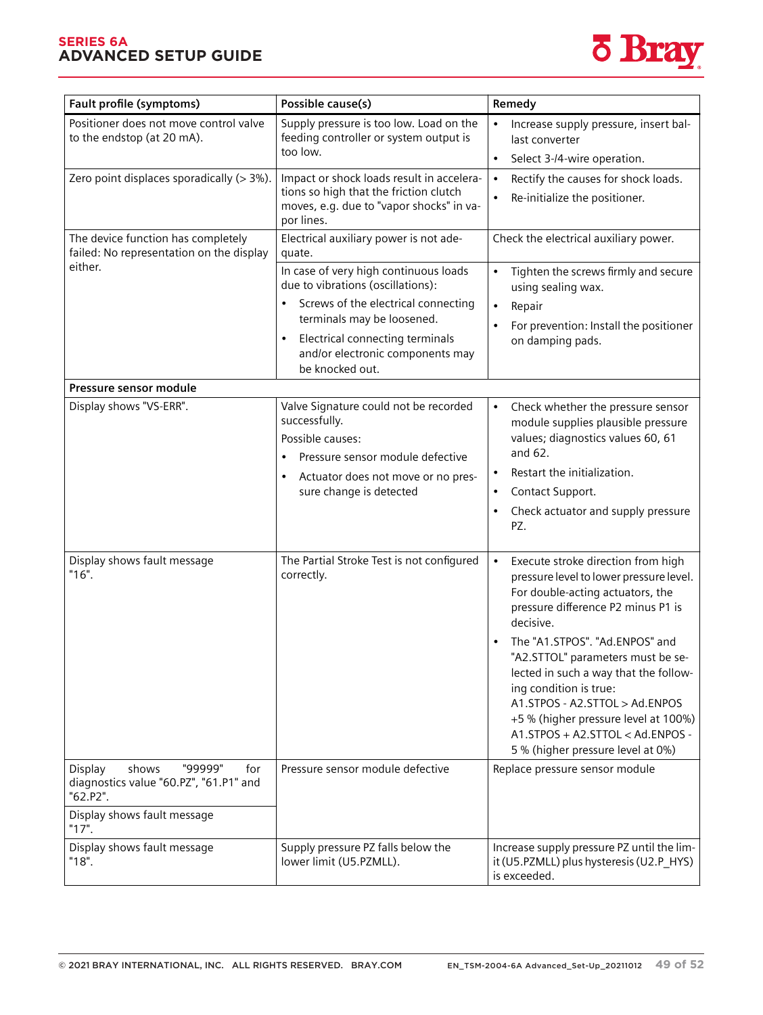### **SERIES 6A**  *Diagnostics and troubleshooting* **ADVANCED SETUP GUIDE** *11.4 Fault and remedy*



| Fault profile (symptoms)                                                                 | Possible cause(s)                                                                                                                                                                                         | Remedy                                                                                                                                                                                                                                                                                                                                                                                                                                                                         |
|------------------------------------------------------------------------------------------|-----------------------------------------------------------------------------------------------------------------------------------------------------------------------------------------------------------|--------------------------------------------------------------------------------------------------------------------------------------------------------------------------------------------------------------------------------------------------------------------------------------------------------------------------------------------------------------------------------------------------------------------------------------------------------------------------------|
| Positioner does not move control valve<br>to the endstop (at 20 mA).                     | Supply pressure is too low. Load on the<br>feeding controller or system output is<br>too low.                                                                                                             | Increase supply pressure, insert bal-<br>last converter<br>Select 3-/4-wire operation.<br>$\bullet$                                                                                                                                                                                                                                                                                                                                                                            |
| Zero point displaces sporadically $(>3\%)$ .                                             | Impact or shock loads result in accelera-<br>tions so high that the friction clutch<br>moves, e.g. due to "vapor shocks" in va-<br>por lines.                                                             | Rectify the causes for shock loads.<br>$\bullet$<br>Re-initialize the positioner.<br>$\bullet$                                                                                                                                                                                                                                                                                                                                                                                 |
| The device function has completely<br>failed: No representation on the display           | Electrical auxiliary power is not ade-<br>quate.                                                                                                                                                          | Check the electrical auxiliary power.                                                                                                                                                                                                                                                                                                                                                                                                                                          |
| either.                                                                                  | In case of very high continuous loads<br>due to vibrations (oscillations):<br>Screws of the electrical connecting                                                                                         | Tighten the screws firmly and secure<br>$\bullet$<br>using sealing wax.<br>Repair<br>$\bullet$                                                                                                                                                                                                                                                                                                                                                                                 |
|                                                                                          | terminals may be loosened.                                                                                                                                                                                | For prevention: Install the positioner<br>$\bullet$                                                                                                                                                                                                                                                                                                                                                                                                                            |
|                                                                                          | Electrical connecting terminals<br>$\bullet$<br>and/or electronic components may<br>be knocked out.                                                                                                       | on damping pads.                                                                                                                                                                                                                                                                                                                                                                                                                                                               |
| Pressure sensor module                                                                   |                                                                                                                                                                                                           |                                                                                                                                                                                                                                                                                                                                                                                                                                                                                |
| Display shows "VS-ERR".                                                                  | Valve Signature could not be recorded<br>successfully.<br>Possible causes:<br>Pressure sensor module defective<br>$\bullet$<br>Actuator does not move or no pres-<br>$\bullet$<br>sure change is detected | $\bullet$<br>Check whether the pressure sensor<br>module supplies plausible pressure<br>values; diagnostics values 60, 61<br>and 62.<br>Restart the initialization.<br>$\bullet$<br>Contact Support.<br>$\bullet$<br>Check actuator and supply pressure<br>$\bullet$<br>PZ.                                                                                                                                                                                                    |
| Display shows fault message<br>"16".                                                     | The Partial Stroke Test is not configured<br>correctly.                                                                                                                                                   | Execute stroke direction from high<br>$\bullet$<br>pressure level to lower pressure level.<br>For double-acting actuators, the<br>pressure difference P2 minus P1 is<br>decisive.<br>The "A1.STPOS". "Ad.ENPOS" and<br>"A2.STTOL" parameters must be se-<br>lected in such a way that the follow-<br>ing condition is true:<br>A1.STPOS - A2.STTOL > Ad.ENPOS<br>+5 % (higher pressure level at 100%)<br>A1.STPOS + A2.STTOL < Ad.ENPOS -<br>5 % (higher pressure level at 0%) |
| "99999"<br>Display<br>shows<br>for<br>diagnostics value "60.PZ", "61.P1" and<br>"62.P2". | Pressure sensor module defective                                                                                                                                                                          | Replace pressure sensor module                                                                                                                                                                                                                                                                                                                                                                                                                                                 |
| Display shows fault message<br>"17".                                                     |                                                                                                                                                                                                           |                                                                                                                                                                                                                                                                                                                                                                                                                                                                                |
| Display shows fault message<br>"18".                                                     | Supply pressure PZ falls below the<br>lower limit (U5.PZMLL).                                                                                                                                             | Increase supply pressure PZ until the lim-<br>it (U5.PZMLL) plus hysteresis (U2.P_HYS)<br>is exceeded.                                                                                                                                                                                                                                                                                                                                                                         |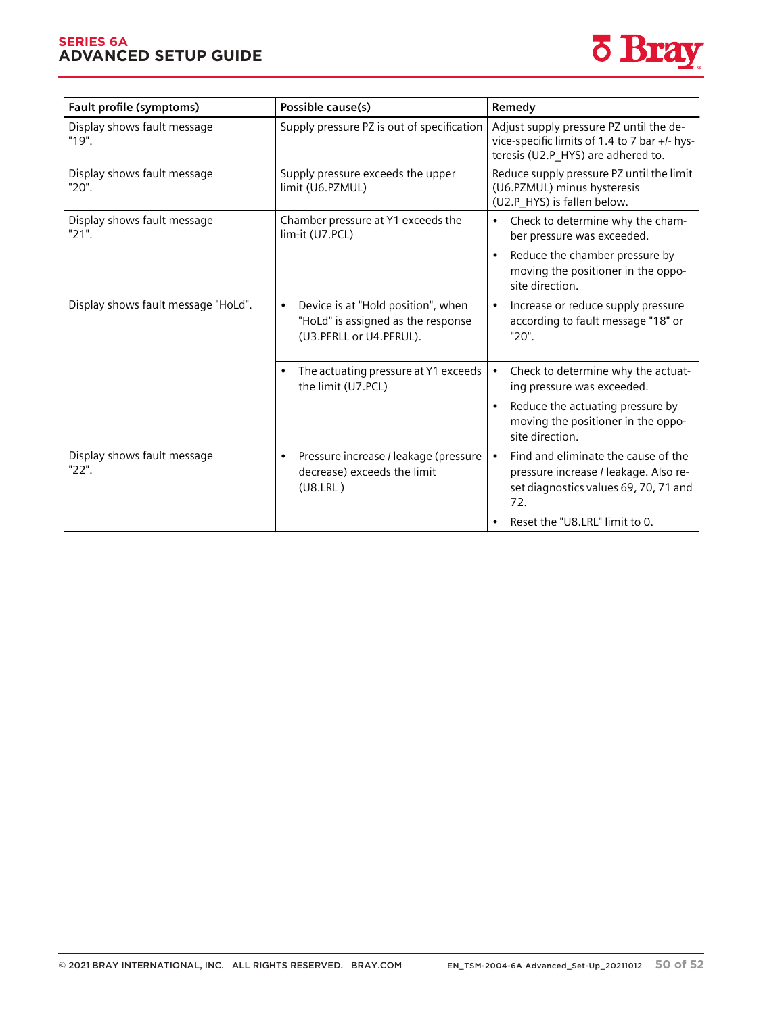#### **SERIES 6A ADVANCED SETUP GUIDE**



| Fault profile (symptoms)             | Possible cause(s)                                                                                                | Remedy                                                                                                                                                                     |
|--------------------------------------|------------------------------------------------------------------------------------------------------------------|----------------------------------------------------------------------------------------------------------------------------------------------------------------------------|
| Display shows fault message<br>"19". | Supply pressure PZ is out of specification                                                                       | Adjust supply pressure PZ until the de-<br>vice-specific limits of 1.4 to 7 bar +/- hys-<br>teresis (U2.P_HYS) are adhered to.                                             |
| Display shows fault message<br>"20". | Supply pressure exceeds the upper<br>limit (U6.PZMUL)                                                            | Reduce supply pressure PZ until the limit<br>(U6.PZMUL) minus hysteresis<br>(U2.P_HYS) is fallen below.                                                                    |
| Display shows fault message<br>"21". | Chamber pressure at Y1 exceeds the<br>lim-it (U7.PCL)                                                            | Check to determine why the cham-<br>$\bullet$<br>ber pressure was exceeded.<br>Reduce the chamber pressure by<br>moving the positioner in the oppo-<br>site direction.     |
| Display shows fault message "HoLd".  | Device is at "Hold position", when<br>$\bullet$<br>"HoLd" is assigned as the response<br>(U3.PFRLL or U4.PFRUL). | Increase or reduce supply pressure<br>according to fault message "18" or<br>"20".                                                                                          |
|                                      | The actuating pressure at Y1 exceeds<br>$\bullet$<br>the limit (U7.PCL)                                          | Check to determine why the actuat-<br>ing pressure was exceeded.<br>Reduce the actuating pressure by<br>$\bullet$<br>moving the positioner in the oppo-<br>site direction. |
| Display shows fault message<br>"22". | Pressure increase / leakage (pressure<br>$\bullet$<br>decrease) exceeds the limit<br>(U8.LRL)                    | Find and eliminate the cause of the<br>pressure increase / leakage. Also re-<br>set diagnostics values 69, 70, 71 and<br>72.<br>Reset the "U8.LRL" limit to 0.             |

 $S_{\rm 2D}$  with  $4$  to  $20$  mA/H  $\sim$  20  $\mu$  mA/H  $\sim$  20  $\mu$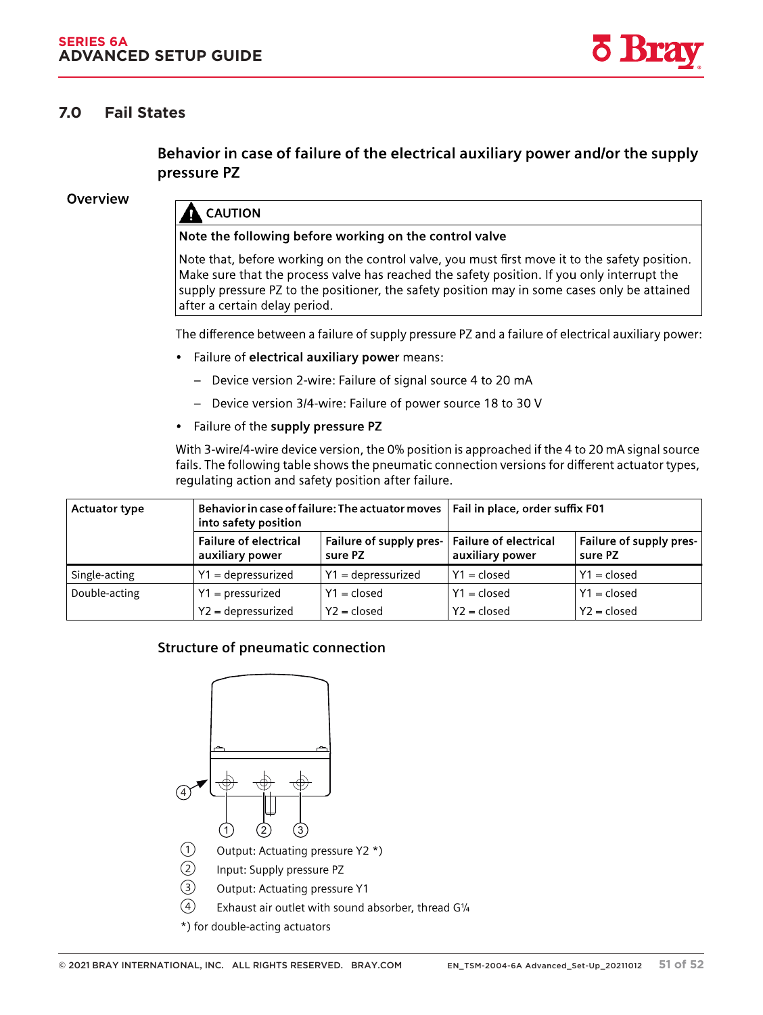### **7.0 Fail States**

Behavior in case of failure of the electrical auxiliary power and/or the supply pressure PZ

Overview

# **CAUTION**

#### Note the following before working on the control valve

Note that, before working on the control valve, you must first move it to the safety position. Make sure that the process valve has reached the safety position. If you only interrupt the supply pressure PZ to the positioner, the safety position may in some cases only be attained after a certain delay period.

The difference between a failure of supply pressure PZ and a failure of electrical auxiliary power:

- Failure of electrical auxiliary power means:
	- Device version 2-wire: Failure of signal source 4 to 20 mA
	- Device version 3/4-wire: Failure of power source 18 to 30 V
- Failure of the supply pressure PZ

With 3-wire/4-wire device version, the 0% position is approached if the 4 to 20 mA signal source fails. The following table shows the pneumatic connection versions for different actuator types, regulating action and safety position after failure. e <del>ganaan g</del>

| <b>Actuator type</b> | Behavior in case of failure: The actuator moves   Fail in place, order suffix F01<br>into safety position |                                                            |                 |                                    |
|----------------------|-----------------------------------------------------------------------------------------------------------|------------------------------------------------------------|-----------------|------------------------------------|
|                      | <b>Failure of electrical</b><br>auxiliary power                                                           | Failure of supply pres-   Failure of electrical<br>sure PZ | auxiliary power | Failure of supply pres-<br>sure PZ |
| Single-acting        | $Y1 =$ depressurized                                                                                      | $Y1 =$ depressurized                                       | $Y1 = closed$   | $Y1 = closed$                      |
| Double-acting        | $Y1 = pressure$                                                                                           | $Y1 = closed$                                              | $Y1 = closed$   | $Y1 = closed$                      |
|                      | $Y2 = depressurized$                                                                                      | $Y2 = closed$                                              | $Y2 = closed$   | $Y2 = closed$                      |

### **Structure of pneumatic connection**



\*) for double-acting actuators